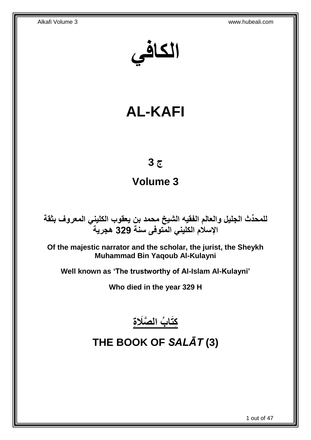**الكافي**

# **AL-KAFI**

# **ج 3**

## **Volume 3**

**دث الجليل والعالم الفقيه الشيخ محمد بن يعقوب الكليني المعروف بثقة للمح ِّ اإلسالم الكليني المتوفى سنة 329 هجرية**

**Of the majestic narrator and the scholar, the jurist, the Sheykh Muhammad Bin Yaqoub Al-Kulayni**

**Well known as 'The trustworthy of Al-Islam Al-Kulayni'**

**Who died in the year 329 H**



# <span id="page-0-0"></span>**THE BOOK OF** *SALĀT* **(3)**

1 out of 47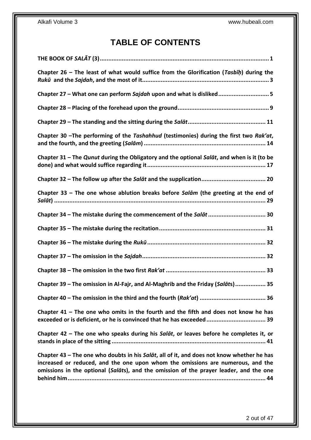## **TABLE OF CONTENTS**

| Chapter 26 – The least of what would suffice from the Glorification ( <i>Tasbih</i> ) during the |
|--------------------------------------------------------------------------------------------------|
| Chapter 27 - What one can perform Sajdah upon and what is disliked5                              |
|                                                                                                  |
|                                                                                                  |
| Chapter 30 - The performing of the Tashahhud (testimonies) during the first two Rak'at,          |
| Chapter 31 - The Qunut during the Obligatory and the optional Salat, and when is it (to be       |
|                                                                                                  |
| Chapter 33 - The one whose ablution breaks before Salām (the greeting at the end of              |
| Chapter 34 - The mistake during the commencement of the Salat  30                                |
|                                                                                                  |
|                                                                                                  |
|                                                                                                  |
|                                                                                                  |
|                                                                                                  |
| Chapter 39 - The omission in Al-Fajr, and Al-Maghrib and the Friday (Salāts) 35                  |
|                                                                                                  |
| Chapter $41$ – The one who omits in the fourth and the fifth and does not know he has            |
| Chapter 42 - The one who speaks during his Salat, or leaves before he completes it, or           |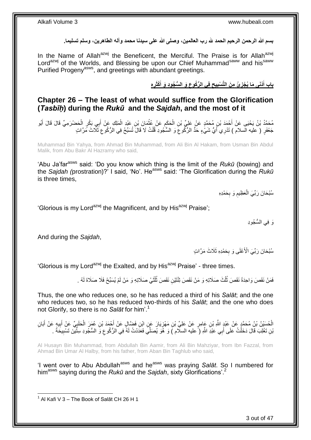بسم الله الرحمن الرحيم الحمد لله رب العالمين، وصلى الله على سيدنا محمد وآله الطاهرين، وسلم تسليما<sub>.</sub>

In the Name of Allah<sup>azwj</sup> the Beneficent, the Merciful. The Praise is for Allah<sup>azwj</sup> Lord<sup>azwj</sup> of the Worlds, and Blessing be upon our Chief Muhammad<sup>saww</sup> and his<sup>saww</sup> Purified Progeny<sup>asws</sup>, and greetings with abundant greetings.

> باب أَذْنَى مَا يُجْزِئُ مِنَ التَّسْبِيحِ فِى الرُّكُوعِ وَ السُّجُودِ وَ أَكْثَرِهِ **ِ ِ ِ ِ ِ َ**

<span id="page-2-0"></span>**Chapter 26 – The least of what would suffice from the Glorification (***Tasbīḥ***) during the** *Rukū* **and the** *Sajdah***, and the most of it**

مُحَمَّدُ بْنُ يَحْيَى عَنْ أَحْمَدَ بْنِ مُحَمَّدٍ عَنْ عَلِيِّ بْنِ الْحَكَمِ عَنْ عُثْمَانَ بْنِ عَبْدِ الْمَلِكِ عَنْ أَبِي بَكْرٍ الْحَضْرَمِيِّ قَالَ قَالَ أَبُو ْ ِ ْ َ ْ َ ْ جَعْفَرٍ ( عليه السلام ) تَدْرِي أَيُّ شَيْءٍ حَدُّ الرُّكُوعَ وَ السُّجُودِ قُلْتُ لَا قَالَ تُسَبِّحُ فِي الرُّكُوعِ ثَلَاثَ مَرَّاتٍ اً.<br>ا ِ ْ ِ

Muhammad Bin Yahya, from Ahmad Bin Muhammad, from Ali Bin Al Hakam, from Usman Bin Abdul Malik, from Abu Bakr Al Hazramy who said,

'Abu Ja'far<sup>asws</sup> said: 'Do you know which thing is the limit of the *Rukū* (bowing) and the *Sajdah (*prostration)?' I said, 'No'. Heasws said: 'The Glorification during the *Rukū* is three times,

> سُبْحَانَ رَبِّيَ الْعَظِيمِ وَ بِحَمْدِهِ ِ **ُ** ْ

'Glorious is my Lord<sup>azwj</sup> the Magnificent, and by His<sup>azwj</sup> Praise';

َو ِفي ال ُّس ُجوِد

And during the *Sajdah*,

سُبْحَانَ رَبِّيَ الْأَعْلَى وَ بِحَمْدِهِ ثَلَاثَ مَرَّاتٍ **∶** 

'Glorious is my Lord<sup>azwj</sup> the Exalted, and by His<sup>azwj</sup> Praise' - three times.

فَمَنْ نَقَصَ وَاحِدَةً نَقَصَ ثُلُثَ صَلَاتِهِ وَ مَنْ نَقَصَ تِتْنَيْنِ نَقَصَ ثُلُثَيْ صَلَاتِهِ وَ مَنْ لَمْ يُسَبِّحْ فَلَا صَلَاةَ لَهُ . ة<br>أ ا<br>ا ُ ُ

Thus, the one who reduces one, so he has reduced a third of his *Salāt*; and the one who reduces two, so he has reduced two-thirds of his *Salāt*; and the one who does not Glorify, so there is no *Salāt* for him'.<sup>1</sup>

الْحُسَيْنُ بْنُ مُحَمَّدٍ عَنْ عَبْدٍ اللَّهِ بْنِ عَامِرٍ عَنْ عَلِيٍّ بْنِ مَهْزِيَارَ عَنِ ابْنِ فَضَّالٍ عَنْ أَحْمَدَ بْنِ عُمَرَ الْحَلَبِيِّ عَنْ أَبَانِ أَبَانِ **∶** ْ َ ِ َ ِ ْ َ يْنِ تَغْلِبَ قَالَ دَخَلْتُ عَلَى أَبِي عَبْدِ اللَّهِ (ً عليه السلَّام )َ وَ هُوَ يُصَلِّيَ فَعَدَدْتُ لَمُه فِي الرُّكُوعِ وَ السُّجُودِ سِثَّيْنَ تَسْبِيحَةً . ِ ْ ِ

Al Husayn Bin Muhammad, from Abdullah Bin Aamir, from Ali Bin Mahziyar, from Ibn Fazzal, from Ahmad Bin Umar Al Halby, from his father, from Aban Bin Taghlub who said,

'I went over to Abu Abdullah<sup>asws</sup> and he<sup>asws</sup> was praying *Salāt*. So I numbered for himasws saying during the *Rukū* and the *Sajdah*, sixty Glorifications'.<sup>2</sup>

1 Al Kafi V 3 – The Book of Salāt CH 26 H 1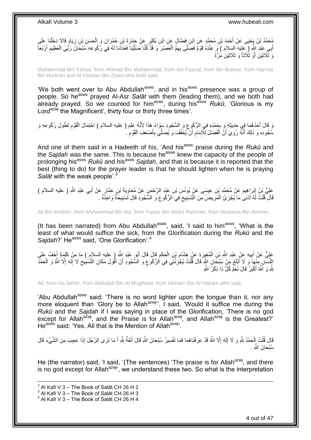مُحَمَّدُ بْنُ يَجْيَى عَنْ أَحْمَدَ بْنِ مُحَمَّدٍ عِنِ ابْنِ فَضَّالٍ عَنِ ابْنِ بُكَيْرٍ عَنْ جَمْزَةَ بْنِ حُمْرَانَ وَ الْحَسَنِ بْنِ زِيَادٍ قَالَا دَخَلْنَا عَلَى<br>مُحَمَّدُ بْنُ يَجْيَى عَنْ أَحْمَدَ بْنِ مُحَمَّدٍ ْ ِ ْ أَبِي عَبْدِ اللَّهِ (ِ عَلِيه السلام ) وَ عِنْدَهُ قَوْمٌ فَصَلَّى بِهِمُ الْعَصْرَ وَ قَدْ كُنَّا صَلَّيْنَا فَعَدَّنَا لَهُ فِي رُكُوعِهِ سَبْحَانَ رَبِّيَ الْعَظِيمِ أَرْبَعاً ْ َ َ ِ ْ اُ<br>ا َى ثُلَاثِينَ أَوْ ثُلَاثًا وَ ثَلَاثِينَ مَرَّةً

Muhammad Bin Yahya, from Ahmad Bin Muhammad, from Ibn Fazzal, from Ibn Bukeyr, from Hamza Bin Humran and Al Hassan Bin Ziyad who both said,

'We both went over to Abu Abdullah<sup>asws</sup>, and in his<sup>asws</sup> presence was a group of people. So he<sup>asws</sup> prayed Al-Asr *Salāt* with them (leading them), and we both had already prayed. So we counted for him<sup>asws</sup>, during his<sup>asws</sup> *Rukū*, 'Glorious is my Lord<sup>azwj</sup> the Magnificent', thirty four or thirty three times'.

نَ قَالَ أَحَدُهُمَا فِي حَدِيثِهِ وَ بِحَمْدِهِ فِي الرُّكُوِعِ وَ السُّجُودِ سَوَاءً هَذَا لِأَنَّهُ عَلِمَ ( عليه السلام ) احْتِمَالَ الْقَوْمِ لِطُولِ رُكُوعِهِ وَ ِ ِ َ ِ ْ سُجُودِهِ وَ ذَلِكَ أَنَّهُ رُوِيَ أَنَّ الْفَضْلَ لِلَّإِمَامِ أَنْ َيُخَفِّفَ وَ يُصَلِّيَ بِأَصْنَعَفِ الْقَوْمِ لَ ِ ْ َ ِ ِّ ِ ْ اُ ِ َ

And one of them said in a Hadeeth of his, 'And his<sup>asws</sup> praise during the *Rukū* and the Sajdah was the same. This is because he<sup>asws</sup> knew the capacity of the people of prolonging his<sup>asws</sup> *Rukū* and his<sup>asws</sup> *Sajdah*, and that is because it is reported that the best (thing to do) for the prayer leader is that he should lighten when he is praying Salāt with the weak people'.<sup>3</sup>

عَلِيُّ بْنُ إِبْرَاهِيمَ عَنْ مُحَمَّدِ بْنِ عِيسَى عَنْ يُونُسَ بْنِ عَبْدِ الرَّحْمَنِ عَنْ مُعَاوِيَةَ بْنِ عَمَّارٍ عَنْ أَبِي عَبْدِ اللَّهِ ( عليه السلام )<br>عَلَيُّ بِنُ إِبْرَاهِيمَ عَنْ مُحَمَّدِ بْنِ عِيسَى عَنْ ي ِ ِ َ َ قَالَ قُلْتُ لَمُه أَذَنَىٰ مَا يُجْزِئُ الْمَرِيضَ مِنَ التَّسْبِيحِ فِي الرُّكُوعِ وَ السُّجُودِ قَالَ تَسْبِيحَةٌ وَاحِدَّةٌ . ْ ِ ِ  $\zeta$ ِ ِ ْ ِ

Ali Bin Ibrahim, from Muhammad Bin Isa, from Yunus Bin Abdul Rahman, from Muawiya Bin Ammar,

(It has been narrated) from Abu Abdullah<sup>asws</sup>, said, 'I said to him<sup>asws</sup>, 'What is the least of what would suffice the sick, from the Glorification during the *Rukū* and the Sajdah?' He<sup>asws</sup> said, 'One Glorification'.<sup>4</sup>

عَلِيٌّ عَنْ أَبِيهِ عَنْ عَبْدِ اللَّهِ بْنِ الْمُغِيِرَةِ عَنْ هِشَامٍ بْنِ الْحَكَمِ قَالَ قَالَ أَبُو عَبْدِ اللَّهِ إِ طيهِ السلامِ ) مَا مِنْ كَلِمَةٍ أَخَفَّ عَلَى ِ ْ ِ ْ **!** َ َ الِلِّمَـٰلَنِ مِنْهَا وَ لَا أَئِلَغَ مِنْ سُبْحَانَ اللَّهِ قَالَ قُلْتُ يُجْزِئُنَي فِي الرُّكُوعِ وَ السُّجُودِ أَنْ أَقُولَ مَكَانَ التَّسْبِيعِ لَا إِلَهَ إِلَّا اللَّهُ وَ الْحَمْدُ َ َ ِ ِ ْ َ ْ ا<br>ا لَ ِ ِ ِ بَنَّهِ وَ اللَّهُ أَكْبَرُ قَالَ نَعَمْ كُلُّ ذَا ذِكْرُ اللَّهِ َ

Ali, from his father, from Abdullah Bin Al Mugheira, from Hisham Bin Al Hakam who said,

'Abu Abdullah<sup>asws</sup> said: 'There is no word lighter upon the tongue than it, nor any more eloquent than 'Glory be to Allah<sup>azwj</sup>''. I said, 'Would it suffice me during the *Rukū* and the *Sajdah* if I was saying in place of the Glorification, 'There is no god except for Allah<sup>azwj</sup>, and the Praise is for Allah<sup>azwj</sup>, and Allah<sup>azwj</sup> is the Greatest?' He<sup>asws</sup> said: 'Yes. All that is the Mention of Allah<sup>azwj</sup>'.

لَّالَ قُلْتُ إِلْحَمْدُ لِلَّهِ وَ لَا إِلَهَ إِلَّا اللَّهُ قَدْ عَرَفْنَاهُمَا فَمَا تَفْسِيرُ سُبْحَانَ اللَّهِ قَالَ أَنَفَةٌ لِلَّهِ أَ مَا تَرَى الرَّجُلَ إِذَا عَجِبَ مِنَ الشَّيْءِ قَالَ َ ِ لَ י<br>י ْ ْ َ سُنْجَانَ اللَّه

He (the narrator) said, 'I said, '(The sentences) 'The praise is for Allah<sup>azwj</sup>, and there is no god except for Allah<sup>azwj</sup>, we understand these two. So what is the interpretation

 $^{2}$  Al Kafi V 3 – The Book of Salāt CH 26 H 2

 $^3$  Al Kafi V 3 – The Book of Salāt CH 26 H 3

 $^4$  Al Kafi V 3 – The Book of Salāt CH 26 H 4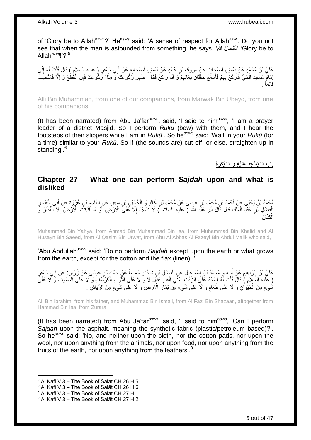of 'Glory be to Allah<sup>azwj</sup>'?' He<sup>asws</sup> said: 'A sense of respect for Allah<sup>azwj</sup>. Do you not see that when the man is astounded from something, he says, 'ِللاََّّ نَ حاَ بْسُ' ' Glory be to Allah<sup>azwj</sup>!'?<sup>5</sup>

عَلِيُّ بْنُ مُحَمَّدٍ عَنْ بَعْضِ أَصْحَابِذَا عَنْ مَرْوَكِ بْنِ عُبَيْدٍ عَنْ بَعْضِ أَصْحَابِهِ عَنْ أَبِي جَعْفَرٍ ( عليه السلام ) قَالَ قُلْتُ لَهُ إِنِّي َ **∣** َ ِ ْ َ ِ إِمَامٌ مَسْجِدِ الْحَيِّ فَأَرْكَعُ بِهِمْ فَأَسْمَعُ خَفَقَانَ نِعَالِهِمْ َوَ أَنَا رَاكِعٌ فَقَالَ اصْبِرْ رُكُوعَكَ وَ مِثْلَ رُكُوعِكَ فَإِنِ انْقَطْعَ وَ إِلَّا فَانْتَصِبْ ِ َ ِ َ ِ َ ْ ِ ِ **ٔ** َقاِئما . ً

Alli Bin Muhammad, from one of our companions, from Marwak Bin Ubeyd, from one of his companions,

(It has been narrated) from Abu Ja'far $a<sup>asws</sup>$ , said, 'I said to him $a<sup>asws</sup>$ , 'I am a prayer leader of a district Masjid. So I perform *Rukū* (bow) with them, and I hear the footsteps of their slippers while I am in *Rukū*'. So he<sup>asws</sup> said: 'Wait in your *Rukū* (for a time) similar to your *Rukū*. So if (the sounds are) cut off, or else, straighten up in standing<sup>'.6</sup>

**ْي ِه َو َما باب َما ُي ْس َجُد َعل ُيْكَر ُه َ**

### <span id="page-4-0"></span>**Chapter 27 – What one can perform** *Sajdah* **upon and what is disliked**

مُحَمَّدُ بْنُ يَحْيَى عَنْ أَحْمَدَ بْنِ مُحَمَّدِ بْنِ عِيسَى عَنْ مُحَمَّدِ بْنِ خَالِدٍ وَ الْحُسَيْنِ بْنِ سَعِيدٍ عَنِ الْقَاسِمِ بْنِ عُرْوَةَ عَنْ أَبِي الْعَدَّاسِ<br>وَحَمَّدُ بْنُ يَحْيَى عَنْ أَحْمَدَ بْنِ مُحَمَّ ْ َ ْ َ ِ ْ الْفَضْلِ بْنِ عَبْدِ الْمَلِكِ قَالَ قَالَ أَبُو عَبْدِ اللَّهِ ( عليه السلام ) لَا تَسْجُدْ إِلَّا عَلَى الْأَرْضِ أَوْ مَا أَنْبَتَتِ الْأَرْضُ إِلَّا الْقُطْنَ وَ َ ِ َ ْ ْ ِ َ الْكَتَّانَ . ْ

Muhammad Bin Yahya, from Ahmad Bin Muhammad Bin Isa, from Muhammad Bin Khalid and Al Husayn Bin Saeed, from Al Qasim Bin Urwat, from Abu Al Abbas Al Fazeyl Bin Abdul Malik who said,

'Abu Abdullah<sup>asws</sup> said: 'Do no perform Sajdah except upon the earth or what grows from the earth, except for the cotton and the flax (linen)'.

عَلِيُّ بْنُ إِبْرَاهِيمَ عَنْ أَبِيهِ وَ مُحَمَّدُ بْنُ إِسْمَاعِيلَ عَنِ الْفَضْلِ بْنِ شَاذَانَ جَمِيعاً عَنْ حَمَّادٍ بْنِ عِيسَى عَنْ زُرَارَةَ عَنْ أَبِي جَعْفَرٍ ْ ِ ِ َ ِ َ ( عَلَيه السَلام ) قَالَ قُلْتُ لَهُ أَسِجُدُ عَلَى الزِّفْتِ يَعْنِي الْقِيرَ فَقَالَ لَا وَ لَا عَلَى النُّوْبِ الْكُرْسُفِ وَ لَا عَلَى الصُّوفِ وَ لَا عَلَى ة<br>مواليد ْ َ ْ شُيْءٍ مِنَ الْمَنِوَانِ وَ لَا عَلَى طَعَامٍ وَ لَا عَلَى شَيْءٍ مِنْ ثِمَالِ الْأَرْضِ وَ لَا عَلَّى شَيْءٍ مِنَ الرِّيَاشِ . ٍ ْ

Ali Bin Ibrahim, from his father, and Muhammad Bin Ismail, from Al Fazl Bin Shazaan, altogether from Hammad Bin Isa, from Zurara,

(It has been narrated) from Abu Ja'far $a<sup>asws</sup>$ , said, 'I said to him $a<sup>asws</sup>$ , 'Can I perform *Sajdah* upon the asphalt, meaning the synthetic fabric (plastic/petroleum based)?'. So he<sup>asws</sup> said: 'No, and neither upon the cloth, nor the cotton pads, nor upon the wool, nor upon anything from the animals, nor upon food, nor upon anything from the fruits of the earth, nor upon anything from the feathers'.<sup>8</sup>

 $^5$  Al Kafi V 3 – The Book of Salāt CH 26 H 5

 $^6$  Al Kafi V 3 – The Book of Salāt CH 26 H 6

 $^7$  Al Kafi V 3 – The Book of Salāt CH 27 H 1

 $^8$  Al Kafi V 3 – The Book of Salāt CH 27 H 2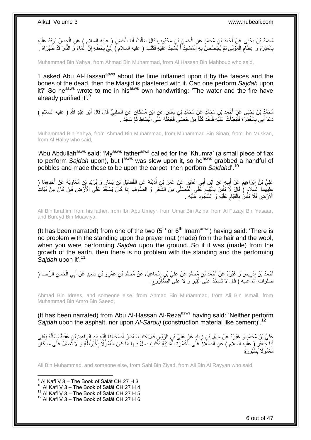مُحَمَّدُ بْنُ يَحْيَى عَنْ أَحْمَدَ بْنِ مُحَمَّدٍ عَنِ الْحَسَنِ بْنِ مَحْبُوبٍ قَالَ سَأَلْتُ أَبَا الْحَسَنِ ( عِليهِ السلام ) عَنِ الْجِصِّ يُوقَدُ عَلَيْهِ ْ َ ْ اً<br>أ ْ ْ ِ بِالْعَذِرَةِ وَ عِظَلَمِ الْمَوْتَى ثُمَّ يُجَمَّصُ بِهِ الْمَسْجِدُ أَ يُسْجَدُ عَلَيْهِ فَكَتَبَ ( عليه السلام ) إِلَيَّ بِخَطِّهِ إِنَّ الْمَاءَ وَ النَّارَ قَدْ طَهَّرَاهُ . ْ **∶** ْ ِ ِ لَ ِ َ ْ ِ ُ ْ

Muhammad Bin Yahya, from Ahmad Bin Muhammad, from Al Hassan Bin Mahboub who said,

'I asked Abu Al-Hassan<sup>asws</sup> about the lime inflamed upon it by the faeces and the bones of the dead, then the Masjid is plastered with it. Can one perform *Sajdah* upon it?' So he<sup>asws</sup> wrote to me in his<sup>asws</sup> own handwriting: 'The water and the fire have already purified it'.<sup>9</sup>

مُحَمَّدُ بْنُ يَحْيَى عَنْ أَحْمَدَ بْنِ مُحَمَّدٍ عَنْ مُحَمَّدِ بْنِ سِنَانٍ عَنِ ابْنٍ مُسْكَانَ عَنِ الْحَلَبِيِّ قَالَ قَالَ أَبُو عَبْدِ اللَّهِ ( عليه السلام )<br>. ِ ْ َ دَعَا أَبِي بِالْخُمْرَةِ فَأَبْطِأَتْ عَلَيْهِ فَأَخَذَ كَفّاً مِنْ حَصَىَ فَجَعَلْهُ عَلَى الْبِسَاطِ ثُمَّ سَجَدَ َ َ ر<br>وف ِ َ ان<br>المقامات ِ ْ

Muhammad Bin Yahya, from Ahmad Bin Muhammad, from Muhammad Bin Sinan, from Ibn Muskan, from Al Halby who said,

'Abu Abdullah<sup>asws</sup> said: 'My<sup>asws</sup> father<sup>asws</sup> called for the 'Khumra' (a small piece of flax to perform *Sajdah* upon), but l<sup>asws</sup> was slow upon it, so he<sup>asws</sup> grabbed a handful of pebbles and made these to be upon the carpet, then perform *Sajdah*d'.<sup>10</sup>

عَلِيُّ بْنُ إِبْرَاهِيمَ عَنْ أَبِيهِ عَنِ ابْنِ أَبِي عُمَيْرٍ عَنْ عُمَرَ بْنِ أُذَيْنَةَ عَنِ الْفُضَيْلِ بْنِ يَسَارٍ وَ بُرَيْدِ بْنِ مُعَاوِيَةَ عَنْ أَحَدِهِمَا ( ْ ُ َ **!** َ ِ َ ِ علِيهما السِّلامِ ) قَالَ لَا بَأْسَ بِالْقِيَامِ عَلَى الْمُصَلَّى مِنَ الشَّعْرِ وَ الصُّوفِ إِذَا كَانَّ يَسْجُّدُ عَلَى الْأَرْضِ فَإِنْ كَانَ مِنْ نَبَاتِ ِ ْ ِ ْ **∶** ْ ∣ٍ إ الْأَرْضِ فَلَا بَأْسَٰ بِالْقِيَامِ عَلَيْهِ وَ السُّكُودِ عَلَيْهِ . ِ ْ ِ ْ

Ali Bin Ibrahim, from his father, from Ibn Abu Umeyr, from Umar Bin Azina, from Al Fuzayl Bin Yasaar, and Bureyd Bin Muawiya,

(It has been narrated) from one of the two  $(5<sup>th</sup>$  or  $6<sup>th</sup>$  Imam<sup>asws</sup>) having said: 'There is no problem with the standing upon the prayer mat (made) from the hair and the wool, when you were performing *Sajdah* upon the ground. So if it was (made) from the growth of the earth, then there is no problem with the standing and the performing *Sajdah* upon it'.<sup>11</sup>

أَحْمَدُ بْنُ إِدْرِيسَ وَ غَيْرُهُ عَنْ أَحْمَدَ بْنِ مُحَمَّدٍ عَنْ عَلِيٍّ بْنِ إِسْمَاعِيلَ عَنْ مُحَمَّدِ بْنِ عَمْرِو بْنِ سَعِيدٍ عَنْ أَبِي الْحَسَنِ الرِّضَا (<br>. ∣l<br>∶ **∶** יִי (ו َ ْ َ صلوات اللهُ عليه ) قَالَ لَا تَسْجُدْ عَلَى الْقِيرِ وَ لَا عَلَى الصَّارُوجِ . **∶** ْ

Ahmad Bin Idrees, and someone else, from Ahmad Bin Muhammad, from Ali Bin Ismail, from Muhammad Bin Amro Bin Saeed,

(It has been narrated) from Abu Al-Hassan Al-Reza<sup>asws</sup> having said: 'Neither perform *Sajdah* upon the asphalt, nor upon *Al-Sarouj* (construction material like cement)'.<sup>12</sup>

ِ َعْلِيُّ بْنُِ مُحَمَّدٍ وَ غَيْرُهُ عَنْ سَهْلِ بْنِ زِيَادٍ عَنْ عَلِيٍّ بْنِ الرَّيَّانِ قَالَ كَتَبَ بَعْضُ أَصْحَابِنَا إِلَيْهِ بِيَدٍ إِبْرَاهِيمَ بْنِ عُقْيَةَ يَسْأَلُهُ يَعْنِي **∣** َ **∶** ُ َ ِ ِ لَ أَبَا جَعْفَرٍ ( عليه السلام ) عَنِ الْصَلَّاةِ عَلَى الْخُمْرَةِ الْمَدَنِيَّةِ فَكَّتَبَ صَلِّ فِيهَا مَا كَانَ مَعْمُو َلَا بِخُيُوطَةٍ وَ لَا ثُصَلِّ عَلَى مَا كَانَ ْ ِ مَعْمُولًا بِسُنُيورَةٍ ِ

Ali Bin Muhammad, and someone else, from Sahl Bin Ziyad, from Ali Bin Al Rayyan who said,

 9 Al Kafi V 3 – The Book of Salāt CH 27 H 3  $10$  Al Kafi V 3 – The Book of Salāt CH 27 H 4 <sup>11</sup> Al Kafi V 3 – The Book of Salāt CH 27 H 5  $12$  Al Kafi V 3 – The Book of Salāt CH 27 H 6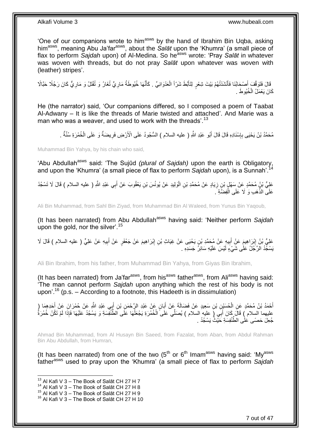'One of our companions wrote to him<sup>asws</sup> by the hand of Ibrahim Bin Uqba, asking him<sup>asws</sup>, meaning Abu Ja'far<sup>asws</sup>, about the Salat upon the 'Khumra' (a small piece of flax to perform *Saidah* upon) of Al-Medina. So he<sup>asws</sup> wrote: 'Pray *Salāt* in whatever was woven with threads, but do not pray *Salāt* upon whatever was woven with (leather) stripes'.

ِ قَالَ فَتَوَقَّفَ أَصْحَابُنَا فَأَنْشَدْتُهُمْ بَيْتَ شِعْرٍ لِتَأَبَّطَ شَرّاً الْعَدْوَانِيِّ . كَأَنَّهَا خُيُوطَةُ مَارِيٍّ تُغَارُ وَ تُفْتَلُ وَ مَارِيٌّ كَانَ رَجُلًا حَبَّالًا َ ْ َ َ َ ِ كَانَ يَعْمَلُ الْخُيُوطَ .

He (the narrator) said, 'Our companions differed, so I composed a poem of Taabat Al-Adwany – It is like the threads of Marie twisted and attached'. And Marie was a man who was a weaver, and used to work with the threads'.<sup>13</sup>

مُحَمَّدُ بْنُ يَحْيَى بِإِسْنَادِهِ قَالَ قَالَ أَبُو عَبْدِ اللَّهِ ( عليه السلام ) السُّجُودُ عَلَى الْأَرْضِ فَرِيضَةٌ وَ عَلَى الْخُمْرَةِ سُنَّةٌ . ِ َ ِ ِ

Muhammad Bin Yahya, by his chain who said,

'Abu Abdullah<sup>asws</sup> said: 'The Sujūd *(plural of Sajdah)* upon the earth is Obligatory, and upon the 'Khumra' (a small piece of flax to perform Sajdah upon), is a Sunnah'.<sup>1</sup>

عَلِِيُّ بْنٍُ مُحَمَّدٍ عَنْ سِمَهْلٍ بْنِ زِيَادٍ عَنْ مُحَمَّدِ بْنِ الْوَلِيدِ عَنْ يُونُسَ بْنِ يَعْقُوبَ عَنْ أَبِي عَبْدِ اللَّهِ ( عليه السلام ) قَالَ لَا تَسْجُدْ َ ْ ِ عَلَى الذَّهَبِ وَ لَا عَلَى الْفِضََّةِ َ. ْ

Ali Bin Muhammad, from Sahl Bin Ziyad, from Muhammad Bin Al Waleed, from Yunus Bin Yaqoub,

(It has been narrated) from Abu Abdullah<sup>asws</sup> having said: 'Neither perform Sajdah upon the gold, nor the silver'.  $15$ 

عَلِيُّ بْنُ إِبْرَاهِيمَ عَنْ أَبِيهِ عَنْ مُحَمَّدِ بْنِ يَحْيَى عَنْ غِيَاثِ بْنِ إِبْرَاهِيمَ عَنْ جَعْفَرٍ عَنْ أَبِيهِ عَنْ عَلِيٍّ ( عليه السلام ) قَالَ لَا ِ َ ِ **!** َ ِ يَسْجُّدُ الرَّجُلُ عَلَّى شَيْءٍ لَيْسَ عَلَيْهِ سَائِرُ جَسَدِهِ .

Ali Bin Ibrahim, from his father, from Muhammad Bin Yahya, from Giyas Bin Ibrahim,

(It has been narrated) from Ja'far $a<sup>asws</sup>$ , from his $a<sup>asws</sup>$  father $a<sup>asws</sup>$ , from Ali $a<sup>asws</sup>$  having said: 'The man cannot perform *Sajdah* upon anything which the rest of his body is not upon'.<sup>16</sup> (p.s. – According to a footnote, this Hadeeth is in dissimulation)

أَحْمَدُ بْنُ مُحَمَّدٍ عَنِ الْحُسَيْنِ بْنِ سَعِيدٍ عَنْ فَضَالَةَ عَنْ أَبَانٍ عَنْ عَبْدِ الرَّحْمَنِ بْنِ أَبِي عَبْدِ اللَّهِ عَنْ حُمْرَانَ عَنْ أَحَدِهِمَا ( َ َ ْ َ َ عليهما السِلام ِ) قَالَ كَانَ أَبِّي (ِ عليهِ السلام ) يُصَلِّي عَلَى الْخُمْرَةِ يَجْعَلُهَا عَلَى الطَّنْفِسَةِ وَ يَسْجُدُ عَلَيْهَا فَإِذَا لَمْ تَكُنْ خُمْرَةُ ٔ<br>ا َ َ ِ جُعِلَ حَصَى عَلَٰى الطِّنْفِسَةِ حَيْثُ يَسْجُدُ .

Ahmad Bin Muhammad, from Al Husayn Bin Saeed, from Fazalat, from Aban, from Abdul Rahman Bin Abu Abdullah, from Humran,

(It has been narrated) from one of the two  $(5<sup>th</sup>$  or  $6<sup>th</sup>$  Imam<sup>asws</sup> having said: 'My<sup>asws</sup> fatherasws used to pray upon the 'Khumra' (a small piece of flax to perform *Sajdah*

 $^{13}$  Al Kafi V 3 – The Book of Salāt CH 27 H 7

 $14$  Al Kafi V 3 – The Book of Salāt CH 27 H 8

 $15$  Al Kafi V 3 – The Book of Salāt CH 27 H 9

 $16$  Al Kafi V 3 – The Book of Salāt CH 27 H 10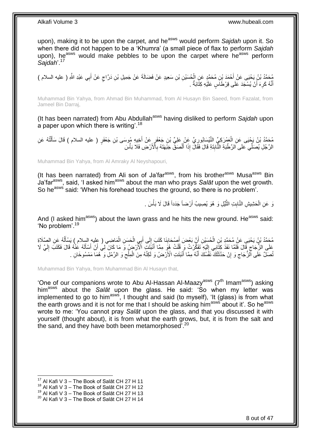upon), making it to be upon the carpet, and he<sup>asws</sup> would perform Sajdah upon it. So when there did not happen to be a 'Khumra' (a small piece of flax to perform *Sajdah* upon), he<sup>asws</sup> would make pebbles to be upon the carpet where he<sup>asws</sup> perform *Sajdah*'.<sup>17</sup>

َع ِن َد َّراج ِل ْب ِن َس ِعيٍد َع ْن َف َضالَ َة َع ْن َج ِمي ِن ْب ُح َسْي ِن ُم َح َّمٍد َع ِن ال ْح َمَد ْب ِي َعْبِد ََّّللا ُم َح َّمُد ْب ُن َي ْحَيى َع ْن <sup>أ</sup> ِ ) عليه السالم ( ب ْن أ ٍ ْ َ أَنَّهُ كَرِهَ أَنْ يُسْجَدَ عَلَى قِرْطَاَسٍ عَلَيْهِ كِتَّابَةٌ . َ ِ ֺ֪֪֪֪֪֪֪֪֪֦֪֪֪ׅ֦֪֪֦֪֪֦֝֘֝֘֝֟֓֕֘֝֟֓֟֘֟֓֡֟֓֟֓֡֟֓֟֓֡֟֓֟֓֞֟֓֡֟֓֡֟֓֡֟֓֡֟֓֞֟֓֞֟֓֡֡֡֞֟֞֟֞֟֞֟֞֟֞֟֟

Muhammad Bin Yahya, from Ahmad Bin Muhammad, from Al Husayn Bin Saeed, from Fazalat, from Jameel Bin Darraj,

(It has been narrated) from Abu Abdullah<sup>asws</sup> having disliked to perform *Sajdah* upon a paper upon which there is writing'.<sup>18</sup>

مُحَمَّدُ بْنُ يَجْيَى عَنِ الْعَمْرَكِيِّ النَّيْسَابُورِيِّ عَنْ عَلِيِّ بْنِ جَعْفَرٍ عَنْ أُخِيهِ مُوسَى بْنِ جَعْفَرٍ ( عليه السلام ) قَالَ سَأَلْتُهُ عَنِ<br>مَعَمَّدُ بْنُ يَجْيَى عَنِ الْعَمْرَكِيِّ النَّيْسَابُورِيِّ َ ِ ْ ْ َ الرَّجُلِ يُصَلِّي عَلَى الرَّطْبَةِ النَّابِتَةِ قَالَ فَقَالَ إِذَا اَلْصَقِّ جَبَّهَتَهُ بِالْأَرْضِ فَلَا بَأْسَ ِ ْ َ ِ ْ

Muhammad Bin Yahya, from Al Amraky Al Neyshapouri,

(It has been narrated) from Ali son of Ja'far $a<sup>asws</sup>$ , from his brother $a<sup>asws</sup>$  Musa $a<sup>asws</sup>$  Bin Ja'farasws, said, 'I asked himasws about the man who prays *Salāt* upon the wet growth. So he<sup>asws</sup> said: 'When his forehead touches the ground, so there is no problem'.

> نَ عَنِ الْحَشِيشِ النَّابِتِ الثَّيِّلِ وَ هُوَ يُصِيبُ أَرْضاً جَدَداً قَالَ لَا بَأْسَ . **ٔ** َ َّ **∣** ْ

And (I asked him<sup>asws</sup>) about the lawn grass and he hits the new ground. He<sup>asws</sup> said: 'No problem'.<sup>19</sup>

مُحَمَّدُ بْنُ يَحْيَى عَنْ مُحَمَّدِ بْنِ الْحُسِّيْنِ أَنَّ بَعْضَ أُصْحَابِنَا كَتَبَ إِلَى أَبِي الْحَسَنِ الْمَاضِي ( عليه السلام ) يَسْأَلُهُ عَنِ الصَّلَاةِ ْ ْ َ ∣∣<br>; **!** َ َ ْ ُ اً<br>أ َطَى الزُّجَاجِ قَالَ فَلَمًا نَفَذَ كِتَابِي إِلَيْهِ ۖ تَفَكِّرْتُ وَ فُلْتُ هُوَ مِمَّا أَنْبَتَتِ الْأَرْضُ وَ مَا كَانَ لِّي أَنْ أَسْأَلَهُ عُنْهُ قَالَ فَكَتَبَ إِلَيَّ لَا ْ لَ  $\frac{1}{2}$ ِ لَ ِ لَ َ َ َ َ ُنْصَلٌّ عَلَى الْزُّجَاجِ وَ إِنْ حَدَّثَتْكَ نَفْسُكَ أَنَّهُ مِمَّا أَنْبَتَتِ الْأَرْضُ وَ لَكِنَّهُ مِنَ الْمِلْحِ وَ الرَّمْلِ وَ هُمَا مَمْسُوخَانِ . ِ ْ َ َ **ٔ** ِ ِ

Muhammad Bin Yahya, from Muhammad Bin Al Husayn that,

'One of our companions wrote to Abu Al-Hassan Al-Maazy<sup>asws</sup> ( $7<sup>th</sup>$  Imam<sup>asws</sup>) asking himasws about the *Salāt* upon the glass. He said: 'So when my letter was implemented to go to him<sup>asws</sup>, I thought and said (to myself), 'It (glass) is from what the earth grows and it is not for me that I should be asking him<sup>asws</sup> about it'. So he<sup>asws</sup> wrote to me: 'You cannot pray *Salāt* upon the glass, and that you discussed it with yourself (thought about), it is from what the earth grows, but, it is from the salt and the sand, and they have both been metamorphosed<sup>'.20</sup>

<sup>1</sup>  $17$  Al Kafi V 3 – The Book of Salāt CH 27 H 11

 $18$  Al Kafi V 3 – The Book of Salat CH 27 H 12

 $^{19}$  Al Kafi V 3 – The Book of Salāt CH 27 H 13

 $20$  Al Kafi V 3 – The Book of Salāt CH 27 H 14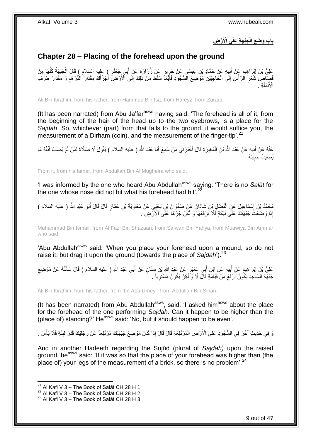**ْر ِض َجْب َه ِة َعلَى اْْلَ الْ باب َو ْضع ِ**

## <span id="page-8-0"></span>**Chapter 28 – Placing of the forehead upon the ground**

عْلِيُّ بْنُ إِبْرَاهِيمَ عَنْ أَبِيهِ عَنْ حَمَّادِ بْنِ عِيسَى عَنْ حَرِيزٍ عَنْ زُرَارَةَ عَنْ أَبِي جَعْفَرٍ ( عِليه السلام ) قَالَ الْجَبْهَةُ كُلُّهَا مِنْ !! َ ِ ُّ ْ َ ِ ُّصَلِّصِ شَعْرِ الرَّأْسِ إِلَى الْحَاجِبَيْنِ مَوَّضِعُ الْمُتُجُودِ فَأَيَّمَاً سَقَطَ مِنْ ذَلِكَ إِلَى ٱلْأَرْضِ أَخْزَأَكَ مِقْدَارُ الْدِّرْهَمِ وَ مِقْدَارُ طَرَفَ َ َ ِ َ ْ  $\frac{1}{2}$ :<br>أ **∶** ِ ِة . ُملَ نْ ْزَأْ ا

Ali Bin Ibrahim, from his father, from Hammad Bin Isa, from Hareyz, from Zurara,

(It has been narrated) from Abu Ja'far<sup>asws</sup> having said: 'The forehead is all of it, from the beginning of the hair of the head up to the two eyebrows, is a place for the *Sajdah*. So, whichever (part) from that falls to the ground, it would suffice you, the measurement of a Dirham (coin), and the measurement of the finger-tip<sup>'.21</sup>

عَنْهُ عَنْ أَبِيهٍ عَنْ عَلِدِ اللَّهِ بْنِ الْمُغِيرَةِ قَالَ أَخْبَرَنِي مَنْ سَمِعَ أَبَا عَبْدِ اللَّهِ ( عليه السلام ) يَقُولُ لَا صَلَاةَ لِمَنْ لَمْ يُصِبْ أَنْفُهُ مَا َ َ ْ **!** َ يُصِيبُ جَبِينُهُ . ِ

From it, from his father, from Abdullah Bin Al Mugheira who said,

'I was informed by the one who heard Abu Abdullah<sup>asws</sup> saying: 'There is no Salat for the one whose nose did not hit what his forehead had hit'.<sup>22</sup>

حُمَّدُ بْنُ إِسْمَاعِيلَ عَنِ الْفَضْلِ بْنِ شَاذَانَ عَنْ صَفْوَانَ بْنِ يَحْيَى عَنْ مُعَاوِيَةَ بْنِ عَمَّارٍ قَالَ قَالَ أَبُو عَبْدِ اللَّهِ ( عليه السلام )<br>ِ ْ ِ َ ِ إِذَا وَضَعْتَ جَبْهَتَكَ عَلَى نَبَكَةٍ فَلَا تَرْفَعْهَا وَ لَكِنْ جُرَّهَا عَلَى الْأَرْضِ .

Muhammad Bin Ismail, from Al Fazl Bin Shazaan, from Safwan Bin Yahya, from Muawiya Bin Ammar who said,

'Abu Abdullah<sup>asws</sup> said: 'When you place your forehead upon a mound, so do not raise it, but drag it upon the ground (towards the place of *Sajdah*'). 23

عَلِيُّ بْنُ إِبْرَاهِيمَ عَنْ أَبِيهِ عَنِ ابْنِ أَبِي عُمَيْرٍ عَنْ عَيْدِ اللَّهِ بِّنِ سِنَانٍ عَنْ أَبِي عَبْدِ اللَّهِ ( عليه السلام ) قَالَ سَأَلْتُهُ عَنْ مَوْضِعِ َ ِ َ יִין<br>∶ ِ ْ ĺ َ جَبْهَةِ السَّاجِدِ يَكُونُ أَرْفَعَ مِنْ فَيَامَةٍ قَالَ لَا وَ لَكِنْ يَكُونُ مُسْتَوِياً . ِ

Ali Bin Ibrahim, from his father, from Ibn Abu Umeyr, from Abdullah Bin Sinan,

(It has been narrated) from Abu Abdullah $a<sup>asws</sup>$ , said, 'I asked him $a<sup>asws</sup>$  about the place for the forehead of the one performing *Sajdah*. Can it happen to be higher than the (place of) standing?' Heasws said: 'No, but it should happen to be even'.

وَ فِي حَدِيثٍ آخَرَ فِي السُّجُودِ عَلَى الْأَرْضِ الْمُرْتَفِعَةِ قَالَ قَالَ إِذَا كَانَ مَوْضِعُ جَبْهَتِكَ مُرْتَفِعاً عَنْ رِجْلَيْكَ قَدْرَ لَبِنَةٍ فَلَا بَأْسَ . ْ ْ ِ ِ

And in another Hadeeth regarding the Sujūd (plural of *Sajdah)* upon the raised ground, he<sup>asws</sup> said: 'If it was so that the place of your forehead was higher than (the place of) your legs of the measurement of a brick, so there is no problem<sup>'. 24</sup>

<sup>&</sup>lt;sup>21</sup> Al Kafi V 3 – The Book of Salāt CH 28 H 1

 $^{22}$  Al Kafi V 3 – The Book of Salāt CH 28 H 2

 $^{23}$  Al Kafi V 3 – The Book of Salāt CH 28 H 3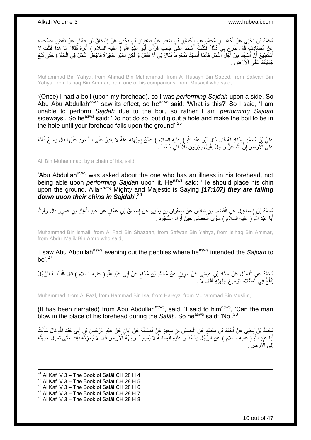مُحَمَّدُ بْنُ يَحْيَى عَنْ أَحْمَدَ بْنِ مُحَمَّدٍ عَنِ الْحُسَيْنِ بْنِ سَعِيدٍ عَنْ صَفْوَانَ بْنِ يَجْيَى عَنْ إِسْحَاقَ بْنِ عَمَّارٍ عَنْ بَعْضِ أَصْحَابِهِ<br>مُحَمَّدُ بْنُ يَحْيَى عَنْ أَحْمَدَ بْنِ مُحَمَّدٍ ۚ إِنِّ ;<br>; َ ∣∣<br>∶ ْ عَنْ مُصَادِفٍ قَالَ خَرَجَ بِي َدُمَّلٌ فَكُنْثُ أَسْجُدُ عَلَى جَانِبَ فَرَأَى أَبُو عَبْدِ اللَّهِ ( عليه السلام ) أَثَرَهُ فَقَالَ مَا هَذَا فَقُلْتُ لَا<br>نَبَ مِنْ نَبِيٍّ مَا اللَّهُ وَ مَنْ تَجَانُونَ أَسْجُدُ عَلَى َ َ َ َ ْ أَسْتَطِيعُ أَنِّ أَسْجُدَ مِنْ أَجْلِ الْدُّمَّلِ فَإِنَّمَا أَسْجُدُ مُنْحَرِفاً فَقَالَ لِي لَا تَفْعَلْ وَ لَكِنِ احْفِرْ حُفَيْرَةً فَاجْعَلِ الدُّمَّلَ فِي الْحُفْرَةِ حَتَّى تَقَعَ **∶** ∣اٍ َ ֪֧֧֚֚֚֚֚֚֚֚֚֚֚֚֚֚֚֚֚֚֚֚֚֝֝֓֕֓֡֡֡֡֡֝֬֓֓֓֡֡֡֡֡֡֡֡֡֡֡֡֡֬<br>֧֢֧֧֜֡֠֩֞ َ ْ جَبْهَتُكَ عَلَى الْأَرْضِ .

Muhammad Bin Yahya, from Ahmad Bin Muhammad, from Al Husayn Bin Saeed, from Safwan Bin Yahya, from Is'haq Bin Ammar, from one of his companions, from Musadif who said,

'(Once) I had a boil (upon my forehead), so I was *performing Sajdah* upon a side. So Abu Abu Abdullah<sup>asws</sup> saw its effect, so he<sup>asws</sup> said: 'What is this?' So I said, 'I am unable to perform *Sajdah* due to the boil, so rather I am *performing Sajdah* sideways'. So he<sup>asws</sup> said: 'Do not do so, but dig out a hole and make the boil to be in the hole until your forehead falls upon the ground'.<sup>25</sup>

عَلِيُّ بْنُِ مُحَمَّدٍ بِإِسْنَادٍ لَهُ قَالَ سُئِلَ أَبُو عَبْدِ اللَّهِ ( ِعليه السلام ) عَمَّنْ بِجَبْهَتِهِ عِلَّةٌ لَا يَقْدِرُ عَلَى السُّجُودِ عَلَيْهَا قَالَ يَضَعُ ذَقَنَهُ َّ ِ َ ∣اٍ<br>∶ **∶** عَلَى الْأَرْضِ إِنَّ اللَّهَ عَزَّ وَ جَلَّ يَقُولُ يَخِرُّونَ لِلْأَذْقانِ سُجَّداً ۚ <u>֖֚֚֚֚֚֚֚֓</u> **ٔ** 

Ali Bin Muhammad, by a chain of his, said,

'Abu Abdullah<sup>asws</sup> was asked about the one who has an illness in his forehead, not being able upon *performing Sajdah* upon it. He<sup>asws</sup> said: 'He should place his chin upon the ground. Allahazwj Mighty and Majestic is Saying *[17:107] they are falling down upon their chins in Sajdah*'.<sup>26</sup>

جُمَّدُ بْنُ إِسْمَاعِيلَ عَنِ الْفَضْلِ بْنِ شَاذَانَ عَنْ صَفْوَانَ بْنِ يَحْيَى عَنْ إِسْحَاقَ بْنِ عَمَّارٍ عَنْ عَبْدِ الْمَلِكِ بْنِ عَمْرٍ و قَالَ رَأَيْتُ ِ ْ ِ َ ْ أَبَا عَبْدِ اللَّهِ ( عليه السلَام ) سَوَّى اَلْحَصَى حِينَ أَرَادَ السُّجُودَ . َ ْ َ

Muhammad Bin Ismail, from Al Fazl Bin Shazaan, from Safwan Bin Yahya, from Is'haq Bin Ammar, from Abdul Malik Bin Amro who said,

'I saw Abu Abdullah<sup>asws</sup> evening out the pebbles where he<sup>asws</sup> intended the *Sajdah* to be'. $27$ 

مُحَمَّدٌ عَنِ الْفَضْلِ عَنْ حَمَّادِ بْنِ عِيسَى عَنْ حَرِيزٍ عَنْ مُحَمَّدِ بْنِ مُسْلِمٍ عَنْ أَبِي عَبْدِ اللَّهِ ( عليه السلام ) قَالَ قُلْتُ لَهُ الرَّجُلُ<br>مُمتَمَّدٌ عَنِ الْفَضْلِ عَنْ حَمَّادِ بْنِ عِيسَى عَنْ ح َ ֧֧֧֖֧֧֧֧֧֦֧֚֓֝֬֝֝֓֝֬֟֓֓֝֓֝֓֝֬֝֬֝ ِ ْ ْ يَنْفُخُ فِي اَلْصَّلَاةِ مَوْضِعَ جَبْهَتِهِ فَقَالَ لَا .

Muhammad, from Al Fazl, from Hammad Bin Isa, from Hareyz, from Muhammad Bin Muslim,

(It has been narrated) from Abu Abdullah<sup>asws</sup>, said, 'I said to him<sup>asws</sup>, 'Can the man blow in the place of his forehead during the *Salāt*'. So he<sup>asws</sup> said: 'No'.<sup>28</sup>

مُحَمَّدُ بْنُ يَحْيَى عَنْ أَحْمَدَ بْنِ مُحَمَّدٍ عَنِ الْحُسَيْنِ بْنِ سَعِيدٍ عَنْ فَضَالَةَ عَنْ أَبَانٍ عَنْ عَبْدِ الرَّحْمَنِ بْنِ أَبِي عَبْدٍ الثَّهِ قَالَ سَأَلْتُ<br>يُحْمَّدُ بْنُ يَحْيَى عَنْ أَحْمَدَ بْنِ مُحَم َ ْ َ ْ َ َ أَبَا عَبْدٍ اللَّهِ ( عليه السلام ) عَنِ الرَّجُلِ يَسْجُدُ وَ عَلَيْهِ الْعِمَامَةُ لَا يُصِيبُ وَجْهُهُ أَلأَرْضَ قَالَ لَا يُجِّزِئُهُ ذَلِكَ حَتَّى تَصِلَ جَبْهَتُهُ َ **∶** ْ إِلَى الْأَرْضِ ۚ. יִי<br>;

1  $^{24}$  Al Kafi V 3 – The Book of Salāt CH 28 H 4  $^{25}$  Al Kafi V 3 – The Book of Salāt CH 28 H 5  $26$  Al Kafi V 3 – The Book of Salāt CH 28 H 6  $^{27}$  Al Kafi V 3 – The Book of Salāt CH 28 H 7  $28$  Al Kafi V 3 – The Book of Salāt CH 28 H 8

10 out of 47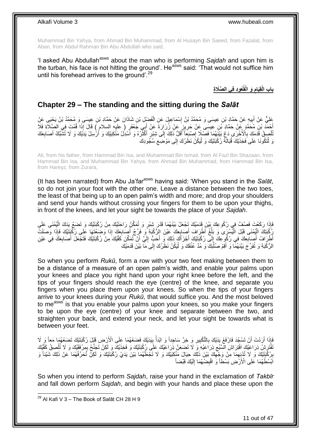Muhammad Bin Yahya, from Ahmad Bin Muhammad, from Al Husayn Bin Saeed, from Fazalat, from Aban, from Abdul Rahman Bin Abu Abdullah who said,

'I asked Abu Abdullah<sup>asws</sup> about the man who is performing Sajdah and upon him is the turban, his face is not hitting the ground'. He<sup>asws</sup> said: 'That would not suffice him until his forehead arrives to the ground'.<sup>29</sup>

> **ُعوِد فِي ال َّصَال باب ِة َو الْقُ الْقَِيام ِ**

### <span id="page-10-0"></span>**Chapter 29 – The standing and the sitting during the** *Salāt*

عَلِيٌّ عَنْ أَبِيهِ عَنْ حَمَّادٍ بْنِ عِيسَى وَ مُحَمَّدُ بْنُ إِسْمَاعِيلَ عَنِ الْفَضْيِلِ بْنِ شَاذَانَ عَنْ حَمَّادِ بْنِ عِيسَى وَ مُحَمَّدُ بْنُ يَحْيَى عَنْ ْ ِ ِ أَحْمَدَ بْنِ مُحَمَّدٍ عَنْ حَمَّادِ بْنِ عِيسَى عَنْ حَرِيزٍ عَنْ زُرَارَةَ عَنْ أَبِي جَعْفَرٍ ( عليه السلام ) قَالَ إِذَا قُمْتَ فِي الصَّلَاةِ فَلَا<br>أَحْمَدَ بْنِ مُحَمَّدٍ ، فَلا تَعْلَيْهِ مَنْ حَرِيزٍ عَنْ ذَرَارَ ِ َ نَاهِيقُ قَدَمَكَ بِالْأُخْرَى دَعْ بَيْنَهُمَا فَصْلًا إِصْبَعَاً أَقَلُّ ذَلِكَ إِلَى شِبْرٍ أَكْثَرُهُ وَ اسْدِلْ مَنْكِبَيْكَ وَ أَرْسِلْ يَذَيْكَ وَ لَا تُشَبِّكْ أَصَابِعَكَ **∶**ّ َ  $\frac{1}{2}$ َ  $\frac{1}{2}$ **∶** ْ **∶** َ َ وَ لْتَكُونَا عَلَى فَخِذَيْكَ قُبَالَةً رُكْبَتَيْكَ وَ لْيَكُنَّ نَظَرُكَ إِلَى مَوْضِع سُجُودِكَ ِ  $\frac{1}{2}$ :<br>ا

Ali, from his father, from Hammad Bin Isa, and Muhammad Bin Ismail, from Al Fazl Bin Shazaan, from Hammad Bin Isa, and Muhammad Bin Yahya, from Ahmad Bin Muhammad, from Hammad Bin Isa, from Hareyz, from Zurara,

(It has been narrated) from Abu Ja'far<sup>asws</sup> having said: 'When you stand in the *Salat*, so do not join your foot with the other one. Leave a distance between the two toes, the least of that being up to an open palm's width and more; and drop your shoulders and send your hands without crossing your fingers for them to be upon your thighs, in front of the knees, and let your sight be towards the place of your *Sajdah*.

َفَإِذَا رَكَعْتَ فَصُفَّ فِي رُكُوعِكَ بَيْنَ قَدَمَيْكَ تَجْعَلُ بَيْنَهُمَا قَدْرَ شِبْرٍ وَ تُمَكِّنُ رَاحَتَيْكَ مِنْ رُكْبَتَيْكَ وَ تَضَبَعُ يَذَكَ الْيُمْنَى عَلَى<br>فَإِذَا رَكَعْتَ فَصُفَّ فِي رُكُوعِكَ بَيْنَ قَد ْ يُكْبَتِكَ الْيُمْنَى قَبْلَ الْيُسْرَى وَ بَلِّغْ أَطْرَافَ أَصَابِعِكَ عَيْنَ الرُّكْبَةِ ۖ وَ فَرِّجْ أَصَابِعَكَ إِذَا وَصَبَعْتَهَا عَلَى رُكْبَتَيْكَ فَإِذَا وَصَلَتَ ِ َ **∶** َ ِّ :<br>ا :<br>إ َطْرَ افُ أَصَابِعِكَ فِي رُكُو عِكَ إِلَى رُكْبَتَيْكَ أَجْزَأَكَ ذَلِكَ وَ أَحَبُّ إِلَيَّ أَنْ تُمَكِّنَ كَفَّيْكَ مِنْ رُكْبَتَيْكَ فَتَجْعَلَ أَصَابِعَكَ فِي عَيْنِ َ لَ ِ َ َ َ ِ **∶** َ ِ َ الرُّكْبَةِ وَ تُفَرِّجَ بَيْنَهُمَّا وَ أَقِمْ صُلْبَكَ وَ مُدَّ عُثُقَكَ وَ لْيَكُنْ نَظَرُكَ إِلَى مَا بَيْنَ قَدَمَيْكَ ْ لَ  $\frac{1}{2}$ ْ

So when you perform *Rukū*, form a row with your two feet making between them to be a distance of a measure of an open palm's width, and enable your palms upon your knees and place you right hand upon your right knee before the left, and the tips of your fingers should reach the eye (centre) of the knee, and separate you fingers when you place them upon your knees. So when the tips of your fingers arrive to your knees during your *Rukū*, that would suffice you. And the most beloved to measws is that you enable your palms upon your knees, so you make your fingers to be upon the eye (centre) of your knee and separate between the two, and straighten your back, and extend your neck, and let your sight be towards what is between your feet.

فَإِذَا أَرَدْتَ أَنْ تَسْجُدَ فَارْفَعْ يَدَيْكَ بِالثَّكْبِيرِ وَ خِرَّ سَاجِداً وَ ابْدَأْ بِيَدَيْكَ فَضَعْهُمَا عَلَى الْأَرْضِ قَيْلَ رُكْبَتَيْكَ تَضَعُهُمَا مَعاً وَ لَا **!**  $\frac{1}{2}$ ِ ِ **∶** َ اً ُفْتَرِشْ ذِرَاعَيْكَ افْتِرَاشَ الْمُتَبُع ذِرَاعَيْهِ وَ لَا تَضَعَنَّ ذِرَاعَيْكَ عَلَى رُكْبَتَيْكَ وَ فَخِذَيْكَ وَ لَكِنْ تَجَنَّحْ بِمِرْفَقَيْكَ وَ لَا تُلْصِقْ كَفَّيْكَ ِ Į. ْ ِ بِرُكْبَتَيْكَ وَ لَا تُذْنِهِمَا مِنْ وَجُّهِكَ بَيْنَ ذَلِكَ حِيَالَ مَنْكِبَيْكَ وَ لَا تَجْعَلْهُمَا بَيْنَ يَدَيْ رُكْبَتَيْكَ وَ لَكِنْ تُحَرِّفُهُمَا عَنْ ذَلِكَ شَيْئًا وَ ْ ِ ِ **∣** اَبْسُطْهُمَا عَلَى الْأَرْضِ بَسْطاً وَ اقْبِضْهُمَا إِلَيْكَ قَبْضاً لَ ِ ِ

So when you intend to perform *Sajdah*, raise your hand in the exclamation of *Takbīr* and fall down perform *Sajdah*, and begin with your hands and place these upon the

 $^{29}$  Al Kafi V 3 – The Book of Salāt CH 28 H 9

1

11 out of 47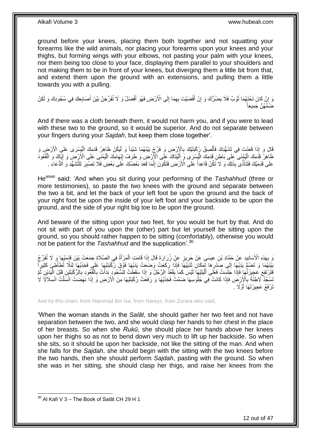ground before your knees, placing them both together and not squatting your forearms like the wild animals, nor placing your forearms upon your knees and your thighs, but forming wings with your elbows, not pasting your palm with your knees, nor them being too close to your face, displaying them parallel to your shoulders and not making them to be in front of your knees, but diverging them a little bit from that, and extend them upon the ground with an extensions, and pulling them a little towards you with a pulling.

وَ إِنْ كَانَ تَحْتَهُمَا ثَوْبٌ فَلَا يَصْرُكَ وَ إِنْ أَفْضَيْتَ بِهِمَا إِلَى الْأَرْضِ فَهُوَ أَفْضَلُ وَ لَا تُفَرِّجَنَّ بَيْنَ أَصَابِعِكَ فِي سُجُودِكَ وَ لَكِنْ َ ِ ِ َ ِ روبا<br>سا ِ ِ َ ضُمَّهُنَّ جَمِيعاً

And if there was a cloth beneath them, it would not harm you, and if you were to lead with these two to the ground, so it would be superior. And do not separate between your fingers during your *Sajdah*, but keep them close together'.

قَالَ وَ إِذَا قَعَدْتَ فِي تَشْهُدِكَ فَأَلْصِقْ رُكْبَتَنِكَ بِالْإِرْضِ وَ فَرِّجْ بَيْنَهُمَا شَيْئاً وَ لَيَكُنْ ظَاهِرُ قَدَمِكَ الْبُسْرَى عَلَى الْأَرْضِ وَ<br>عَبَدَتَ الْمُسْرَحَمِ الْمُسْرَحِمِينَ مِنْ الْمَسْرَحِ ْ ا<br>ا **∶** ْ َ طَاهِرُ قَذَمِكَ الْيُمْنَى كَلَى بَاطِنِ قَدَمِكَ الْيُسْرَى وَ أَلْيَتَاكَ عَلَى الْأَرْضِ وَ طَرَفُ إِبْهَامِكَ الْيُمْنَىِ عَلَى الْأَرْضِ وَ إِيَّاكَ وَ الْقُعُودَ ِ ا<br>ا َ ْ ا<br>ا ْ ِ ْ عَلَى قَدَمَيْكَ فَتَتَأَذَّى بِذَلِكَ وَ لَا تَكُنْ قَاعِداً عَلَى الْأَرْضِ فَتَكُونَ إِنَّمَا قَعَدَ بَعْضُكَ عَلَى بَعْضٍ فَلَا تَصْبِرَ لِلثَّشَهُّدِ وَ الدُّعَاءِ . ِ َ ِ

He<sup>asws</sup> said: 'And when you sit during your performing of the *Tashahhud* (three or more testimonies), so paste the two knees with the ground and separate between the two a bit, and let the back of your left foot be upon the ground and the back of your right foot be upon the inside of your left foot and your backside to be upon the ground, and the side of your right big toe to be upon the ground.

And beware of the sitting upon your two feet, for you would be hurt by that. And do not sit with part of you upon the (other) part but let yourself be sitting upon the ground, so you should rather happen to be sitting (comfortably), otherwise you would not be patient for the *Tashahhud* and the supplication'.<sup>30</sup>

َرَ بِهَذِهِ الْأَسَانِيدِ عَنْ حَمَّادِ بْنِ عِيسَى عَنْ جَرِيزٍ عَنْ زُرَارَةَ قَالَ إِذَا قَامَتِ الْمَرْأَةُ فِي الصَّلَاةِ جَمَعَتْ بَيْنَ قَدَمَيْهَا وَ لَا تُفَرِّجُ ِ ِ َ ْ َبَيْنَهُمَا وَ تَصْبُمُّ يَدَيْهَا إِلَى صَذْرِهَا لِمَكَانِ ثَدْيَيْهَٔا فَإِذَا رَكَعَتْ وَصَعَتْ يَدَيْهَا فَوْقَ رُكْبَتَيْهَا عَلَى فَخِذَيْهَا لِئَلَّا تُطَأْطِئَ كَثِيراً ة<br>أ ِ  $\frac{1}{2}$ ْ ِفَتَرْتَفِعَ عَجِيزَتُهُا فَإِذَا جَلَسَتْ فَعَلَى أَلْيَتَنِّهَا لَيْسَ كَمَا يَقْعُدُ الرَّجُلُ وَ إِذَا سَقَطَتْ لِلسُّجُودِ بِدَأَتْ بِالْقُعُودِ بِالرُّكْبَتَيْنِ قَبْلَ الْيَدَيْنِ ثُمَّ ْ َ ا<br>-<br>-ْ ِ ْ ِ َ َسْجُدُ لَاطِئَةً بِالْإِزْخَن فَإِذَا كَانَتْ فِي جُلُوسِهَا ضَمَّتْ فَخِذَيْهَا وَ رَفَعََتْ رُكْبَتَيْهَا مِنَ الْأَرْضِ وَ إِذَا نَهَضَتْ انْسَلَّتْ انْسِلَالَا لَا ِ تَرْفَعُ عَجِيزَتَهَا أَوَّلًا . اُ

And by this chain, from Hammad Bin Isa, from Hareyz, from Zurara who said,

'When the woman stands in the *Salāt*, she should gather her two feet and not have separation between the two, and she would clasp her hands to her chest in the place of her breasts. So when she *Rukū*, she should place her hands above her knees upon her thighs so as not to bend down very much to lift up her backside. So when she sits, so it should be upon her backside, not like the sitting of the man. And when she falls for the *Sajdah*, she should begin with the sitting with the two knees before the two hands, then she should perform *Sajdah*, pasting with the ground. So when she was in her sitting, she should clasp her thigs, and raise her knees from the

 $30$  Al Kafi V 3 – The Book of Salāt CH 29 H 1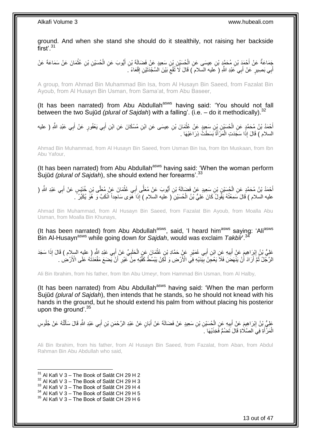ground. And when she stand she should do it stealthily, not raising her backside first'.<sup>31</sup>

ِجَمَاعَةٌ عَنْ أَحْمَدَ بْنِ مُحَمَّدٍ بْنِ عِيسَى عَنِ الْحُسَيْنِ بْنِ سَعِيدٍ عَنْ فَضَالَةَ بْنِ أَيُّوبَ عَنِ الْحُسَيْنِ بْنِ عُثْمَانَ عَنْ سَمَاعَةَ عَنْ ْ ْ َ ْ أَبِي بَصِيرٍ ۚ عَنْ أَبِي عَبْدِ اللَّهِ ( عَليه السّلام ) قَالَ لَا نُقْعِ بَيْنَ الْسَّجْدَنَيْنِ إِقْعَاءً ۖ ِ ِ َ َ

A group, from Ahmad Bin Muhammad Bin Isa, from Al Husayn Bin Saeed, from Fazalat Bin Ayoub, from Al Husayn Bin Usman, from Sama'at, from Abu Baseer,

(It has been narrated) from Abu Abdullah<sup>asws</sup> having said: 'You should not fall between the two Sujūd *(plural of Sajdah*) with a falling'. (i.e. – do it methodically). 32

أَحْمَدُ بْنُ مُحَمَّدٍ عَنِ الْحُسَيْنِ بِنِ سَعِيدٍ عَنْ عُثْمَانَ بْنِ عِيسَى عَنِ ابْنِ مُسْكَانَ عَنِ ابْنِ أَبِي يَعْفُورٍ عَنْ أَبِي عَبْدِ اللَّهِ ( عليه َ **ٔ** ْ َ السلام ) قَالَ إِذَا سَجَدَتِ الْمَرْ أَةُ بَسَطَتْ ذِرَاعَيْهَا . ْ

Ahmad Bin Muhammad, from Al Husayn Bin Saeed, from Usman Bin Isa, from Ibn Muskaan, from Ibn Abu Yafour,

(It has been narrated) from Abu Abdullah<sup>asws</sup> having said: 'When the woman perform Sujūd *(plural of Sajdah*), she should extend her forearms<sup>'.33</sup>

َّ أَحْمَدُ بْنُ مُحَمَّدٍ عَنِ الْحُسَيْنِ بْنِ سَعِيدٍ عَنْ فَضَالَةَ بْنِ أَيُّوبَ عَنْ مُعَلَّى أَبِي عُثْمَانَ عَنْ مُعَلِّى بْنِ خُنَيْسٍ عَنْ أَبِي عَبْدِ اللَّهِ ( ْ َ  $-61$ اً َ ْ َ َ عليه السلام ) قَالَ سَمِعْتُهُ يَقُولُ كَانَ عَلِيُّ بْنُ الْحُسَيْنِ ( عليه السلام ) إِذَا هَوَى سَاجِداً انْكَبَّ وَ هُوَ يُكَبِّرُ ً **ٔ** َ ِ ْ

Ahmad Bin Muhammad, from Al Husayn Bin Saeed, from Fazalat Bin Ayoub, from Moalla Abu Usman, from Moalla Bin Khunays,

(It has been narrated) from Abu Abdullah<sup>asws</sup>, said, 'I heard him<sup>asws</sup> saying: 'Ali<sup>asws</sup>  $\dot{\mathsf{B}}$ in Al-Husayn<sup>asws</sup> while going down *for Sajdah*, would was exclaim *Takbīr*'.<sup>34</sup>

عَلِيُّ بْنُ إِبْرَاهِيمَ عَنْ أَبِيهِ عَنِ ابْنِ أَبِي عُمَيْرٍ عَنْ حَمَّادِ بْنِ عُثْمَانَ عَنِ الْحَلَبِيِّ عَنْ أَبِي عَبْدِ اللَّهِ ( عليه السلام ) قَالَ إِذَا سَجَدَ َ **∶** ْ ْ َ **!** َ ِ الرَّجُلُ ثُمَّ أَرَادَ أَنْ يَنْهَضَ فَلاَّ يَعْجِّنُ بِيَّدَيْهِ فِيٍّ الْأَرْضِ وَ لَكِنْ يَبْسُطُ كَفَّيْهِ مِنْ خَيْرِ أَنْ يَضَعَ مَقْعَدَتُهُ عَلَى الْأَرْضِ . َ **ٍ** ِ اُ ُ

Ali Bin Ibrahim, from his father, from Ibn Abu Umeyr, from Hammad Bin Usman, from Al Halby,

(It has been narrated) from Abu Abdullah<sup>asws</sup> having said: 'When the man perform Sujūd *(plural of Sajdah*), then intends that he stands, so he should not knead with his hands in the ground, but he should extend his palm from without placing his posterior upon the ground'.<sup>35</sup>

عَلِيُّ بْنُ إِبْرَاهِيمَ عَنْ أَبِيهِ عَنِ الْجُسَيْنِ بْنِ سَعِيدٍ عَنْ فَضَالَةَ عَنْ أَبَانٍ عَنْ عَبْدِ الرَّحْمَنِ بْنِ أَبِي عَبْدِ اللَّهِ قَالَ سَأَلْتُهُ عَنْ جُلُوسِ َ ْ ِ َ ِ ْ َ َ الْمَرْۚ أَةِ فِيَ الصَّلَاةِ قَالَ تَضُمُّ فَخِذَيْهَا ۚ أَ َ ْ

Ali Bin Ibrahim, from his father, from Al Husayn Bin Saeed, from Fazalat, from Aban, from Abdul Rahman Bin Abu Abdullah who said,

 $31$  Al Kafi V 3 – The Book of Salāt CH 29 H 2

- $32$  Al Kafi V 3 The Book of Salāt CH 29 H 3
- $33$  Al Kafi V 3 The Book of Salāt CH 29 H 4
- $^{34}$  Al Kafi V 3 The Book of Salāt CH 29 H 5

 $35$  Al Kafi V 3 – The Book of Salāt CH 29 H 6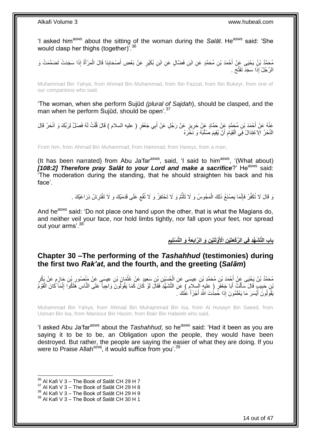'I asked him<sup>asws</sup> about the sitting of the woman during the Salat. He<sup>asws</sup> said: 'She would clasp her thighs (together)'.<sup>36</sup>

ْ مُحَمَّدُ بْنُِ يَحْيَى عِنْ أَحْمَدَ بْنِ مُحَمَّدٍ عَنِ ابْنِ فَضَّالٍ عَنِ ابْنِ بُكَيْرٍ عَنْ بَعْضِ أَصْحَابِنَا قَالَ الْمَرْأَةُ إِذَا سَجَدَتْ تَضَمَّمَتْ وَ<br>دَعَيْدُ بْنُ يَحْيَى عِنْ أَحْمَدَ بْنِ مُحَمَّدٍ عَنِ ِ َ الرَّجُلُ إِذَا سَجَدَ تَفَثَّحَ .

Muhammad Bin Yahya, from Ahmad Bin Muhammad, from Ibn Fazzal, from Ibn Bukeyr, from one of our companions who said,

'The woman, when she perform Sujūd *(plural of Sajdah*), should be clasped, and the man when he perform Sujūd, should be open<sup>'.37</sup>

عَذْهُ عَنْ أَحْمَدَ بْنِ مُجَمَّدٍ عَنْ حَمَّادٍ عَنْ حَرِيزٍ عَنْ رَجُلٍ عَنْ أَبِي جَعْفَرٍ ( عليه السلام ) قَالَ قُلْتُ لَهُ فَصَلٍّ لِرَبِّكَ وَ انْحَرْ قَالَ ْ َ **ٍ** النَّحْرُ الِاعْتِدَالُ فِي الْقِيَامِ أَنْ يُقِيمَ صُلْبَهُ وَ نَحْرَهُ :<br>ا ِ ْ

From him, from Ahmad Bin Muhammad, from Hammad, from Hareyz, from a man,

(It has been narrated) from Abu Ja'far $a$ <sup>asws</sup>, said, 'I said to him $a$ <sup>asws</sup>, '(What about) **[108:2] Therefore pray Salāt to your Lord and make a sacrifice?**' He<sup>asws</sup> said: 'The moderation during the standing, that he should straighten his back and his face'.

> وَ قَالَ لَا تُكَفِّرْ فَإِنَّمَا يَصْنَعُ ذَلِكَ الْمَجُوسُ وَ لَا تَلَثَّمْ وَ لَا تَحْتَفِزْ وَ لَا تُفْع عَلَى قَدَمَيْكَ وَ لَا تَفْتَرِشْ ذِرَاعَيْكَ . ِ َّ ْ ِ ِ

And he<sup>asws</sup> said: 'Do not place one hand upon the other, that is what the Magians do, and neither veil your face, nor hold limbs tightly, nor fall upon your feet, nor spread out your arms'.<sup>38</sup>

> باب التَّشَهُّدِ فِى الرَّكْعَتَيْنِ الْأَوَّلَتَيْنِ وَ الرَّابِعَةِ وَ التَّسْلِيمِ **ِ ِ**

### <span id="page-13-0"></span>**Chapter 30 –The performing of the** *Tashahhud* **(testimonies) during the first two** *Rak'at***, and the fourth, and the greeting (***Salām***)**

مُحَمَّدُ بْنُ يَحْيَى عَنْ أَحْمَدَ بْنِ مُحَمَّدِ بْنِ عِيسَى عَنِ الْجُسَيْنِ بْنِ سَعِيدٍ عَنْ غُثْمَانَ ب<br>مُحَمَّدُ بْنُ يَحْيَى عَنْ أَحْمَدَ بْنِ مُحَمَّدِ بْنِ عِيسَى عَنِ الْجُسَيِّيِّ ، يَجْمِعُ عَنْ غَثْمَانَ ب ْ َ ; ֧֖֖֖֖֧֧֧ׅ֧֧ׅ֧֚֚֚֚֚֚֚֚֚֓֝֝֬֝֟֓֝֓֝֓֝֓֜֟֓֟֓֟֓֝֬֜֝ ِ ِ **ٔ** َّنِنِ جَبِيبٍ قَالَ سَأَلْتُ أَبَا جَعْفَرٍ ( عِليهٍ اَلسِلام ) عَنَ التَّشَهُّدِ فَقَالَ لَوْ كَانَ كَمَا يَقُولُونَ وَاجِباً عَلَى النَّاسِ هَلَكُوا إِنَّمَا كَانَ الْقَوْمَ َ ْ َ **!** ْ ِ يَقُوَلُونَ أَيْسَرَ مَا يَعْلَمُونَ إِذَا حَمِدُْتَ اللَّهَ أَجْزَأَ عَٰنْكَ بَ َ َ َ

Muhammad Bin Yahya, from Ahmad Bin Muhajmmad Bin Isa, from Al Husayn Bin Saeed, from Usman Bin Isa, from Mansour Bin Hazim, from Bakr Bin Habeeb who said,

'I asked Abu Ja'far<sup>asws</sup> about the *Tashahhud*, so he<sup>asws</sup> said: 'Had it been as you are saying it to be to be, an Obligation upon the people, they would have been destroyed. But rather, the people are saying the easier of what they are doing. If you were to Praise Allah<sup>azwj</sup>, it would suffice from you'.<sup>39</sup>

 $36$  Al Kafi V 3 – The Book of Salāt CH 29 H 7

 $37$  Al Kafi V 3 – The Book of Salāt CH 29 H 8

 $38$  Al Kafi V 3 – The Book of Salāt CH 29 H 9

<sup>39</sup> Al Kafi V 3 – The Book of Salāt CH 30 H 1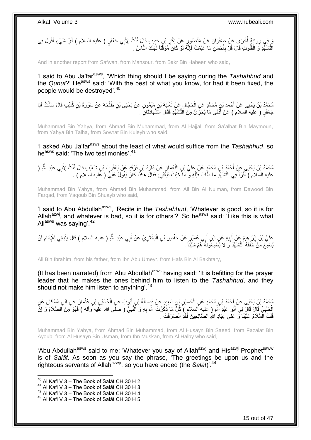وَ إِنَّهُمْ أُخْرَى عَنْ صَفْوَانَ عَنْ مَنْصُورٍ عَنْ بَكْرِ بْنٍ جَبِيبٍ قَالَ قُلْتُ لِأَبِي جَعْفَرٍ ( عليه السلام ) أَيَّ شَيْءٍ أَقُولُ فِي ْ ِ **∶** ان<br>ا ِ َ النَّشَهُّدِ وَ الْقُنُوتِ قَالَ قُلْ بِأَحْسَنِ مَا عَلِمْتَ فَإِنَّهُ لَوْ كَانَ مُوَقَّتاً لَهَلَكَ النَّاسُ لَ ِ َ **∶** ْ

And in another report from Safwan, from Mansour, from Bakr Bin Habeen who said,

'I said to Abu Ja'farasws, 'Which thing should I be saying during the *Tashahhud* and the *Qunut*?' He<sup>asws</sup> said: 'With the best of what you know, for had it been fixed, the people would be destroyed'.<sup>40</sup>

مُحَمَّدُ بْنُ يَحْيَى عَنْ أَحْمَدَ بْنِ مُحَمَّدٍ عَنِ الْحَجَّالِ عَنْ ثَعْلَيَةَ بْنِ مَيْمُونٍ عَنْ يَحْيَى بْنِ طَلْحَةَ عَنْ سَوْرَةَ بْنِ كُلَّيْبِ قَالَ سَأَلْتُ أَبَا ْ  $\ddot{\phantom{0}}$ ْ َ ْ َ جَعْفَرٍ ( عليه السلام ) عَنْ أَذَنَى مَا يُجْزِئُ مِنَ النَّشَهُّدِ فَقَالَ الشَّهَادَتَانِّ . ِ َ

Muhammad Bin Yahya, from Ahmad Bin Muhammad, from Al Hajjal, from Sa'albat Bin Maymoun, from Yahya Bin Talha, from Sowrat Bin Kuleyb who said,

'I asked Abu Ja'far<sup>asws</sup> about the least of what would suffice from the Tashahhud, so he<sup>asws</sup> said: 'The two testimonies'.<sup>41</sup>

مُحَمَّدُ بْنُ يَحْيَيِ عَنْ أَحْمَدَ بْنِ مُحَمَّدٍ عَنْ عَلِيٍّ بْنِ النُّعْمَانِ عَنْ دَاوُدَ بْنِ فَرْقَدٍ عَنْ يَعْقُوبَ بْنِ شُعَيْبِ قَالَ قُلْتُ لِأَبِي عَبْدِ اللَّهِ ( َ ْ عليه السلام ) أَقْرَأُ فِي النَّشَهُّدِ مَا طَّابَ فَلِلَّهِ وَ مَا َخَبُثَ فَلِغَيْرِهِ فَقَالَ هَكَذَا كَانَ يَقُولُ عَلِيٍّ ( عَليه السلام ) . ِ َّ َ

Muhammad Bin Yahya, from Ahmad Bin Muhammad, from Ali Bin Al Nu'man, from Dawood Bin Farqad, from Yaqoub Bin Shuayb who said,

'I said to Abu Abdullah<sup>asws</sup>, 'Recite in the *Tashahhud*, 'Whatever is good, so it is for Allah<sup>azwj</sup>, and whatever is bad, so it is for others'?' So he<sup>asws</sup> said: 'Like this is what Aliasws was saying'.<sup>42</sup>

عَلِيُّ بْنُ إِبْرَاهِيمَ عَنْ أَبِيهِ عَنِ ابْنِ أَبِي عُمَيْرٍ عَنْ حَفْصِ بْنِ الْبَخْتَرِيِّ عَنْ أَبِي عَبْدِ اللَّهِ ( عليه السلام ) قَالَ يَنْبَغِي لِلْإِمَامِ أَنْ َ ِ ْ َ **!** َ ِ َ ِ يُسْمِعَ مَنْ خَلْفَهُ النَّشَهُّدَ وَ لَا يُسْمِعُونَهُ ۚ هُمْ شَيْئًا ۚ ـ ْ

Ali Bin Ibrahim, from his father, from Ibn Abu Umeyr, from Hafs Bin Al Bakhtary,

(It has been narrated) from Abu Abdullah<sup>asws</sup> having said: 'It is befitting for the prayer leader that he makes the ones behind him to listen to the *Tashahhud*, and they should not make him listen to anything<sup>'.43</sup>

مُحَمَّدُ بْنُ يَحْيَى عَنْ أَحْمَدَ بْنِ مُحَمَّدٍ عَنِ الْحُسَيْنِ بْنِ سَعِيدٍ عَنْ فَضَالَةَ بْنِ أَيُّوِبَ عَنِ الْحُسَيْنِ بْنِ عُثْمَانَ عَنِ ابْنِ مُسْكَانَ عَنِ ْ َ ْ َ **ٔ** الْحَلَبِيِّ قَالَ قَالَ لِي أَبُو عَبْدِ اَللَّهِ (ِ عَليهِ السلامِ ) كُلُّ مَا ذَكَرْتَ اللَّهَ بِهِ وَ النَّبِيَّ ( صلَى الله عَليه وأله ) فَهُوَ مِنَ الصَّلَاةِ وَ إِنَّ َ **∶** ِ ِ **∶** قُلْتَ الْسَّلَامُ عَلَيْنَا وَ عَلَى عِبَادِ اللَّهِ الصَّالِحِينَ فَقَدِ انْصَرَفْتَ . ْ

Muhammad Bin Yahya, from Ahmad Bin Muhammad, from Al Husayn Bin Saeed, from Fazalat Bin Ayoub, from Al Husayn Bin Usman, from Ibn Muskan, from Al Halby who said,

'Abu Abdullah<sup>asws</sup> said to me: 'Whatever you say of Allah<sup>azwj</sup> and His<sup>azwj</sup> Prophet<sup>saww</sup> is of *Salāt*. As soon as you say the phrase, 'The greetings be upon us and the righteous servants of Allah<sup>azwj</sup>', so you have ended (the Salat)<sup>' 44</sup>

 $^{40}$  Al Kafi V 3 – The Book of Salāt CH 30 H 2

 $41$  Al Kafi V 3 – The Book of Salat CH 30 H 3

 $^{42}$  Al Kafi V 3 – The Book of Salāt CH 30 H 4

 $43$  Al Kafi V 3 – The Book of Salāt CH 30 H 5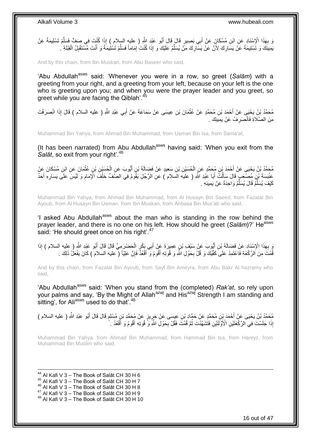

And by this chain, from Ibn Muskan, from Abu Baseer who said,

'Abu Abdullah<sup>asws</sup> said: 'Whenever you were in a row, so greet (Salām) with a greeting from your right, and a greeting from your left, because on your left is the one who is greeting upon you; and when you were the prayer leader and you greet, so areet while you are facing the Qiblah'.

مُحَمَّدُ بْنُ يَحْبِي عَنْ أَحْمَدَ بْنِ مُحَمَّدٍ عَنْ عُثْمَانَ بْنِ عِيسَى عَنْ سَمَاعَةَ عَنْ أَبِي عَبْدِ اللَّهِ ( عليه السلام ) قَالَ إِذَا انْصَرَفْتَ َ **ٔ** مِنَ الصَّلَاةِ فَانْصَرِ فْ عَنْ يَمِينِكَ . ِ

Muhammad Bin Yahya, from Ahmad Bin Muhammad, from Usman Bin Isa, from Sama'at,

(It has been narrated) from Abu Abdullah<sup>asws</sup> having said: 'When you exit from the *Salāt*, so exit from your right<sup>', 46</sup>

مُحَمَّدُ بْنُ يَحْيَى عَنْ أَحْمَدَ بْنِ مُحَمَّدٍ عَنِ الْحُسَيْنِ بْنِ سَعِيدٍ عَنْ فَضَالَةَ بْنِ أَيُّوبَ عَنِ الْحُسَيْنِ بْنِ عُثْمَانَ عَنِ ابْنِ مُسْكَانَ عَنْ ْ **ٔ** ْ َ عَنْبَسَةَ بْنِ مُصْعَبٍ قَالَ سَأَلْتُ أَبَا عَبْدِ اللَّهِ ( عليه السَلام ) عَنِ الرَّجُلِ يَقُومُ فِي الصَّفِّ خَلْفَ الْإِمَامِ وَ لَيْسَ عَلَى يَسَارِهِ أَحَدٌ ْ َ ْ َ َ ِ ِ كَيْفَ يُسَلِّمُ قَالَ يُسَلِّمُ وَاحِدَةً عَنْ يَمِينِهِ . ِّ ِّ

Muhammad Bin Yahya, from Ahmad Bin Muhammad, from Al Husayn Bin Saeed, from Fazalat Bin Ayoub, from Al Husayn Bin Usman, from Ibn Muskan, from Anbasa Bin Mus'ab who said,

'I asked Abu Abdullah<sup>asws</sup> about the man who is standing in the row behind the prayer leader, and there is no one on his left. How should he greet (Salam)?' He<sup>asws</sup> said: 'He should greet once on his right'.<sup>47</sup>

َ بِهَذَا الْإِسْنَادِ عَنْ فَضَالَةَ بْنِ أَيُّوبَ عَنْ سَيْفٍ بْنِ عَمِيرَةَ عَنْ أَبِي بَكْرِ الْحَضْرَمِيِّ قَالَ قَالَ أَبُو عَيْدِ اللَّهِ ( عليه السلام ) إِذَا<br>وَجَهَّدَتُ وَجَهَّدُو وَجَهَةً فَضَالَةً بِنَ تَعْبِد َ ِ َ ْ َ قُمْتَ مِنَ الرَّكْعَةِ فَاعْتَمِدْ عَلَى كَفَّيْكَ وَ قُلْ بِحَوْلِ اللَّهِ وَ قُوتِهِ أَقُومُ وَ أَقْعُدَّ فَإِنَّ عَلِيّاً ( عليه السلام ) كَانَ يَفْعَلُ ذَلِكَ . ِ َ ِ

And by this chain, from Fazalat Bin Ayoub, from Sayf Bin Ameyra, from Abu Bakr Al hazramy who said,

'Abu Abdullah<sup>asws</sup> said: 'When you stand from the (completed) *Rak'at*, so rely upon your palms and say, 'By the Might of Allah<sup>azwj</sup> and His<sup>azwj</sup> Strength I am standing and sitting', for Aliasws used to do that'.<sup>48</sup>

مُحَمَّدُ بْنُ يَحْيَى عَنْ أَحْمَدَ بِنِ مُحَمَّدٍ عَنْ حَمَّادِ بْنِ عِيسَى عَنْ حَرِينٍ عَنْ مُحَمَّدِ بْنِ مُسْلِمٍ قَالَ قَالَ أَبُو عَبْدِ اللَّهِ ( عليه السلام )<br>مُحَمَّدُ بْنُ يَحْيَى عَنْ أَحْمَدَ بِنِ مُحَمَّدٍ ع ֧֖֧֚֚֓֝֝֝ **∶** َ إِذَا جَلَسْتَ فِي الرَّكَعَتَيْنِ الْأَوَّلَّتَيْنِ فَتََشَهَّدْتَ ثُمَّ قُمْتَ فَقُلْ بِحَوْلِ الثَّهِ وَۗ قُوتِهِ أَقُومُ وَ أَقْعُدُ . َ َ **∶** ُ

Muhammad Bin Yahya, from Ahmad Bin Muhammad, from Hammad Bin Isa, from Hareyz, from Muhammad Bin Muslim who said,

1  $^{44}$  Al Kafi V 3 – The Book of Salāt CH 30 H 6 Al Kafi V 3 – The Book of Salāt CH 30 H 7 Al Kafi V 3 – The Book of Salāt CH 30 H 8 Al Kafi V  $3 -$  The Book of Salāt CH 30 H 9 Al Kafi V 3 – The Book of Salāt CH 30 H 10

16 out of 47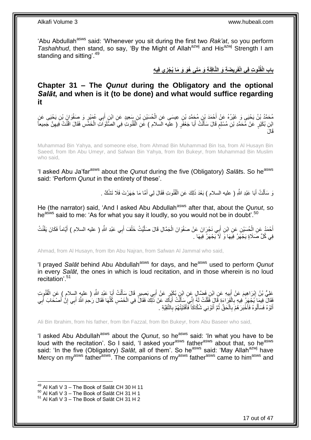'Abu Abdullah<sup>asws</sup> said: 'Whenever you sit during the first two *Rak'at*, so you perform *Tashahhud*, then stand, so say, 'By the Might of Allah<sup>azwj</sup> and His<sup>azwj</sup> Strength I am standing and sitting<sup>'.49</sup>

> باب الْقُنُوتِ فِى الْفَرِيضَةِ وَ النَّافِلَةِ وَ مَتَى هُوَ وَ مَا يُجْزِي فِيهِ **ِ**

<span id="page-16-0"></span>**Chapter 31 – The** *Qunut* **during the Obligatory and the optional**  *Salāt***, and when is it (to be done) and what would suffice regarding it**

مُحَمَّدُ بْنُ يَحْيَى وَ غَيْرُهُ عَنْ أَحْمَدَ بْنِ مُحَمَّدِ بْنِ عِيسَى عَنِ الْحُسَيْنِ بْنِ سَعِيدٍ عَنِ ابْنِ أَبِي عُمَيْرٍ وَ صَفْوَانَ بْنِ يَحْيَى عَنِ<br>. ْ َ َ ْ ابْنِ بُكَيْرٍ عَنْ مُحَمَّدِ بْنِ مُسْلِمٍ قَالَ سَأَلْتُ أَبَا جَعْفَرٍ ( عليه السلام ) عَنِ اَلْقُنُوتِ فِيَ الصَّلَوَاتِ الْخَمَّسِ فَقَالَ اقْنُتْ فِيهِنَّ جَمِيعاً ْ َ ْ َ ٍ ِ َقا َل

Muhammad Bin Yahya, and someone else, from Ahmad Bin Muhammad Bin Isa, from Al Husayn Bin Saeed, from Ibn Abu Umeyr, and Safwan Bin Yahya, from Ibn Bukeyr, from Muhammad Bin Muslim who said,

'I asked Abu Ja'far<sup>asws</sup> about the *Qunut* during the five (Obligatory) Salāts. So he<sup>asws</sup> said: 'Perform *Qunut* in the entirety of these'.

> وَ سَأَلْتُ أَبَا عَبْدِ اللَّهِ ( عليه السلام ) بَعْدَ ذَلِكَ عَنِ الْقُنُوتِ فَقَالَ لِي أَمَّا مَا جَهَرْتَ فَلَا تَشْكُّ . َ ْ َ ْ َ

He (the narrator) said, 'And I asked Abu Abdullah<sup>asws</sup> after that, about the *Qunut*, so he<sup>asws</sup> said to me: 'As for what you say it loudly, so you would not be in doubt'.<sup>50</sup>

أَحْمَدُ عَنِ الْحُسَيْنِ عَنِ ابْنِ أَبِي نَجْرَانَ عَنْ صَفْوَانَ الْجَمَّالِ قَالَ صَلَّيْتُ خَلْفَ أَبِي عَبْدِ اللَّهِ ( عليه السلام ) أَيَّاماً فَكَانَ يَقْنُتُ َ ْ َّ ْ َ ْ َ في كُلِّ صَلَاةٍ يَجْهَرُ فِيهَا وَ لَا يَجْهَرُ فِيهَا .

Ahmad, from Al Husayn, from Ibn Abu Najran, from Safwan Al Jammal who said,

'I prayed *Salāt* behind Abu Abdullah<sup>asws</sup> for days, and he<sup>asws</sup> used to perform *Qunut* in every *Salāt*, the ones in which is loud recitation, and in those wherein is no loud recitation'.<sup>51</sup>

عَلِيُّ بْنُ إِبْرَاهِيمَ عَنْ أَبِيهِ عَنِ ابْنِ فَضَالٍ عَنِ ابْنٍ بُكَيْرٍ عَنْ أَبِي بَصِبِرٍ قَالَ سَأَلْتُ أَبَا عَبْدِ اللَّهِ ( عليه السلام ) عَنِ الْقُنُوِتِ َ ْ َ َ **!** َ ِ ْ فَقَالَ فِيمَا يُجْهَزُ ٰ فِيهِ بِالْقَرَاءَةِ قَالَ فَقُلْتُ لَهُ ۚ إِنِّي سَأَلْتُ أَبَاكَ عَنْ ذَلِّكَ فَقَالً فِي الْخَمْسِ كُلِّهَا فَقَالَ رَحٰمَ اللَّهُ أَبِي إِنَّ أَصْحَابَ أَبِي<br>يَنِفُقُلْ تَفِيمُ يُجْهِزُ ۖ فِي ِّ ْ َ ْ َ ِ ْ :<br>ا ِ ِ َ َ ِ َ أَتَوْهُ فَسَأَلُوهُ فَأَخْبَرَ هُمْ بِالْحَقِّ ثُمَّ أَتَوْنِي شُكَّاكَاً فَأَفْتَيْتُهُمْ بِالثَّقِيَّةِ . ِ َ َ ا ماہ<br>سال ْ ِ ا<br>استعمال َ َ

Ali Bin Ibrahim, from his father, from Ibn Fazzal, from Ibn Bukeyr, from Abu Baseer who said,

'I asked Abu Abdullah<sup>asws</sup> about the *Qunut*, so he<sup>asws</sup> said: 'In what you have to be loud with the recitation'. So I said, 'I asked your<sup>asws</sup> father<sup>asws</sup> about that, so he<sup>asws</sup> said: 'In the five (Obligatory) Salat, all of them'. So he<sup>asws</sup> said: 'May Allah<sup>azwj</sup> have Mercy on my<sup>asws</sup> father<sup>asws</sup>. The companions of my<sup>asws</sup> father<sup>asws</sup> came to him<sup>asws</sup> and

 $49$  Al Kafi V 3 – The Book of Salāt CH 30 H 11

 $^{50}$  Al Kafi V 3 – The Book of Salāt CH 31 H 1

 $51$  Al Kafi V 3 – The Book of Salāt CH 31 H 2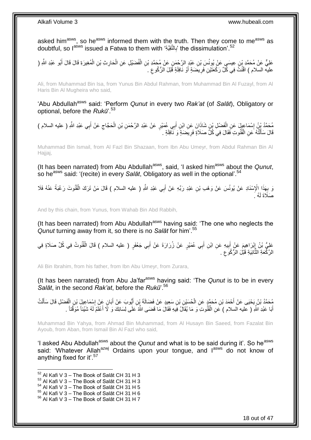asked him<sup>asws</sup>, so he<sup>asws</sup> informed them with the truth. Then they come to me<sup>asws</sup> as doubtful, so l<sup>asws</sup> issued a Fatwa to them with 'بِالتَّقِيَّةِ' the dissimulation'.<sup>52</sup> **∶** 

عَلِيٌّ عَنْ مُحَمَّدٍ بْنِ عِيسَى عَنْ يُونُسَ بْنِ عَبْدٍ الرَّحْمَنِ عَنْ مُحَمَّدِ بْنِ الْفُضَيْلِ عَنِ الْحَارِثِ بْنِ الْمُغِيرَةِ قَالَ قَالَ أَبُو عَبْدِ اللَّهِ ( **∶** ْ ْ َ عليه السلام ) اقْنُثَّ فِي كُلِّ رَكْعَنَيْنِ فَرِيضَةٍ أَوْ نَافِلَةٍ قَبْلَ الرُّكُوعِ . ِ َ ِ

Ali, from Muhammad Bin Isa, from Yunus Bin Abdul Rahman, from Muhammad Bin Al Fuzayl, from Al Haris Bin Al Mugheira who said,

'Abu Abdullah<sup>asws</sup> said: 'Perform *Qunut* in every two *Rak'at* (of *Salāt*), Obligatory or optional, before the *Rukū*'.<sup>53</sup>

مُحَمَّدُ بِنُ إِسْمَاعِيلَ عَنِ الْفَضْلِ بْنِ شَاذَانَ عَنِ ابْنِ أَبِي عُمَيْرٍ عَنْ عَبْدِ الرَّحْمَنِ بْنِ الْحَجَّاجِ عَنْ أَبِي عَبْدِ الثَّهِ ( عليه السلام )<br>ِ ِ ْ َ ْ ِ َ قَالَ سَأَلْتُهُ عَنِ الْقُنُوتِ فَقَالَ فِي كُلٍّ صَلَاةٍ فَرِيضَةٍ وَ نَـْافِلَةٍ . **∶** ْ ֺ֦֦֪֦֧֦֦֖֦֦֪֦֧֦֪֦֧֦֪֪֦֧֦֪֦֪֪֦֧֦֪֦֧֦֧֦֪֦֧֦֧֦֪֪֦֧֪֦֧֪֦֧֦֧֦֧֝֟֟֟֟֟֟֟֟֟֟֟֟֟֟֟֟֟֟֟֟֟֟֓֕֬֟֓֡֟֓֟֓֞֟֟֓֞֟֟֟֟֟֟֟֩֓֞֟֟֟֟֟֟ َ

Muhammad Bin Ismail, from Al Fazl Bin Shazaan, from Ibn Abu Umeyr, from Abdul Rahman Bin Al Hajjaj,

(It has been narrated) from Abu Abdullah<sup>asws</sup>, said, 'I asked him<sup>asws</sup> about the *Qunut*, so he<sup>asws</sup> said: '(recite) in every *Salāt*, Obligatory as well in the optional'.<sup>54</sup>

وَ بِهَذَا الْإِسْنَادِ عَنْ يُونُسَ عَنْ وَهْبِ بْنِ عَبْدِ رَبِّهِ عَنْ أَبِي عَبْدِ اللَّهِ ( عليه السلام ) قَالَ مَنْ تَرَكَ الْقُنُوتَ رَغْبَةً عَنْهُ فَلَا َ ِ ْ صَلَاةَ لَهُ  $\,$ 

And by this chain, from Yunus, from Wahab Bin Abd Rabbih,

(It has been narrated) from Abu Abdullah<sup>asws</sup> having said: 'The one who neglects the *Qunut* turning away from it, so there is no *Salāt* for him'.<sup>55</sup>

عَلِيُّ بْنُ إِبْرَاهِيمَ عَنْ أُبِيهِ عَنِ ابْنِ أَبِي عُمَيْرٍ عَنْ زُرَارَةَ عَنْ أَبِي جَعْفَرٍ ( عليه السلام ) قَالَ الْقُنُوتُ فِي كُلِّ صَلَاةٍ فِي ْ َ َ **!** َ ِ الرَّكْعَةِ الثَّانِيَةِ قَبْلَ الرُّكُوَ عِ ِ ة<br>•<br>•

Ali Bin Ibrahim, from his father, from Ibn Abu Umeyr, from Zurara,

(It has been narrated) from Abu Ja'far<sup>asws</sup> having said: 'The *Qunut* is to be in every *Salāt*, in the second *Rak'at*, before the *Rukū*'.<sup>56</sup>

مُحَمَّدُ بْنُ يَحْيَى عَنْ أَحْمَدَ بْنِ مُحَمَّدٍ عَنِ الْحُسَيْنِ بْنِ سَعِيدٍ عَنْ فَضَالَةَ بِّنِ أَيُّوبَ عَنْ أَبَانٍ عَنْ إِسْمَاعِيلَ بْنِ الْفَضْلِ قَالَ سَأَلْتُ َ ْ َ ْ َ ْ ِ َ َ أَبَا عَبْدِ اللَّهِ ( عليه السلام ) عَنِ الْقُنُوتِ وَ مَا يُقَالُ فِيهِ فَقَالَ مَا قَضَى اللَّهُ عَلَى لِسَانِكَ وَ لَّا أَعْلَمُ لَهُ شَيْئاً مُوَقَّتاً . ْ َ

Muhammad Bin Yahya, from Ahmad Bin Muhammad, from Al Husayn Bin Saeed, from Fazalat Bin Ayoub, from Aban, from Ismail Bin Al Fazl who said,

'I asked Abu Abdullah<sup>asws</sup> about the *Qunut* and what is to be said during it'. So he<sup>asws</sup> said: 'Whatever Allah<sup>azwj</sup> Ordains upon your tongue, and lasws do not know of anything fixed for it'.<sup>57</sup>

- $53$  Al Kafi V 3 The Book of Salāt CH 31 H 3
- $54$  Al Kafi V 3 The Book of Salāt CH 31 H 5
- $^{55}$  Al Kafi V 3 The Book of Salāt CH 31 H 6

 $52$  Al Kafi V 3 – The Book of Salāt CH 31 H 3

<sup>56</sup> Al Kafi V 3 – The Book of Salāt CH 31 H 7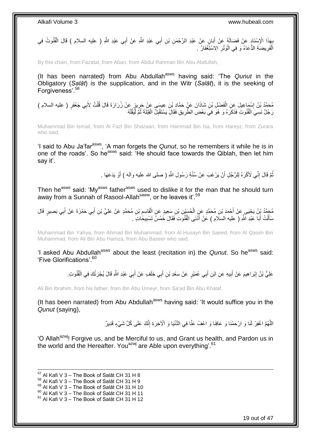ِيهَذَا الْإِسْنَادِ عَنْ فَضَالَةَ عَنْ أَبَانٍ عَنْ عَبْدِ الرَّحْمَنِ بْنِ أَبِي عَبْدِ اللَّهِ عَنْ أَبِي عَبْدِ اللَّهِ ( عليه السلام ) قَالَ الْقُنُوتُ فِي<br>يَعْبُدُ الْإِسْنَادِ عَنْ فَضَالَةً عَنْ أَبَانٍ عَنْ عَبْ َ َ َ ِ ْ اَلْفَرِيضَةِ الدُّعَاءُ وَ فِي الْوَتْرِ الِاسْتِغْفَارُ . **∶** ْ **∶** ْ

By this chain, from Fazalat, from Aban, from Abdul Rahman Bin Abu Abdullah,

(It has been narrated) from Abu Abdullah<sup>asws</sup> having said: 'The *Qunut* in the Obligatory (*Salāt*) is the supplication, and in the Witr (*Salāt*), it is the seeking of Forgiveness'.<sup>58</sup>

مُحَمَّدُ بْنُ إِسْمَاعِيلَ عِنِ الْفَضْلِ بْنِ شَاذَانَ عَنْ حَمَّادِ بْنِ عِيسَى عَنْ حَرِينٍ عَنْ زُرَارَةَ قَالَ قُلْتُ لِأَبِي جَعْفَرٍ ( عليه السلام )<br>مُحَمَّدُ بْنُ إِسْمَاعِيلَ عِنِ الْفَضْلِ بْنِ شَاذَانَ عَنْ حَم ْ ِ ْ **֡** رَجُلٌ نَسِيَ الْقُنُوتَ فَذَكَرَهُ وَ هُوَ فِيَ بَعْضِ الطَّرِيقِ فَقَالَ يَسْتَقْبِلُ الْقِلْةَ ثُمَّ لَيُقُلُهُ ْ ْ ْ ُ ْ ِ **∶** 

Muhammad Bin Ismail, from Al Fazl Bin Shazaan, from Hammad Bin Isa, from Hareyz, from Zurara who said,

'I said to Abu Ja'far<sup>asws</sup>, 'A man forgets the *Qunut*, so he remembers it while he is in one of the roads'. So he<sup>asws</sup> said: 'He should face towards the Qiblah, then let him say it'.

> نُّمَّ قَالَ إِنِّي لَأَكْرَهُ لِلرَّجُلِ أَنْ يَرْغَبَ عَنْ سُنَّةِ رَسُولِ اللَّهِ ( صلى الله عليه وآله ) أَوْ يَدَعَهَا . َ َ ِ ُ

Then he<sup>asws</sup> said: 'My<sup>asws</sup> father<sup>asws</sup> used to dislike it for the man that he should turn away from a Sunnah of Rasool-Allahsaww, or he leaves it'.<sup>59</sup>

مُحَمَّدُ بِّنُ يَحْيَى عَنْ أَحْمَدَ بْنِ مُحَمَّدٍ عَنِ الْحُسَيْنِ بْنِ سَعِيدٍ عَنِ الْقَاسِمِ بْنِ مُحَمَّدٍ عَنْ عَلِيٍّ بْنِ أَبِي حَمْزَةَ عَنْ أَبِي بَصِيرٍ قَالَ ِ ْ ْ َ ِ َ َ سَأَلْتُ أَبَا عَبْدِ اللّهِ ( عليه السلَام ) عَنْ أَدْنَى الْقُنُوتِ فَقَالَ خَمْسُ تَسْبِيخَاتٍ َ ـ ِ ْ َ َ ْ َ

Muhammad Bin Yahya, from Ahmad Bin Muhammad, from Al Husayn Bin Saeed, from Al Qasim Bin Muhammad, from Ali Bin Abu Hamza, from Abu Baseer who said,

'I asked Abu Abdullah<sup>asws</sup> about the least (recitation in) the *Qunut*. So he<sup>asws</sup> said: 'Five Glorifications' 60

> عَلِيُّ بْنُ إِبْرَاهِيمَ عَنْ أَبِيهِ عَنِ ابْنِ أَبِي عُمَيْرٍ عَنْ سَعْدِ بْنِ أَبِي خَلَفٍ عَنْ أَبِي عَبْدِ اللَّهِ قَالَ يُجْزِئُكَ فِي الْقُنُوتِ. َ َ َ **!** َ ِ ْ ِ

Ali Bin Ibrahim, from his father, from Ibn Abu Umeyr, from Sa'ad Bin Abu Khalaf,

(It has been narrated) from Abu Abdullah<sup>asws</sup> having said: 'It would suffice you in the *Qunut* (saying),

> اللَّهُمَّ اغْفِرْ لَنَا وَ ارْحَمْنَا وَ عَافِنَا وَ اعْفُ عَنَّا فِي الدُّنْيَا وَ الْأَخِرَةِ إِنَّكَ عَلَى كُلِّ شَيْءٍ قَدِيرٌ ِ

'O Allah<sup>azwj</sup>! Forgive us, and be Merciful to us, and Grant us health, and Pardon us in the world and the Hereafter. You<sup>azwj</sup> are Able upon everything'.<sup>61</sup>

 $57$  Al Kafi V 3 – The Book of Salāt CH 31 H 8

 $58$  Al Kafi V 3 – The Book of Salāt CH 31 H 9

 $^{59}$  Al Kafi V 3 – The Book of Salāt CH 31 H 10

 $^{60}$  Al Kafi V 3 – The Book of Salāt CH 31 H 11

 $61$  Al Kafi V 3 – The Book of Salāt CH 31 H 12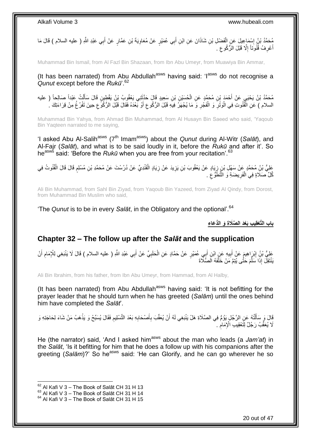مُحَمَّدُ بْنُ إِسْمَاعِيلَ عَنِ الْفَضْلِ بْنِ شَاذَانَ عَنِ ابْنِ أَبِي عُمَيْرٍ عَنْ مُعَاوِيَةَ بْنِ عَمَّارٍ عَنْ أَبِي عَبْدِ اللَّهِ ( عليه السلام ) قَالَ مَا<br>يَهْجَمَّدُ بْنُ إِسْمَاعِيلَ عَنِ الْفَضْلِ بْنِ شَاذَ َ **∶** َ ْ ∣l<br>∶ أَعْرِفُ قُنُوَنَاً إِلَّا قَبْلَ الزُّكُوعِ ۚ ِ ِ ِ َ

Muhammad Bin Ismail, from Al Fazl Bin Shazaan, from Ibn Abu Umeyr, from Muawiya Bin Ammar,

(It has been narrated) from Abu Abdullah<sup>asws</sup> having said: ' $1^{35WS}$  do not recognise a *Qunut* except before the *Rukū*'.<sup>62</sup>

مُحَمَّدُ بْنُ يَحْيَى عَنْ أَحْمَدَ بْنِ مُحَمَّدٍ عَنِ الْحُسَيْنِ بْنِ سَعِيدٍ قَالَ حَذَّتَنِي يَعْقُوبُ بْنُ يَقْطِينِ قَالَ سَأَلْتُ عَبْداً صَالِحاً ( عليه<br>. َ ْ ْ اً ا السلام ) عَنِ الْقُنُوتِ فِي الْوَتْرِ وَ الْفَجْرِ وَ مَا يُجْهَرُ فِيهِ قَبْلَ الرُّكُوعِ أَوْ بَعْدَهُ فَقَالَ قَبْلَ الرُّكُوعِ حِينَ تَفْرُغُ مِنْ قِرَاءَتِكَ . َ ِ ِ ْ ِ ا<br>ا :<br>ا ِ

Muhammad Bin Yahya, from Ahmad Bin Muhammad, from Al Husayn Bin Saeed who said, 'Yaqoub Bin Yaqteen narrated to me saying,

'I asked Abu Al-Salih<sup>asws</sup> (7<sup>th</sup> Imam<sup>asws</sup>) about the *Qunut* during Al-Witr (Salat), and Al-Fajr (*Salāt*), and what is to be said loudly in it, before the *Rukū* and after it'. So he<sup>asws</sup> said: 'Before the *Rukū* when you are free from your recitation'.<sup>63</sup>

عَلِيُّ بْنُِ مُحَمَّدٍ عِنْ سَهْلِ بْنِ زِيَادٍ عَنْ يَعْقُوبَ بْنِ يَزِيدَ عَنْ زِيَادٍ الْقَنْدِيِّ عَنْ دُرُسْتَ عَنْ مُحَمَّدِ بْنِ مُسْلِمٍ قَالَ قَالَ الْقُنُوتُ فِي<br>رِ ْ ِ **∶** ِ ْ ֧֖֧֦֧֦֧֦֖֚֚֝֝֝֝֓֝֬֟֓֝֓֬֝֬֝֓֬֝֬֝֓**֓** كُلِّ صَلَاةٍ فِي الْفَرِيضَةِ وَ النَّطَوُّعَ . ِ ِ ْ

Ali Bin Muhammad, from Sahl Bin Ziyad, from Yaqoub Bin Yazeed, from Ziyad Al Qindy, from Dorost, from Muhammad Bin Muslim who said,

'The *Qunut* is to be in every *Salāt*, in the Obligatory and the optional'.<sup>64</sup>

**باب الَّتْعقِي ِب َبْعَد ال َّصَال ِة َو الُّد َعا ِء**

### <span id="page-19-0"></span>**Chapter 32 – The follow up after the** *Salāt* **and the supplication**

عَلِيُّ بْنُ إِبْرَاهِيمَ عَنْ أَبِيهِ عَنِ ابْنِ أَبِي عُمَيْرٍ عَنْ حَمَّادٍ عَنِ الْحَلَبِيِّ عَنْ أَبِي عَبْدِ اللَّهِ ( عليه السلام ) قَالَ لَا يَنْبَغِي لِلْإِمَامِ أَنْ<br>وَيَنْ يَبِينُ إِبْرَاهِيمَ عَنْ أَبِيهِ عَنِ َ ِ ْ َ **!** َ ِ َ ِ يَنْتَقِلَ إِذَا سَلَّمَ حَتَّى يُتِمَّ مَنْ خَلْفَهُ الصَّلَّاةَ ْ َّ

Ali Bin Ibrahim, from his father, from Ibn Abu Umeyr, from Hammad, from Al Halby,

(It has been narrated) from Abu Abdullah<sup>asws</sup> having said: 'It is not befitting for the prayer leader that he should turn when he has greeted (*Salām*) until the ones behind him have completed the *Salāt*'.

ِ قَالَ وَ سَأَلْتُهُ عَنِ الرَّجُلِ يَؤُمُّ فِي الصَّلَاةِ هَلْ يَنْبَغِي لَهُ أَنْ يُعَقِّبَ بِأَصْحَابِهِ بَعْدَ التَّسْلِيمِ فَقَالَ يُسَبِّحُ وَ يَذْهَبُ مَنْ شَاءَ لِحَاجَتِهِ وَ **∶** َ ِ اُ ْ َ **ٔ:** لَا يُعَقِّبُ رَجُلٌ لِتَعْقِيبِ الْإِمَامِ . ِ

He (the narrator) said, 'And I asked him<sup>asws</sup> about the man who leads (a *Jam'at*) in the *Salāt*, 'Is it befitting for him that he does a follow up with his companions after the greeting (*Salām*)?' So he<sup>asws</sup> said: 'He can Glorify, and he can go wherever he so

 $62$  Al Kafi V 3 – The Book of Salāt CH 31 H 13

 $^{63}$  Al Kafi V 3 – The Book of Salāt CH 31 H 14

 $64$  Al Kafi V 3 – The Book of Salāt CH 31 H 15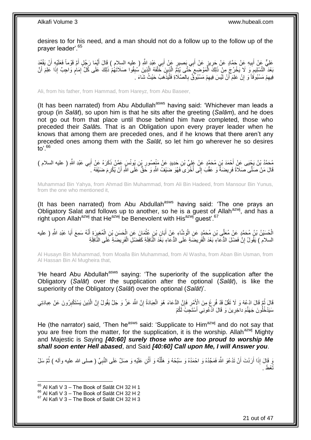desires to for his need, and a man should not do a follow up to the follow up of the prayer leader'.<sup>65</sup>

عَلِيٌّ عَنْ أَبِيهِ عَنْ حَمَّادٍ عَنْ حَرِيزٍ عَنْ أَبِي بَصِبِرٍ عَنْ أَبِي عَبْدٍ اللَّهِ ( عليه السلام ) قَالَ أَيُّمَا رَجُلٍ أَمَّ قَوْماً فَعَلَيْهِ أَنْ يَقْعُدَ َ َ َ **∶ !** َ َ بَعْدَ التَّسْلِيمِ وَ لَا يَخْرُجَ مِنْ ذَلِكَ الْمَوْضِعِ حَتَّى يُتِمَّ الَّذِينَ خَلْفَهُ الَّذِينَ سُبِقُوا صَلَاتَهُمْ ذَلِكَ عَلَى كُلِّ إِمَامٍ وَاجِبٌ إِذَا عَلِمَ أَنَّ **!** َّ ْ َّ  $\zeta$ ْ ِ َ ֧֖֧֦֧֦֧֦֖֚֚֝֝֝֝֓֝֬֟֓֝֓֬֝֬֝֓֬֝֬֝֓**֓** ِ فِيهِمْ مَسْبُوقَاً وَ إِنْ عَلِمَ أَنْ لَيْسَ فِيهِمْ مَسْبُوِّقٌ بِالصَّلَاةِ فَلْيَذْهَبْ حَيْثُ شَاءَ ﴾ ِ ِ **ٔ** ا<br>ا ِ ِ اُ

Ali, from his father, from Hammad, from Hareyz, from Abu Baseer,

(It has been narrated) from Abu Abdullah<sup>asws</sup> having said: 'Whichever man leads a group (in *Salāt*), so upon him is that he sits after the greeting (*Salām*), and he does not go out from that place until those behind him have completed, those who preceded their *Salāt*s. That is an Obligation upon every prayer leader when he knows that among them are preceded ones, and if he knows that there aren't any preceded ones among them with the *Salāt*, so let him go wherever he so desires to'. $66$ 

مُحَمَّدُ بْنُ يَجْيَى عَنْ أَحْمَدَ بْنِ مُحَمَّدٍ عَنْ عَلِيٍّ بْنِ حَدِيدٍ عَنْ مَنْصُورِ بْنِ بُونُسٍ عَمَّنْ ذَكَرَهُ عَنْ أَبِي عَبْدِ اللَّهِ ( عليه السلام )<br>ِ ِ ِ َ قَالَ مَنْ صَلَّى صَلَاةً فَرِيضَةً وَ عَقَّبَ إِلَى أُخْرَى فَهُوَ ضَيْفُ اللَّهِ وَ خَقٌّ عَلَى اللَّهِ أَنْ يُكْرِمَ ضَيْفَهُ لَ َ ابل<br>ا  $\frac{1}{2}$ **∶** 

Muhammad Bin Yahya, from Ahmad Bin Muhammad, from Ali Bin Hadeed, from Mansour Bin Yunus, from the one who mentioned it,

(It has been narrated) from Abu Abdullah $a<sup>asws</sup>$  having said: 'The one prays an Obligatory Salat and follows up to another, so he is a guest of Allah<sup>azwj</sup>, and has a right upon Allah<sup>azwj</sup> that He<sup>azwj</sup> be Benevolent with His<sup>azwj</sup> guest'.<sup>67</sup>

الْحُسَيْنُ بْنُ مُحَمَّدٍ عَنْ مُعَلِّى بْنِ مُحَمَّدٍ عَنِ الْوَشَّاءِ عَنْ أَبَانِ بْنِ عُثْمَانَ عَنِ الْحَسَنِ بْنِ الْمُغِيرَةِ أَنَّهُ سَمِعَ أَبَا عَبْدِ اللَّهِ ( عليه ْ ْ **ٔ** َ ْ َ َ السلام ) يَقُولُ إِنَّ فَضْلَ الدُّعَاءِ بَعْدَ الْفَرِيضَةِ عَلَى الدُّعَاءِ بَعْدَ النَّافِلَةِ كَفَضْلِ الْفَرِيضَةِ عَلَى النَّافِلَةِ ِ ْ ا **∶** ْ

Al Husayn Bin Muhammad, from Moalla Bin Muhammad, from Al Washa, from Aban Bin Usman, from Al Hassan Bin Al Mugheira that,

'He heard Abu Abdullah<sup>asws</sup> saying: 'The superiority of the supplication after the Obligatory (*Salāt*) over the supplication after the optional (*Salāt*), is like the superiority of the Obligatory (*Salāt*) over the optional (*Salāt*)'.

قَالَ نُمَّ قَالَ ادْعُهْ وَ لَا تَقُلْ قَدْ فُرِغَ مِنَ الْإِنْمِرِ فَإِنَّ الدُّعَاءَ هُوَ الْعِبَادَةُ إِنَّ اللَّهَ عَزَّ وَ جَلَّ يَقُولُ إِنَّ النَّذِينَ يَسْتَكْبِرُونَ عَنْ عِبادَتِي ِ ِ َّ ِ ِ ْ ِ ِ سَيَدْخُلُونَ جَهَنَّمَ داخِرِينَ وَ قَالَ اَدْعُونِي أَسْتَجِبُّ لَكُمْ ِ

He (the narrator) said, 'Then he<sup>asws</sup> said: 'Supplicate to Him<sup>azwj</sup> and do not say that you are free from the matter, for the supplication, it is the worship. Allah<sup>azwj</sup> Mighty and Majestic is Saying *[40:60] surely those who are too proud to worship Me shall soon enter Hell abased*, and Said *[40:60] Call upon Me, I will Answer you*.

وَ قَالَ إِذَا أَرَدْتَ أَنْ تَدْعُوَ اللَّهَ فَمَجِّدْهُ وَ احْمَدُهُ وَ هَلَّلْهُ وَ أَثْنِ عَلَيْهِ وَ صَلِّ عَلَى النَّبِيِّ ( صلى الله عليه وآله ) ثُمَّ سَلْ ْ َ ْ ِّ َ َ ُ ِ تُعْطَ

<sup>&</sup>lt;sup>65</sup> Al Kafi V 3 – The Book of Salāt CH 32 H 1

<sup>66</sup> Al Kafi V 3 – The Book of Salāt CH 32 H 2

 $67$  Al Kafi V 3 – The Book of Salāt CH 32 H 3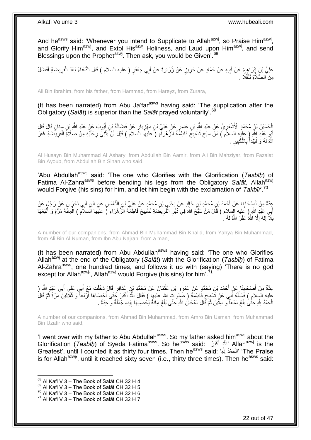And he<sup>asws</sup> said: 'Whenever you intend to Supplicate to Allah<sup>azwj</sup>, so Praise Him<sup>azwj</sup>, and Glorify Him<sup>azwj</sup>, and Extol His<sup>azwj</sup> Holiness, and Laud upon Him<sup>azwj</sup>, and send Blessings upon the Prophet<sup>azwj</sup>. Then ask, you would be Given<sup>'. 68</sup>

عَلِيُّ بِنُ إِبْرَاهِيمَ عَنْ أَبِيهِ عَنْ حَمَّادٍ عَنْ حَرِيزٍ عَنْ زُرَارَةَ عَنْ أَبِي جَعْفَرٍ ( عليه السلام ) قَالَ الدُّعَاءُ بَعْدَ الْفَرِيضَةِ أَفْضَلُ ِ ِ َ <u>֖֚֚֓</u>֦֧֢֦֦֦֓֕֝֡ َ ِ ْ َ مِنَ الصَّلَاةِ تَنَفُّلًا .

Ali Bin Ibrahim, from his father, from Hammad, from Hareyz, from Zurara,

(It has been narrated) from Abu Ja'far $a<sup>asws</sup>$  having said: 'The supplication after the Obligatory (*Salāt*) is superior than the *Salāt* prayed voluntarily'.<sup>69</sup>

الْحُسَيْنُ بْنُ مُحَمَّدٍ الْأَشْعَرِ يُّ عَنْ عَيْدِ اللَّهِ بْنِ عَامِرٍ عَنْ عَلِيِّ بْنِ مَهْزِيَارَ عَنْ فَضَالَةَ بْنِ أَيُّوبَ عَنْ عَيْدِ اللَّهِ بْنِ سَنَانٍ قَالَ قَالَ<br>ا ِ ِ أَبُو عَبْدِ اللَّهِ ( عِلَيه السلاَم ) مَنْ سَبَّحَ تَسْبِيحَ فَاطِمًةَ الزَّهْرَآءِ (َ عليهَا السلام ) قَبْلَ أَنْ يَثْنِيَ رِجْلَيْهِ مِنْ صَلَاةِ الْفَرِيضَةِ غَفَرَ ِ ْ َ ِ ِ ْ لَ الثَّهُ لَهُ وَ لُّيَبْدَأٌ بِالتَّكْبِيرِ ۚ . **∶ ! ∶** ا<br>أ :<br>ا

Al Husayn Bin Muhammad Al Ashary, from Abdullah Bin Aamir, from Ali Bin Mahziyar, from Fazalat Bin Ayoub, from Abdullah Bin Sinan who said,

'Abu Abdullah<sup>asws</sup> said: 'The one who Glorifies with the Glorification (*Tasbīḥ*) of Fatima Al-Zahra<sup>asws</sup> before bending his legs from the Obligatory Salat, Allah<sup>azwj</sup> would Forgive (his sins) for him, and let him begin with the exclamation of *Takbīr*'.<sup>70</sup>

عِدَّةٌ مِنْ أَصِدْحَابِذَا عَنْ أَحْمَدَ بْنِ مُحَمَّدِ بْنِ خَالِدٍ عَنْ يَحْيَيِ بْنِ مُحَمَّدٍ عَنْ عَلِيٍّ بْنِ النَّعْمَانِ عَنِ ابْنِ أَبِي نَجْرَانَ عَنْ رَجُلٍ عَنْ َ ِ َ َ أَبِي عَبْدِ اللَّهِ ۚ وَ عَلِيه السلام ) قَالَ مَنْ سَنَّحَ اللَّهَ فِي دُبُرِ الْفَرِيضَةِ تَسْبِيحَ فَاطِمَةَ الزَّهْرَاءِ (َ عليَها الَسلام ) الْمِائَةَ مَرَّةٍ وَ أَتْبَعَهَا ِ ِ ْ ِ َ َ ْ بِلَاَّ إِلَهَ إِلَّا اللَّهُ غَفَرَ اللَّهُ لَهُ ا ِ لَ ∣l<br>∶ ِ

A number of our companions, from Ahmad Bin Muhammad Bin Khalid, from Yahya Bin Muhammad, from Ali Bin Al Numan, from Ibn Abu Najran, from a man,

(It has been narrated) from Abu Abdullah<sup>asws</sup> having said: 'The one who Glorifies Allahazwj at the end of the Obligatory (*Salāt*) with the Glorification (*Tasbīḥ*) of Fatima Al-Zahra<sup>asws</sup>, one hundred times, and follows it up with (saying) 'There is no god except for Allah<sup>azwj</sup>', Allah<sup>azwj</sup> would Forgive (his sins) for him'.<sup>7</sup>

ْ عِدَّةٌ مِنْ أَصْحَابِنَا عَنْ أَحْمَدَ بْنِ مُحَمَّدٍ عَنْ عَمْرِو بْنِ عُثْمَانَ عَنْ مُحَمَّدٍ بْنِ عُذَاقِرٍ قَالَ دَخَلْتُ مَعَ أَبِي عَلِّي أَبِي عَبْدٍ الثَّهِ ( ْ َ **↓**<br>; َ َ َ عليه السِلامِ ) فَسَأَلَهُ أَبِي عَنْ تَسْبِيعِ فَاطِمَةَ ( صَلواتَ اللهِ عليهِا ) فَقَالَ اللَّهُ أَكْبَرُ جَتَّى أَحْصَاهَا أَرْبَعَأَ وَ ثَلَاَثِينَ مَرَّةً ثُمَّ قَالَ ِ **!** َ لَ َ ُ َ َ َ الْحَمْدُ لِلَّهِ حَتَّىٰ بَلَغَ سَبْعاً ۖ وَ سِتِّينَ ثُمَّ قَالَ سُبْحَانُ اللَّهِ حَتَّى بَلَغَ مِائَةً يُحْصِيهَا بِيَدِهِ جُمْلَةً وَاحِدَةً ۚ ـ ِ ا<br>استقلال ا ْ

A number of our companions, from Ahmad Bin Muhammad, from Amro Bin Usman, from Muhammad Bin Uzafir who said,

'I went over with my father to Abu Abdullah<sup>asws</sup>. So my father asked him<sup>asws</sup> about the Glorification (*Tasbīḥ*) of Syeda Fatima<sup>asws</sup>. So he<sup>asẃs</sup> said: كَانَتُمْ أَغْبَرُ "Aِllah<sup>azwj</sup> is the َ Greatest', until I counted it as thirty four times. Then he<sup>asws</sup> said: 'الْحَمْدُ لِلَّهِ' 'The Praise ْ is for Allah<sup>azwj</sup>, until it reached sixty seven (i.e., thirty three times). Then he<sup>asws</sup> said:

 $68$  Al Kafi V 3 – The Book of Salāt CH 32 H 4

 $69$  Al Kafi V 3 – The Book of Salāt CH 32 H 5

 $^{70}$  Al Kafi V 3 – The Book of Salāt CH 32 H 6

 $71$  Al Kafi V 3 – The Book of Salāt CH 32 H 7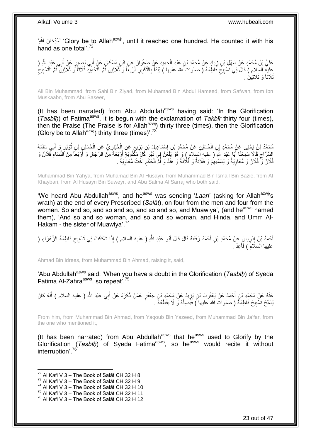'بُمُبْحَانَ اللَّهِ 'Glory be to Allah<sup>azwj</sup>', until it reached one hundred. He counted it with his hand as one total'.<sup>72</sup>

عَلِيُّ بْنُ مُحَمَّدٍ عَنْ سَهْلِ بْنِ زِيَادٍ عَنْ مُحَمَّدِ بْنِ عَبْدِ الْحَمِيدِ عَنْ صَفْوَانَ عَنِ ابْنِ مُسْكَانَ عَنٍْ أَبِي بَصِيدٍ عَنْ أَبِي عَبْدٍ اللَّهِ ( ْ ِ َ َ عليه السلام ) قَالَ فِي تَسْبِيَحِ فَاطِمَةَ ( صلواتُ الله عليها ) يُبْدَأُ بِالتَّكْبِيرِ أَرْبَعَاً وَ ثَلَاثِينَ ثُمَّ التَّسْبِيعُ التَّسْبِيعُ<br>نَبَيْهَ عَبَدَتَهُمْ عَلَيْهِ تَسْبِيعُ فَاطِمَةَ ( صلواتُ الله عليها ) ُ َ ِ ِ **∶** ا<br>ا  $\zeta$ ِ ِ ر<br>: ثَلاثاً وَ ثَلاثِينَ .

Ali Bin Muhammad, from Sahl Bin Ziyad, from Muhamad Bin Abdul Hameed, from Safwan, from Ibn Muskaabn, from Abu Baseer,

(It has been narrated) from Abu Abdullah<sup>asws</sup> having said: 'In the Glorification (Tasbīņ) of Fatima<sup>asws</sup>, it is begun with the exclamation of Takbīr thirty four (times), then the Praise (The Praise is for Allah<sup>azwj</sup>) thirty three (times), then the Glorification (Glory be to Allah<sup>azwj</sup>) thirty three (times)<sup>'.73</sup>

ِّمْحَدُّ بْنُ يَحْيَى عَنْ مُحَمَّدِ بْنِ الْحُسَيْنِ عَنْ مُحَمَّدِ بْنِ إِسْمَاعِيلَ بْنِ بَزِيعٍ عَنِ الْخَيْبِرِيِّ عَنِ الْحُسَيْنِ بْنِ ثَوَيْرٍ وَ أَبِي سَلَمَةَ **∶** ْ ∕<br>} **ٍ** ∣l<br>∶ ْ َ ا<br>ا ْ السَّرَّاجِ قَالَا سَمِّعْنَا أَبَا عَبْدِ الثَّهِ ( عليه السلام ) وَ هُوَ يَلْعَنُ فِي دُبُرٍ كُلٍّ مَكْثُوبَةَ أَرْبَعَةً مِنَ الرَّجَالِ وَ أَرْبَعاً مِنَ النِّسَاءَ فَلَانٌ وَ َ ِ ْ َ ِ َ **∶** فُلَانٌ وَّ فُلَانٌ وَ مُعَاوِيَةُ وَ يُسَمِّيهِمْ وَ فُلَانَةُ وَ فُلَانَةُ وَ هِنْدٌ وَ أُمُّ الْحَكَمِ أَخْتُ مُعَاوِيَةَ . ِ ا<br>أ ِ ْ ا<br>ا ِ

Muhammad Bin Yahya, from Muhamad Bin Al Husayn, from Muhammad Bin Ismail Bin Bazie, from Al Khaybari, from Al Husayn Bin Suweyr, and Abu Salma Al Sarraj who both said,

'We heard Abu Abdullah<sup>asws</sup>, and he<sup>asws</sup> was sending 'Laan' (asking for Allah<sup>azwj</sup>'s wrath) at the end of every Prescribed (*Salāt*), on four from the men and four from the women. So and so, and so and so, and so and so, and Muawiya', (and he<sup>asws</sup> named them), 'And so and so woman, and so and so woman, and Hinda, and Umm Al-Hakam - the sister of Muawiya'.<sup>74</sup>

أَحْمَدُ بْنُ إِدْرِيسَ عَنْ مُحَمَّدِ بْنِ أَحْمَدَ رَفَعَهُ قَالَ قَالَ أَبُو عَبْدِ اللَّهِ ( عليه السلام ) إِذَا شَكَكْتَ فِي تَسْبِيحِ فَاطِمَةَ الزَّهْرَاءِ ( َ َ **∶** ِ َ ِ ِ عليها السلامُ ) فَأَعِدْ . َ

Ahmad Bin Idrees, from Muhammad Bin Ahmad, raising it, said,

'Abu Abdullah<sup>asws</sup> said: 'When you have a doubt in the Glorification (*Tasbīh*) of Syeda Fatima Al-Zahra<sup>asws</sup>, so repeat<sup>75</sup>

عَنْهُ عَنْ مُحَمَّدِ بْنِ أَحْمَدَ عَنْ يَعْقُوبَ بْنِ يَزِيدَ عَنْ مُحَمَّدِ بْنِ جَعْفَرٍ عَمَّنْ ذَكَرَهُ عَنْ أَبِي عَبْدِ اللَّهِ ( عليه السلام ) أَنَّهُ كَانَ َ **∶** َ يُسَبِّحُ تَسْبِيحَ فَاطِمَةَ ( صلوات الله عليها َ) فَيَصِلُهُ وَ لَا يَقْطَعُهُ <sub>.</sub> ا<br>ا **!** 

From him, from Muhammad Bin Ahmad, from Yaqoub Bin Yazeed, from Muhammad Bin Ja'far, from the one who mentioned it,

(It has been narrated) from Abu Abdullah<sup>asws</sup> that he<sup>asws</sup> used to Glorify by the Glorification (*Tasbīḥ*) of Syeda Fatima<sup>asws</sup>, so he<sup>asws</sup> would recite it without interruption'.<sup>76</sup>

 $72$  Al Kafi V 3 – The Book of Salāt CH 32 H 8

 $^{73}$  Al Kafi V  $3 -$  The Book of Salāt CH 32 H 9

 $74$  Al Kafi V 3 – The Book of Salāt CH 32 H 10

 $75$  Al Kafi V  $3 -$  The Book of Salāt CH 32 H 11

 $76$  Al Kafi V 3 – The Book of Salāt CH 32 H 12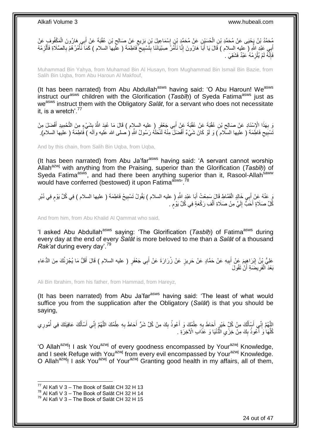مُحَمَّدُ بْنُ يَجْيَى عَنْ مُحَمَّدِ بْنِ الْحُسَيْنِ عَنْ مُحَمَّدٍ بْنٍ إِسْمَاعِيلَ بْنِ بَزِيعٍ عَنْ صَالِحٍ بْنِ عُقْبَةَ عَنْ أَبِي هَارُونَ الْمَكْفُوفِ عَنْ ِ **≀** ِ ِ ْ ْ َ ْ أَبِي عَبْدِ اللَّهِ ( عليه السلام ) قَالَ يَا أَبَاّ هَارُونَ إِنَّا نَأْمُرُ صِبْيَانَنَا بِتََسْبِيَّحِ فَاطِمَةَ ( عَلَيها السلام ) كَمَا نَّأْمُرُهُمْ بِالصَّلَاةِ فَأَلْزِمْهُ ِ ِ َ ِ ْ ِ **!** ِ فَإِنَّهُ لَمْ يُلْزِمْهُ عَبْدٌ فَشَقِيَ . ِ ِ

Muhammad Bin Yahya, from Muhamad Bin Al Husayn, from Mughammad Bin Ismail Bin Bazie, from Salih Bin Uqba, from Abu Haroun Al Makfouf,

(It has been narrated) from Abu Abdullah<sup>asws</sup> having said: 'O Abu Haroun! We<sup>asws</sup> instruct our<sup>asws</sup> children with the Glorification (*Tasbih*) of Syeda Fatima<sup>asws</sup> just as weasws instruct them with the Obligatory *Salāt*, for a servant who does not necessitate it, is a wretch'.<sup>77</sup>

وَ بِهَذَا الْإِسْنَادِ عَنْ صَالِحٍ بْنِ عُقْبَةً عَنْ عُقْبَةً عَنْ أَبِي جَعْفَرٍ ( عليه السلام ) قَالَ مَا عُبِدَ اللَّهُ بِشَيْءٍ مِنَ التَّحْمِيدِ أَفْضَلَ مِنْ َ ِ ِ ِ ِ َ نْسْبِيح فَاطِّمَة ( عليها السَّلام ) وَ لَوْ كَانَ شَيْءٌ أَفْضَلَّ مِنْهُ لَنَحَلَّهُ رَسُولُ اللَّهِ ( صلى الله عليه وآلَه ) فَاطِمَةَ ( عليها السلام). ِ **!** َ

And by this chain, from Salih Bin Ugba, from Ugba,

(It has been narrated) from Abu Ja'far<sup>asws</sup> having said: 'A servant cannot worship Allah<sup>azwj</sup> with anything from the Praising, superior than the Glorification (*Tasbīḥ*) of Syeda Fatima<sup>asws</sup>, and had there been anything superior than it, Rasool-Allah<sup>saww</sup> would have conferred (bestowed) it upon Fatima<sup>asws, 78</sup>

يَ عَنْهُ عَنْ أَبِي خَالِدٍ الْقَمَّاطِ قَالَ سَمِعْتُ أَبَا عَبْدِ اللَّهِ ( عليه السلام ) يَقُولُ تَسْبِيحُ فَاطِمَةَ ( عليها السلام ) فِي كُلِّ يَوْمٍ فِي دُبُرِ ِ َ ْ َ ِ **ื** كُلِّ صَلَاةٍ أُحَبُّ إِلَيَّ مِنْ صَلَاةِ أَلْفِ رَكْعَةٍ فِي كُلِّ يَوْم َ ֧֖֖֖֧֧֖֧֧֧֧֧ׅ֧֧֧֧֧֚֚֚֚֓֝֝֝֝֟֓֟֓֝֬֝֓֝֓֝֬֟֓֟֓֟֓֟֓֝֬֝֬֝֓֝֬֜֓֝֬֝֓֝֬֝֬֝ ْ َ لَ  $\frac{1}{2}$ 

And from him, from Abu Khalid Al Qammat who said,

'I asked Abu Abdullah<sup>asws</sup> saying: 'The Glorification (*Tasbīh*) of Fatima<sup>asws</sup> during every day at the end of every *Salāt* is more beloved to me than a *Salāt* of a thousand *Rak'at* during every day'.<sup>79</sup>

َ عَلِيُّ بِنُ إِبْرَاهِيمَ عَنْ أَبِيهِ عَنْ حَمَّادٍ عَنْ حَرِيزٍ عَنْ زُرَارَةَ عَنْ أَبِي جَعْفَرٍ ( عليه السلام ) قَالَ أَقَلُّ مَا يُجْزِئُكَ مِنَ الدُّعَاءِ َ **∶** ِ َ ِ **ٍ** بَعْدَ الْفَرِيضَةِ أَنْ تَقُولَ ز<br>ا **∶** ْ

Ali Bin Ibrahim, from his father, from Hammad, from Hareyz,

(It has been narrated) from Abu Ja'far<sup>asws</sup> having said: 'The least of what would suffice you from the supplication after the Obligatory (*Salāt*) is that you should be saying,

الِلَّهُمَّ إِنِّي أَسْأَلُكَ مِنْ كُلِّ خَيْرٍ أَحَاطَ بِهِ عِلْمُكَ وَ أَعُوذُ بِكَ مِنْ كُلِّ شَرِّ أَحَاطَ بِهِ عِلْمُكَ اللَّهُمَّ إِنِّي أَسْأَلُكَ عَافِيَتَكَ فِي أُمُورِي ِ َّ َ ِ َّ ْ ِ َ ِ َ ْ ِ َ ُ ֦֦֧֧֧֧֧֦֡֓֓֓֓֓֓֓֓֓֓֓֓֓֓֓֓֓֓֓֓֡֓֓֓֓֓֓֓֡֓֓֡֬֓֓֓֡֓֓֓֓֡֓֓֓֡֡֬֓֓֡֬֓֓֓֡֬֓֓֡֬֓֓֬֓֓֓֬֓֓֬֓֞֓֓֟֬֟֩֬֟ ِ ُ ُ اً<br>ا كُلِّهَا وَ أَكْوذُ بِكَ مِنْ خِزْيِ الْدُّنْيَا وَ عَذَابِ الْأَخِرَةِ .  $\ddot{\phantom{0}}$ **∣** َ ِّ

'O Allah<sup>azwj</sup>! I ask You<sup>azwj</sup> of every goodness encompassed by Your<sup>azwj</sup> Knowledge, and I seek Refuge with You<sup>azwj</sup> from every evil encompassed by Your<sup>azwj</sup> Knowledge. O Allah<sup>azwj</sup>! I ask You<sup>azwj</sup> of Your<sup>azwj</sup> Granting good health in my affairs, all of them,

 $77$  Al Kafi V 3 – The Book of Salāt CH 32 H 13

 $^{78}$  Al Kafi V 3 – The Book of Salāt CH 32 H 14

 $^{79}$  Al Kafi V 3 – The Book of Salāt CH 32 H 15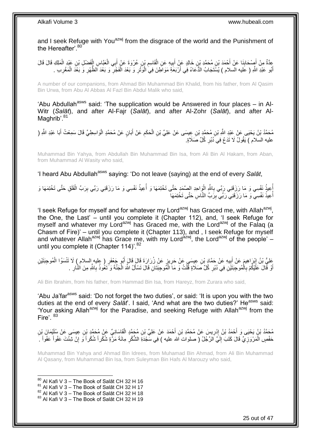and I seek Refuge with You<sup>azwj</sup> from the disgrace of the world and the Punishment of the Hereafter'. 80

ْ عِدَّةٌ مِنْ أَصْحَابِذَا عَنْ أَحْمَدَ بْنِ مُحَمَّدِ بْنِ خَالِدٍ عَنِ الْقَاسِرِ بْنِ عُرْوَةَ عَنْ اِلْعَيَّاسِ الْفَضْلِ بْنِ عَبْدِ الْمَلِكِ قَالَ قَالَ<br>يَحْدَّةُ مِنْ أَصْحَابِذَا عَنْ أَحْمَدَ بْنِ مُحَمَّدِ بْنِ َ ِ ْ ِ َ **∣** َ ْ ْ أَبُو عَلْدِ اللَّهِ ( عَليه السّلام ) يُسَّتَجَابُ الدُّعَاءُ فِي أَرْبَعَةِ مَوَاطِّنَ فِيَ الْوَنْْزِ وَ بَعْدَ الْفَجْزِ وَ بَعْدَ الظُّهْرِ وَ بَعْدَ الْفَعْزِبِ . َ ِ ْ ِ ْ َ ِ ْ ِ

A number of our companions, from Ahmad Bin Muhammad Bin Khalid, from his father, from Al Qasim Bin Urwa, from Abu Al Abbas Al Fazl Bin Abdul Malik who said,

'Abu Abdullah<sup>asws</sup> said: 'The supplication would be Answered in four places  $-$  in Al-Witr (*Salāt*), and after Al-Fajr (*Salāt*), and after Al-Zohr (*Salāt*), and after Al-Maghrib'.<sup>81</sup>

مُحَمَّدُ بْنُ يَحْيَى عَنْ عَبْدِ اللَّهِ بْنِ مُحَمَّدٍ بْنِ عِيسَى عَنْ عَلِيٍّ بْنِ الْحَكَمِ عَنْ أَبَانٍ عَنْ مُحَمَّدٍ الْوَاسِطِيِّ قَالَ سَمِعْتُ أَبَا عَبْدِ اللَّهِ ( َ ِ ْ َ ْ عليه السلام ) يَقُولُ لَا تَدَعْ فِي َدُبُرِ كُلِّ صَلَاةٍ. ِ

Muhammad Bin Yahya, from Abdullah Bin Muhammad Bin Isa, from Ali Bin Al Hakam, from Aban, from Muhammad Al Wasity who said,

'I heard Abu Abdullah<sup>asws</sup> saying: 'Do not leave (saying) at the end of every Salat,

إُعِبْدُ نَفْسِي وَ مَا رَزَقَنِي رَبِّي بِاللَّهِ الْوَاحِدِ الصَّمَدِ حَتَّى تَخْتِمَهَا وَ أُعِيدُ نَفْسِي وَ مَا رَزَقَنِي رَبِّي بِرَبِّ الْفَلَقِ حَتَّى تَخْتِمَهَا وَ :<br>ا ِ ْ ِ أُعِيذُ نَفْسِي ۖ وَ مَا رَزَقَنِي ۖ رَبِّي بِرَبِّ النَّاسِ حَتَّى تَخْتِمَهَا ۖ ا<br>ا **!** 

'I seek Refuge for myself and for whatever my Lord<sup>azwj</sup> has Graced me, with Allah<sup>azwj</sup>, the One, the Last' – until you complete it (Chapter 112), and, 'I seek Refuge for myself and whatever my Lord<sup>azwj</sup> has Graced me, with the Lord<sup>azwj</sup> of the Falaq (a Chasm of Fire)' – until you complete it (Chapter 113), and , I seek Refuge for myself and whatever Allah<sup>azwj</sup> has Grace me, with my Lord<sup>azwj</sup>, the Lord<sup>azwj</sup> of the people' – until you complete it (Chapter 114)<sup>'.82</sup>

عَلِيُّ بْنُ إِبْرَاهِيمَ عَنْ أَبِيهِ عَنْ حَمَّادٍ بْنِ عِيسَى عَنْ حَرِيزٍ عَنْ زُرَارَةَ قَالَ قَالَ أَبُو جَعْفَرٍ ( عِليه السلام ) لَا تَنْسَوُا الْمُوجِبَتَيْنِ<br>يَسِفُّ بَنُ إِبْرَاهِيمَ عَنْ أَبِيهِ عَنْ حَمَّادٍ َ **∶**  $\frac{1}{2}$ ِ ْ أَوْ فَّالَ عَلَيْكُمْ بِالْمُوجِبَنَّيْنِ فِي دُبُرِ كُلِّ صَلَاةٍ قُلْتُ وَ مَاَ الْمُوجِبَتَانِ قَالَ تَسْأَلُ اللَّهَ الْجَنَّةَ وَ تَعُوذُ بِاللَّهِ مِنَ النِّارِ . ْ ْ ِ ْ **∶** َ ِ **∶** ْ َ

Ali Bin Ibrahim, from his father, from Hammad Bin Isa, from Hareyz, from Zurara who said,

'Abu Ja'far<sup>asws</sup> said: 'Do not forget the two duties', or said: 'It is upon you with the two duties at the end of every *Salat*'. I said, 'And what are the two duties?' He<sup>asws</sup> said: 'Your asking Allah<sup>azwj</sup> for the Paradise, and seeking Refuge with Allah<sup>azwj</sup> from the Fire'. 83

مُحَمَّدُ بْنُ يَحْيَى وَ أَحْمَدُ بْنُ إِدْرِيسَ عَنْ مُحَمَّدِ بْنِ أَحْمَدَ عَنْ عَلِيِّ بْنِ مُحَمَّدٍ الْقَاسَانِيِّ عَنْ مُحَمَّدٍ بْنِ عِيسَى عَنْ سُلَيْمَانَ بْنِ َ ِ יִין<br>י ْ َّفْصٍ الْمَرْوَزِيِّ قَالَ كَتَبَ إِلَيَّ الرَّجُلُ ( صلوات الله عليه ) فِي سَجْدَةِ الشُّكْرِ مِائَةَ مَرَّةٍ شُكْراً شُكْراً وَ إِنْ شِئْتَ عَفْواً عَفْواً ۚ **ٍ** لَ  $\frac{1}{2}$ ِ ْ ِ اً

Muhammad Bin Yahya and Ahmad Bin Idrees, from Muhamad Bin Ahmad, from Ali Bin Muhammad Al Qasany, from Muhammad Bin Isa, from Suleyman Bin Hafs Al Marouzy who said,

 $80$  Al Kafi V 3 – The Book of Salāt CH 32 H 16

1

- $81$  Al Kafi V 3 The Book of Salāt CH 32 H 17
- $82$  Al Kafi V 3 The Book of Salāt CH 32 H 18

83 Al Kafi V 3 - The Book of Salāt CH 32 H 19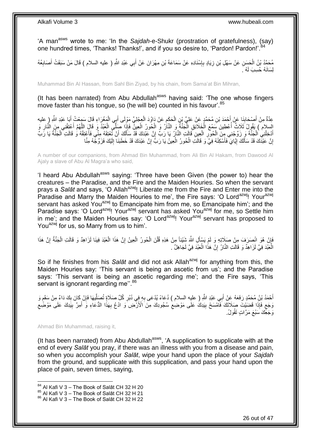'A man<sup>asws</sup> wrote to me: 'In the *Sajdah*-e-Shukr (prostration of gratefulness), (say) one hundred times, 'Thanks! Thanks!', and if you so desire to, 'Pardon! Pardon!'.<sup>84</sup>

مُحَمَّدُ بْنُ الْحَسَنِ عَنْ سَهْلِ بْنِ زِيَادٍ بِإِسْنَادِهِ عَنْ سَمَاعَةَ بْنِ مِهْرَانَ عَنْ أَبِي عَبْدِ اللَّهِ ( عليه السلام ) قَالَ مَنْ سَبَقَتْ أَصَابِعُهُ َ ∣اٍ<br>∶ ِ **∶** ِ َ لِسَانَهُ حُسِبَ لَهُ ۚ.

Muhammad Bin Al Hassan, from Sahl Bin Ziyad, by his chain, from Sama'at Bin Mihran,

(It has been narrated) from Abu Abdullah<sup>asws</sup> having said: 'The one whose fingers move faster than his tongue, so (he will be) counted in his favour'.<sup>85</sup>

ْ عِدَّةٌ مِنْ أَصْحَابِذَا عَنْ أَحْمَدَ بْنِ مُحَمَّدٍ عَنْ عَلِيٍّ بْنِ الْحَكَمِ عَنْ دَاوُدَ الْعِجْلِيِّ مَوْلَى أَبِي الْمَغْرَاءِ قَالَ سَمِعْتُ أَبَا عَبْدِ اللَّهِ (ِ عليه<br>- يَمْسَمُونَ أَمْسُ بِنَبِي اللَّهِ الْمَ َ ْ ِ ْ َ **!** َ َ السلام ) يَقُولُ ثَلَاثٌ أُعْطِينَ سَمْعَ الْخَلَائِقِ الْجَنَّةُ وَ النَّالُ وَ الْحُورُ الْعِينِّ فَإِذَا صَلَّى الْعَبْدُ وَ قَالَ اللَّهُمَّ أَعْتِقْنِي مِنَ النَّارِ وَ<br>نُسْلام ) يَقُولُ ثَلَاثٌ أُعْطِينَ مِنْهُمَ ال ا<br>ا ْ ا<br>أ ِ َ َّ ْ ْ ْ أَدْخِلْنِي الْجَنَّةَ وَ زِرِّجْنِي مِنَ الْحُورِ الْعِينِ قَالَتِ النَّارُ يَا رَبِّ إِنَّ عَبْدَكَ قَدْ سَأَلَكَ أَنْ تُعْتِقَهُ مِنِّي فَأَعْتِقْهُ وَ قَالَتِ الْجَنَّةُ يَا رَبِّ َ لَ ĺ ֧֦֦֧֦֧֦֧֦֧֦֧֦֧ׅ֦֦֦֧ׅ֦֧֦֧֦֧֦֧֦֧֦֧֦֧֦֧֦֚֚֚֝֝֜֜֡֜֓֡ ْ **∶** ْ ْ ْ َ َ ْ إِنَّ عَبْدَكَ قَدْ سَأَلَكَ إِيَّايَ فَأَسْكِنْهُ فِيَّ وَ قَالَتِ الْحُورُ الْعِينُ يَا رَبٍّ إِنَّ عَبْدَكَ قَدْ خَطَبَنَا إِلَيْكَ فَزَوِّجْهُ مِنَّا ِ ْ ْ َ **֓**ׇ֚֚֚֚֚֓֡֡֓֡֘ لَ Í اٍ لَ ِ

A number of our companions, from Ahmad Bin Muhammad, from Ali Bin Al Hakam, from Dawood Al Ajaly a slave of Abu Al Magra'a who said,

'I heard Abu Abdullah<sup>asws</sup> saying: 'Three have been Given (the power to) hear the creatures – the Paradise, and the Fire and the Maiden Houries. So when the servant prays a *Salāt* and says, 'O Allah<sup>azwj</sup>! Liberate me from the Fire and Enter me into the Paradise and Marry the Maiden Houries to me', the Fire says: 'O Lord<sup>azwj</sup>! Your<sup>azwj</sup> servant has asked You<sup>azwj</sup> to Emancipate him from me, so Emancipate him'; and the Paradise says: 'O Lord<sup>azwj</sup>! Your<sup>azwj</sup> servant has asked You<sup>azwj</sup> for me, so Settle him in me'; and the Maiden Houries say: 'O Lord<sup>azwj</sup>! Your<sup>azwj</sup> servant has proposed to You<sup>azwj</sup> for us, so Marry from us to him'.

فَإِنْ هُوَ انْصِرَفَ مِنْ صَلَاتِهِ وَ لَمْ يَسْأَلِ اللَّهَ شِّيْئاً مِنْ هَذِهِ قُلْنَ الْحُورُ الْعِينُ إِنَّ هَذَا الْعَبْدَ فِينَا لَزَاهِدٌ وَ قَالَتِ الْجَنَّةُ إِنَّ هَذَا َ ِ ِ ْ ْ ِ ْ ْ ْ الْعَبْدَ فِيَّ لَزَاهِدٌ وَ قَالَتِ النَّارُ إِنَّ هَذَا الْعَبْدَ فِيَّ لَجَاهِلٌ . ْ יֲ<br>י ا<br>ا

So if he finishes from his *Salāt* and did not ask Allah<sup>azwj</sup> for anything from this, the Maiden Houries say: 'This servant is being an ascetic from us'; and the Paradise says: 'This servant is being an ascetic regarding me'; and the Fire says, 'This servant is ignorant regarding me".<sup>86</sup>

أَحْمَدُ بْنُ مُحَمَّدٍ رَفَعَهُ عَنْ أَبِي عَبْدِ اللَّهِ ( عليه السلام ) دُعَاءً يُدْعَى بِهِ فِي دُبُرِ كُلِّ صَلَاةٍ تُصَلِّيهَا فَإِنْ كَانَ بِكَ دَاءٌ مِنْ سَقَمٍ وَ ِ ∣ļ ِّ **∶ ∶ ื** وَجَعٍ فَإِذَا قَضَيْتَ صِلَاتَكَ فَأَمْسَحْ بِيَدِكُ عَلَى مَوْضِعِ سُجُودِكَ مِنَ الْأَرْضِ ۖ وَ ادْعُ بِهَذَا الدُّعَاءِ وَّ أَمِرَّ بِيَدِكَ عَلَى مَوْضِعِ ِ ِ ِ ٍ ِ ِ َ وَجَعِّكَ سَبْعَ مَرَّاتٍ تَقُولُ.

Ahmad Bin Muhammad, raising it,

1

(It has been narrated) from Abu Abdullah<sup>asws</sup>, 'A supplication to supplicate with at the end of every *Salāt* you pray, if there was an illness with you from a disease and pain, so when you accomplish your *Salāt*, wipe your hand upon the place of your *Sajdah* from the ground, and supplicate with this supplication, and pass your hand upon the place of pain, seven times, saying,

 $84$  Al Kafi V 3 – The Book of Salāt CH 32 H 20

 $85$  Al Kafi V 3 – The Book of Salāt CH 32 H 21

<sup>86</sup> Al Kafi V 3 – The Book of Salāt CH 32 H 22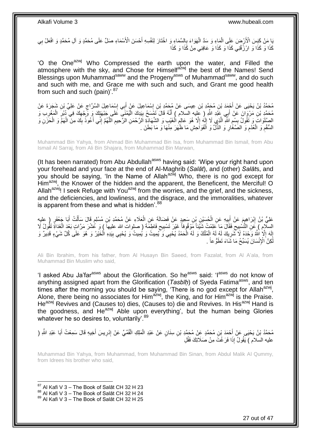يَا مَنْ كَبِسَ الْأَرْضَ عَلِّى الْمَاءِ وَ سَدَّ الْهَوَاءَ بِالسَّمَاءِ وَ اخْتَارَ لِنَفْسِهِ أَحْسَنَ الْأَسْمَاءِ صَلِّ عَلَى مُحَمَّدٍ وَ الْفَعْلْ بِي َ ِ ْ ْ ِ كَذَا وَ كَذَا وَ ارْزُقْنِي كَذَا وَ كَذَا وَ عَافِنِي مِنْ كَذَا وَ كَذَا

'O the One<sup>azwj</sup> Who Compressed the earth upon the water, and Filled the atmosphere with the sky, and Chose for Himself<sup>azwj</sup> the best of the Names! Send Blessings upon Muhammad<sup>saww</sup> and the Progeny<sup>asws</sup> of Muhammad<sup>saww</sup>, and do such and such with me, and Grace me with such and such, and Grant me good health from such and such (pain)'. $87$ 

مُحَمَّدُ بْنُ يَحْيَى عَنْ أَجْمَدَ بْنِ مُحَمَّدِ بْنِ عِيسَى عَنْ مُحَمَّدِ بْنِ إِسْمَاعِيلَ عَنْ أَبِي إِسْمَاعِيلَ السَّرَّاجِ عَنْ عَلِيِّ بْنِ شَجَرَةَ عَنْ ِ َ ِ ِ مُحَمَّدٍ بْنِ مَرْوَانَ عَنْ أَبِي عَذِ اللَّهِ ( عَلِيه السلام ) أَنَّهُ قَالَ تَفْسَحُ بِبَدِكَ الْيُمْنَيِّ عَلَى جَبْهَتِكَ وَ وَجْهِكَ فِي َّدُبُرِ الْمَغْرِبِ وَ َ ِ ْ ِ ِ ْ ِ َ ِ الْصَلَوَاتِّ وَ تَقُولُ بِسِمِّ اللَّهِ الَّذِي لَا إِلَهُ إِلَّا هُوَ عَالِمِ الْغَيْبِ وَ الشَّهَادِّةِ الرَّحْمَنِ الرَّحيمِ اللَّهُمَّ إِنِّي أَعُوذُ بِكَ مِنَّ الْهُمَّ وَ الْحَزَنِ وَ ْ ِ  $\overline{\phantom{a}}$ لَ ِ َّ ِ **∣** ْ ْ ِ َ ِ السُّقْمِ وَ الْعُدْمِ وَ الصَّغَّارِ وَ الذُّلِّ وَ اَلْفَوَاحِشِ مَا ظَهَرَ مِنْهَا وَ مَا بَطَنَ . ْ ِ **ُ** ْ ِ

Muhammad Bin Yahya, from Ahmad Bin Muhammad Bin Isa, from Muhammad Bin Ismail, from Abu Ismail Al Sarraj, from Ali Bin Shajara, from Muhammad Bin Marwan,

(It has been narrated) from Abu Abdullah<sup>asws</sup> having said: 'Wipe your right hand upon your forehead and your face at the end of Al-Maghrib (*Salāt*), and (other) *Salāt*s, and you should be saying, 'In the Name of Allahazwj Who, there is no god except for Him<sup>azwj</sup>, the Knower of the hidden and the apparent, the Beneficent, the Merciful! O Allah<sup>azwj</sup>! I seek Refuge with You<sup>azwj</sup> from the worries, and the grief, and the sickness, and the deficiencies, and lowliness, and the disgrace, and the immoralities, whatever is apparent from these and what is hidden'.<sup>88</sup>

ِن ُح َسْي ي ِه َع ِن ال ب َم َع ْن أ ْب َرا ِهي ٍر َعلِ ُّي ْب ُن إ ) عليه َبا َج ْعَف ُت أ ل َقا َل َسأ ِن ُم ْسلِم َعَالِء َع ْن ُم َح َّمِد ْب ِن َس ِعيٍد َع ْن َف َضالَ َة َع ِن ال ْب ْ **!** َ ِ َ ْ ĺ ֖֖֖֦֧֦֦֧֦֧ׅ֧ׅ֪֦֧ׅ֧֚֚֚֚֚֚֩֘֝֝֝֓֝֜֓֜֟֓֟֓֡֟֓֜֓֜֝֬ ْ السِلْامِ ) عَنِ التَّسْبِيحِ فَقَالَ مَا عَلِمْتُ شَيْئاً مَوْقُوفاً عَيْنِ تَسْبِيحِ فَاطِمَةَ ( صلوات الله عليهاً ) وَ عَشْنَ مَنَّاتٍ بَعْدَ الْغَذَاةِ تَقُولُ لَا<br>السلام ) عَنْ زَلْتَسْبِيحِ فَقَالَ مَا عَلِمْتُ شَيْ ِ **!** ્ ِ ْ إِلَهَ إِلَّا اللَّهُ وَحْدَهُ لَا شَّرِيكَ لَهُ لَهُ الْمُلْكُ وَ لَهُ الْحَمْدُ يُحْيِي وَكَّيُمِيتُ وَ يُحْيِي بِيَدِهِ الْخَيْرُ وَ هُوَ عَلَى كُلِّ شَيْءٍ قَدِيرٌ وَ ِ ْ ْ ْ ¦ ِ لَ ׀<br>֧֚ كِنَّ الْإِنْسَانَ يُسَبِّحُ مَا شَاءَ تَطَوُّ عاً <sub>.</sub> لَ

Ali Bin Ibrahim, from his father, from Al Husayn Bin Saeed, from Fazalat, from Al A'ala, from Muhammad Bin Muslim who said,

'I asked Abu Ja'far<sup>asws</sup> about the Glorification. So he<sup>asws</sup> said: 'I<sup>asws</sup> do not know of anything assigned apart from the Glorification (*Tasbīḥ*) of Syeda Fatima<sup>asws</sup>, and ten times after the morning you should be saying, 'There is no god except for Allah<sup>azwj</sup>, Alone, there being no associates for Him<sup>azwj</sup>, the King, and for Him<sup>azwj</sup> is the Praise. He<sup>azwj</sup> Revives and (Causes to) dies, (Causes to) die and Revives. In His<sup>azwj</sup> Hand is the goodness, and  $He^{azwj}$  Able upon everything', but the human being Glories whatever he so desires to, voluntarily'.<sup>89</sup>

مُحَمَّدُ بْنُ يَحْيَى عَنْ أَحْمَدَ بْنِ مُحَمَّدٍ عَنْ مُحَمَّدِ بْنِ سِنَانٍ عَنْ عَبْدِ الْمَلِكِ الْقُمِّيِّ عَنْ إِدْرِيسَ أَخِيهِ قَالَ سَمِعْتُ أَبَا عَبْدِ اللَّهِ ( َ َ َ ِ ِ ْ ْ عليه السلام ) يَقُولُ إِذَا فَرَغْتَ مِنْ صَلَاتِكَ فَقُلِ

Muhammad Bin Yahya, from Muhammad, from Muhammad Bin Sinan, from Abdul Malik Al Qummy, from Idrees his brother who said,

 $87$  Al Kafi V 3 – The Book of Salāt CH 32 H 23

1

88 Al Kafi V 3 – The Book of Salāt CH 32 H 24

89 Al Kafi V 3 - The Book of Salāt CH 32 H 25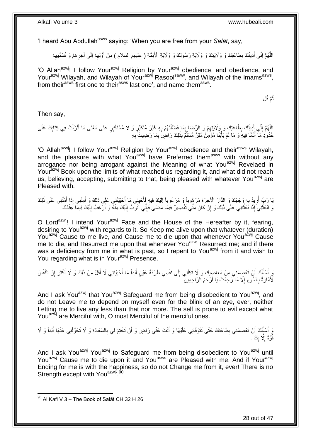'I heard Abu Abdullah<sup>asws</sup> saying: 'When you are free from your *Salāt*, say,

اللَّهُمَّ إِنِّي أَدِينُكَ بِطَاعَتِكَ وَ وَلَايَتِكَ وَ وَلَايَةِ رَسُولِكَ وَ وَلَايَةِ الْأَئِمَّةِ ( عليهم السلام ) مِنْ أَوَّلِهِمْ إِلَى آخِرِ هِمْ وَ تُسَمِّيهِمْ ِ َ ֺ֧ׅ֧ׅ֧֧֚֚֚֚֚֚֚֚֚֚֚֚֚֚֚֚֚֝֝֬֓֡֡֡֡֡֡֡֬֓֡֟֓֡֟֓֡֟֓֡֡֡֬֓֡֡֬֩֓֓֬֩ ِ ِ ِ ِ َ

'O Allah<sup>azwj</sup>! I follow Your<sup>azwj</sup> Religion by Your<sup>azwj</sup> obedience, and obedience, and Your<sup>azwj</sup> Wilayah, and Wilayah of Your<sup>azwj</sup> Rasool<sup>saww</sup>, and Wilayah of the Imams<sup>asws</sup>, from their<sup>asws</sup> first one to their<sup>asws</sup> last one', and name them<sup>asws</sup>.

> ِل َّم قُ ث ُ

Then say,

اللَّهُمَّ إِنِّي أَدِيثُكَ بِطَاعَتِكَ وَ وَلَايَتِهِمْ وَ الرِّضَا بِمَا فَضَّلْتَهُمْ بِهِ غَيْرَ مُتَكَبِّرٍ وَ لَا مُسْتَكْبِرٍ عَلَى مَعْنَى مَا أَنْزَلْتَ فِي كِتَابِكَ عَلَى ِ ֺ֝֟֟֓֕֟֓֕֓֕׆<br>֧֢ׅ֦֧ׅ֦֧֦֧֦֦ׅ֦֧֦֧֦֦֧֧֧ׅ֘֘֜֓֬֘֓֞֬֘֩֓֓֬֟֩֓֓֞֬֩֩֓֓֩ ِ ِ ِ َ ֺ֧ׅ֧ׅ֧֧֚֚֚֚֚֚֚֚֚֚֚֚֚֚֚֚֚֝֝֬֓֡֡֡֡֡֡֡֬֓֡֟֓֡֟֓֡֟֓֡֡֡֬֓֡֡֬֩֓֓֬֩ ِ ْ َ حُدُودِ مَآ أَتَانَا فِيهِ َوَ مَا لَمْ يَأْتِنَا مُؤْمِنٌ مُقِرٌّ مُسَلِّمٌ بِذَلِكَ رَاضٍۢ بِمَا رَضِيتَ ۚ بِهِ ِ ِ ِّ ْ

'O Allah<sup>azwj</sup>! I follow Your<sup>azwj</sup> Religion by Your<sup>azwj</sup> obedience and their<sup>asws</sup> Wilayah, and the pleasure with what You<sup>azwj</sup> have Preferred them<sup>asws</sup> with without any arrogance nor being arrogant against the Meaning of what You<sup>azwj</sup> Revelaed in Your<sup>azwj</sup> Book upon the limits of what reached us regarding it, and what did not reach us, believing, accepting, submitting to that, being pleased with whatever You<sup>azwj</sup> are Pleased with.

يَا رَبٍّ أُرِيدُ بِهِ وَجْهَكَ وَ الدَّارَ الْآخِرَةَ مَرْ هُوباً وَ مَرْ غُوباً إِلَيْكَ فِيهِ فَأَخْيِنِي مَا أَحْيَيْتَنِي عَلَى ذَلِكَ وَ أَمِثْنِي إِذَا أَمَتَّنِي عَلَى ذَلِكَ ِ **∶** َ َ َ ِ َ لَ ِ وَ ابْعَثْنِيَ إِذَا بَعَثْتَنِي عَلَى ذَلِكَ وَ إِنْ كَانَ مِنِّي تَقْصِيرٌ فِيمَا مَضَى فَإِنِّي أَتُوبٌ إِلَيْكَ مِنْهُ وَ أَرْغَبُ إِلَيْكَ فِيمَا عِنْدَكَ لَ ِ َ ∣اٍ יִי, ْ **ٔ** لَ ِ

O Lord<sup>azwj</sup>! I intend Your<sup>azwj</sup> Face and the House of the Hereafter by it, fearing, desiring to You<sup>azwj</sup> with regards to it. So Keep me alive upon that whatever (duration) You<sup>azwj</sup> Cause to me live, and Cause me to die upon that whenever You<sup>azwj</sup> Cause me to die, and Resurrect me upon that whenever You<sup>azwj</sup> Resurrect me; and if there was a deficiency from me in what is past, so I repent to You<sup>azwj</sup> from it and wish to You regarding what is in Your<sup>azwj</sup> Presence.

وَ أَسْأَلُكَ أَنْ تَعْصِمَنِي مِنْ مَعَاصِبِيكَ وَ لَا تَكِلَنِي إِلَى نَفْسِي طَرْفَةَ عَيْنٍ أَبَداً مَا أَخْيَيْتَنِي لَا أَقَلَّ مِنْ ذَلِكَ وَ لَا أَكْثَرَ إِنَّ النَّفْسَ اُ ُ َ َ ِ َ َ َ َ َ  $\frac{1}{2}$ لَّأَمَّارَةٌ بِالسُّوءِ إِلَّا مَا رَحِمْتَ يَا أَرْحَمَ الرَّاحِمِينَ اُ ِ ِ

And I ask You<sup>azwj</sup> that You<sup>azwj</sup> Safeguard me from being disobedient to You<sup>azwj</sup>, and do not Leave me to depend on myself even for the blink of an eye, ever, neither Letting me to live any less than that nor more. The self is prone to evil except what You<sup>azwj</sup> are Merciful with, O most Merciful of the merciful ones.

وَ أَسْأَأُكَ أَنْ تَعْصِمَنِي بِطَاعَتِكَ حَتَّى تَتَوَفَّانِي عَلَيْهَا وَ أَنْتَ عَنِّي رَاضٍ وَ أَنْ تَخْنِمَ لِي بِالسَّعَادَةِ وَ لَا تُحَوِّلَنِي عَنْهَا أَبَداً وَ لَا **∶** َ َ ِ ز<br>ا ُ َ َ َ قُوَّةَ إِلَّا بِكَ . **∣**  $\ddot{\phantom{a}}$ 

And I ask You<sup>azwj</sup> You<sup>azwj</sup> to Safeguard me from being disobedient to You<sup>azwj</sup> until You<sup>azwj</sup> Cause me to die upon it and You<sup>asws</sup> are Pleased with me. And if Your<sup>azwj</sup> Ending for me is with the happiness, so do not Change me from it, ever! There is no Strength except with You<sup>azwj, 90</sup>

<sup>1</sup>  $^{90}$  Al Kafi V 3 – The Book of Salāt CH 32 H 26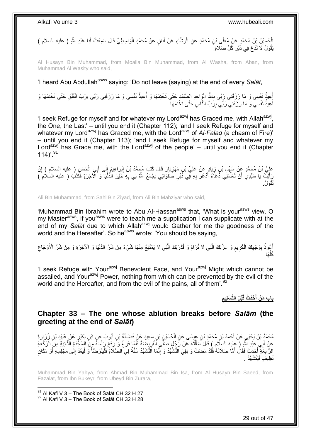أَحُسَنُنُ بْنُ مُحَمَّدٍ عَنْ مُعَلَّى بْنِ مُحَمَّدٍ عَنِ الْوَشَّاءِ عَنْ أَبَانٍ عَنْ مُحَمَّدٍ الْوَاسِطِيِّ قَالَ سَمِعْتُ أَبَا عَبْدِ اللَّهِ ( عليه السلام ) ْ َ ْ َ يَقُولُ لَا تَدَعْ فِي دُبُرِ كُُلِّ صَلَاةٍ َ ِ

Al Husayn Bin Muhammad, from Moalla Bin Muhammad, from Al Washa, from Aban, from Muhammad Al Wasity who said,

'I heard Abu Abdullah<sup>asws</sup> saying: 'Do not leave (saying) at the end of every *Salat*,

إُعِيذُ نَفْسِي وَ مَا رَزَقَنِي رَبِّي بِاللَّهِ الْإِلحِدِ الصَّمَدِ حَتَّى تَخْتِمَهَا وَ أُعِيذُ نَفْسِي وَ مَا رَزَقَنِي رَبِّي بِرَبِّ الْفَلَقِ حَتَّى تَخْتِمَهَا وَ :<br>ا ِ ْ ِ المستقبل المستقبل المستقبل المستقبل المستقبل المستقبل المستقبل المستقبل المستقبل المستقبل المستقبل المستقبل ال<br>المستقبل المستقبل المستقبل المستقبل المستقبل المستقبل المستقبل المستقبل المستقبل المستقبل المستقبل المستقبل ال أُعِيذُ نَفْسِي ۖ وَ مَا رَزَفَنِي ۖ رَبِّي بِرَبِّ النَّاسِ حَتَّى تَخْتِمَهَا ۖ ِ ا<br>ا

'I seek Refuge for myself and for whatever my Lord<sup>azwj</sup> has Graced me, with Allah<sup>azwj</sup>, the One, the Last' – until you end it (Chapter 112); 'and I seek Refuge for myself and whatever my Lord<sup>azwj</sup> has Graced me, with the Lord<sup>azwj</sup> of *Al-Falaq* (a chasm of Fire)' – until you end it (Chapter 113); 'and I seek Refuge for myself and whatever my Lord<sup>azwj</sup> has Grace me, with the Lord<sup>azwj</sup> of the people' – until you end it (Chapter 114)'.<sup>91</sup>

عَلِيُّ بْنُ مُحَمَّدٍ عَنْ سَهْلِ بْنِ زِيَادٍ عَنْ عَلِيٍّ بْنِ مَهْزِيَارَ قَالَ كَتَبَ مُجَمَّدُ بْنُ إِبْرَاهِيمَ إِلَى أَبِي الْحَسَنِ ( عليه السلام ) إِنْ ِ ِ ْ َ ِ ِ **ٍ** رَأَيْتَ يَا سَيِّدِي أَنْ تُعَلِّمَنِي ذَعَاءً أَدْعُو بِهِ فِّي ذُبُرِ صَلَوَاتِي يَجْمَعُ اللَّهُ لِي بِهِ خَيْرَ الْدُّنْيَا وَ الْأَخِرَةِ فَكَتَبَ ( عليه السلام ) ِ ِ ِ َ ِّ َ تَقُولُ.

Ali Bin Muhammad, from Sahl Bin Ziyad, from Ali Bin Mahziyar who said,

'Muhammad Bin Ibrahim wrote to Abu Al-Hassan<sup>asws</sup> that, 'What is your<sup>asws</sup> view, O my Master<sup>asws</sup>, if you<sup>asws</sup> were to teach me a supplication I can supplicate with at the end of my Salat due to which Allah<sup>azwj</sup> would Gather for me the goodness of the world and the Hereafter'. So he<sup>asws</sup> wrote: 'You should be saying,

أَعُوذُ بِوَجْهِكَ الْكَرِيمِ وَ عِزَّتِكَ الَّتِي لَا تُرَامُ وَ قُدْرَتِكَ الَّتِي لَا يَمْتَنِعُ مِنْهَا شَيْءٌ مِنْ شَرِّ الْذُنْيَا وَ الْآخِرَةِ وَ مِنْ شَرِّ الْأَوْجَاعِ َّ َّ ِ ِ ْ ِ **∶** ِ َها ُكل ِّ

'I seek Refuge with Your<sup>azwj</sup> Benevolent Face, and Your<sup>azwj</sup> Might which cannot be assailed, and Your<sup>azwj</sup> Power, nothing from which can be prevented by the evil of the world and the Hereafter, and from the evil of the pains, all of them'.<sup>92</sup>

> **ِ ْبلَ الَّت ْسلِيم ْحَد َث قَ باب َم ْن أ َ**

### <span id="page-28-0"></span>**Chapter 33 – The one whose ablution breaks before** *Salām* **(the greeting at the end of** *Salāt***)**

مُحَمَّدُ بْنُ يَحْيَي عَنْ أَحْمَدَ بْنِ مُحَمَّدِ بْنِ عِيسَى عَنِ الْحُسَيْنِ بْنِ سَعِيدٍ عَنْ فَضَالَةَ بْنِ أَيُّوبَ عَنِ ابْنِ بُكَيْرٍ عَنْ غُبَيْدِ بْنِ زُرَارَةَ َ َ ْ عَنْ أَبِي عَبْدِ اللَّهِ ( عِليه السِلَام ) قَالَ سَأَلْتُهُ عَنْ رَجُلٍ صَلَّى اَلْفَرِيضَةَ فَلَمَّا فَرَغَ وَ رَفَعَ رَأْسَهُ مِنَ السَّفَدَةِ الثَّانِيَةِ مِنَ الْرَكْعَةِ **ٔ** ¦ ْ ْ َ َّ الرَّابِعَةِ أَحْدَثَ فَقَالَ أَمَّا صَلَاثُهُ فَقَدْ مَضنَتْ وَ بَقِيَ التَّشَهُّدُ وَ إِنَّمَا الَتَّشَهُّدُ سُنَّةٌ فِي الصَّلَاةِ فَلْيَتَوَضَّأْ وَ لْيَعُدْ إِلَى مَجْلِسِهِ أَوْ مَكَانٍ ِ َ َ **∶** َ ِ ْ ْ ْ نَظِيفَ فَنَتَشَمَّدُ

Muhammad Bin Yahya, from Ahmad Bin Muhammad Bin Isa, from Al Husayn Bin Saeed, from Fazalat, from Ibn Bukeyr, from Ubeyd Bin Zurara,

1

29 out of 47

 $91$  Al Kafi V 3 – The Book of Salāt CH 32 H 27 92 Al Kafi V 3 – The Book of Salāt CH 32 H 28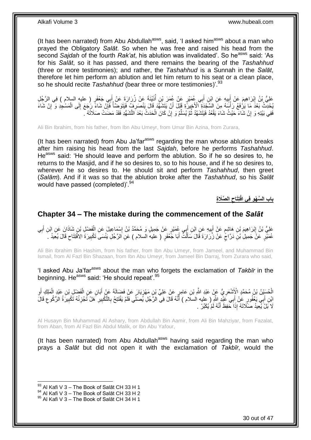(It has been narrated) from Abu Abdullah $a<sup>asws</sup>$ , said, 'I asked him $a<sup>asws</sup>$  about a man who prayed the Obligatory *Salāt*. So when he was free and raised his head from the second Sajdah of the fourth *Rak'at*, his ablution was invalidated'. So he<sup>asws</sup> said: 'As for his *Salāt*, so it has passed, and there remains the bearing of the *Tashahhud* (three or more testimonies); and rather, the *Tashahhud* is a Sunnah in the *Salāt*, therefore let him perform an ablution and let him return to his seat or a clean place, so he should recite *Tashahhud* (bear three or more testimonies)<sup>'.93</sup>

عَلِيُّ بْنُ إِبْرَاهِيمَ عَنْ أَبِيهِ عَنِ ابْنِ أَبِي عُمَيْرٍ عَنْ عُمَرَ بْنِ أَذَيْنَةَ عَنْ زُرَارَةَ عَنْ أَبِي جَعْفَرٍ ( عليهِ السلام ) فِي الرَّجُلِ َ **!** َ ِ َ ُ يُحْدِّثُ بَعْدَ مَا يَرْفَعُ رَأْسَهُ مِنَ السَّجْدَةِ الْأَخِيرَةِ قَيْلَ أَنْ يَتَشَفَّدَ قَالَ يَنْصَرِفٍ فَيَتَوَضَّأُ فَإِنْ شَاءَ رَبُجَعَ إِلَى الْمَسْجِدِ وَ إِنْ شَاءَ ُ **∶** َ ْ ْ ِ ∣ļ ِ فَفِي بَيْتِهِ وَ إِنْ شَاءَ حَيْثُ شَاءَ يَقْعُدُ فَيَتَشَهَّدُ ثُمَّ يُسَلِّمُ وَ إِنْ كَانَ الْحَدَثُ بَعْدَ التَّشَهُّدِ فَقَدْ مَضَتْ صَلَاتُهُ ۖ ْ ِ ِّ ُ ِ

Ali Bin Ibrahim, from his father, from Ibn Abu Umeyr, from Umar Bin Azina, from Zurara,

(It has been narrated) from Abu Ja'far $a<sup>asws</sup>$  regarding the man whose ablution breaks after him raising his head from the last *Sajdah*, before he performs *Tashahhud*. He<sup>asws</sup> said: 'He should leave and perform the ablution. So if he so desires to, he returns to the Masjid, and if he so desires to, so to his house, and if he so desires to, wherever he so desires to. He should sit and perform *Tashahhud*, then greet (*Salām*). And if it was so that the ablution broke after the *Tashahhud*, so his *Salāt* would have passed (completed)'.<sup>94</sup>

> **ال َّصَال ِة تَِتاح باب ال َّس ْه ِو فِي افْ ِ**

### <span id="page-29-0"></span>**Chapter 34 – The mistake during the commencement of the** *Salāt*

عَلِيُّ بْنُ إِبْرَاهِيمَ بْنِ هَاشِمٍ عَنْ أَبِيهِ عَنِ ابْنِ أَبِي عُمَيْرٍ عَنْ جَمِيلٍ وَ مُحَمَّدُ بْنُ إِسْمَاعِيلَ عَنِ الْفَضْلِ بْنِ شَاذَانَ عَنِ ابْنِ أَبِي َ ِ َ ٍ ِ ِ َ ْ ِ ِ عُمَيْْرٍ عَنْ جَمِيلِ بْنِ دَرَّاجٍّ عَنْ زُرَارَةَ قَالَ سَأَلْتُ أَبَا جَعْفَرٍ ( عليه السلام ) عَنِ الرَّجُلِ يَنْسَىَ تَكْبِيرَةَ الِافْتِتَاحِ قَالَ يُعِيدُ . َ ْ Í ٍ ِ

Ali Bin Ibrahim Bin Hashim, from his father, from Ibn Abu Umeyr, from Jameel, and Muhammad Bin Ismail, from Al Fazl Bin Shazaan, from Ibn Abu Umeyr, from Jameel Bin Darraj, from Zurara who said,

'I asked Abu Ja'farasws about the man who forgets the exclamation of *Takbīr* in the beginning. He<sup>asws</sup> said: 'He should repeat'.<sup>95</sup>

الْحُسَيْنُ بْنُ مُحَمَّدٍ الْإَِشْعَرِ يُّ عَنْ عَبْدِ اللَّهِ بْنِ عَامِرٍ عَنْ عَلِيِّ بْنِ مَهْزِيَارَ عَنْ فَضَالَةَ عَنْ أَبَانٍ عَنِ الْفَضْلِ بْنِ عَبْدِ الْمَلِكِ أَوِ<br>. ֦֧֦֧ ِ ْ **∶** َ ْ ْ َ ائِنِ أَبِي يَعْفُورِ عَنْ أَبِي عَنْدٍ اللَّهِ ( عِليه السلَّام ) أَنَّهُ قَالَ فِي الزَّجُلِ يُصَلِّي فَلَمْ يَفْتَتِحْ بِالثَّكْبِيرِ ۗ هَلْ تُجْزِئُهُ تَكْبِيرَةُ الزُّكُوعِ قَالَ َ ِ ِ ِ ِ َ ِ ِ لَا بَلْ َيُعِيدُ صَلَّاتَهُ إِذَا خَفِظَ أَنَّهُ لَمْ يُكَبِّرْ . َ

Al Husayn Bin Muhammad Al Ashary, from Abdullah Bin Aamir, from Ali Bin Mahziyar, from Fazalat, from Aban, from Al Fazl Bin Abdul Malik, or Ibn Abu Yafour,

(It has been narrated) from Abu Abdullah $a<sup>sws</sup>$  having said regarding the man who prays a *Salāt* but did not open it with the exclamation of *Takbīr*, would the

 $93$  Al Kafi V 3 – The Book of Salāt CH 33 H 1

 $^{94}$  Al Kafi V 3 – The Book of Salāt CH 33 H 2

 $95$  Al Kafi V 3 – The Book of Salāt CH 34 H 1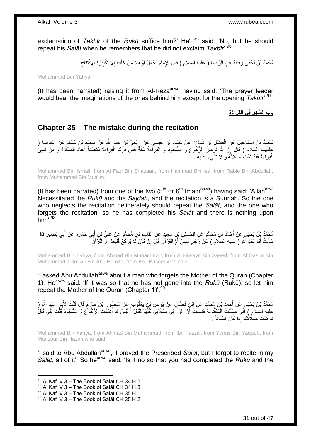exclamation of *Takbīr* of the *Rukū* suffice him?' He<sup>asws</sup> said: 'No, but he should repeat his *Salāt* when he remembers that he did not exclaim *Takbīr*'.<sup>96</sup>

> مُحَمَّدُ بْنُ يَحْيَى رَفَعَهُ عَنِ الرِّضَا ( عليه السلام ) قَالَ الْإِمَامُ يَحْمِلُ أَوْ هَامَ مَنْ خَلْفَهُ إِلَّا تَكْبِيرَةَ الِافْتِتَاحِ . ِ ِ ِ ْ َ

Muhammad Bin Yahya,

(It has been narrated) raising it from Al-Reza<sup>asws</sup> having said: 'The prayer leader would bear the imaginations of the ones behind him except for the opening *Takbīr*'.<sup>97</sup>

**ال َّس ْه ِو فِي الْ باب قِ َرا َء ِة**

### <span id="page-30-0"></span>**Chapter 35 – The mistake during the recitation**

مُحَمَّدُ بْنُ إِسْمَاعِيلَ عَنِ الْفَضْلِ بْنِ شَاذَانَ عَنْ حَمَّادٍ بْنِ عِيسَى عَنْ رِبْعِيٍّ بْنِ عَبْدِ اللَّهِ عَنْ مُحَمَّدٍ بْنِ مُسْلِمٍ عَنْ أَحَدِهِمَا ( ِ ْ ِ َ ֖֖֦֦֦֦֦֚֚֩֘֝֝֝֝֝ عليهما السَلام ) قَالَ إِنَّ اللَّهَ فَرَضَ الرُّكُوعَ وَ السُّجُودَ وَ الْقِرَاءَةُ سُنَّةٌ فَمَنْ تَرَكَ الْقِرَاءَةَ مُتَعَمِّداً أَعَادَ الصَّلَاةَ وَ مَنْ نَسِيَ َ ْ ْ ِ الْقِرَاءَةَ فَقَدْ تَمَّتْ صَلَاثُهُ وَ لَا شَيْءَ عَلَيْهِ . ْ

Muhammad Bin Ismail, from Al Fazl Bin Shazaan, from Hammad Bin Isa, from Rabie Bin Abdullah, from Muhammad Bin Muslim,

(It has been narrated) from one of the two  $(5<sup>th</sup>$  or  $6<sup>th</sup>$  Imam<sup>asws</sup>) having said: 'Allah<sup>azwj</sup> Necessitated the *Rukū* and the *Sajdah*, and the recitation is a Sunnah. So the one who neglects the recitation deliberately should repeat the *Salāt*, and the one who forgets the recitation, so he has completed his *Salāt* and there is nothing upon him' $^{98}$ 

Muhammad Bin Yahya, from Ahmad Bin Muhammad, from Al Husayn Bin Saeed, from Al Qasim Bin Muhammad, from Ali Bin Abu Hamza, from Abu Baseer who said,

'I asked Abu Abdullah<sup>asws</sup> about a man who forgets the Mother of the Quran (Chapter 1). He<sup>asws</sup> said: 'If it was so that he has not gone into the *Rukū* (Rukū), so let him repeat the Mother of the Quran (Chapter 1)<sup>'.99</sup>

ِ مُحَمَّدُ بْنُ يَحْيَى عَنْ أَجْمَدَ بْنِ مُحَمَّدٍ عَنِ ابْنِ فَضَّالٍ عَنْ يُوِنُسَ بْنِ يَعْوُوبَ عَنْ مَنْصُورِ بْنِ حَازِمٍ قَالَ قُلْتُ لِأَبِي عَبْدٍ الثَّهِ ( ِ ْ ֧֧֧֖֧֧֧֧֧֦֧֚֓֝֬֝֝֓֝֬֟֓֓֝֓֝֓֝֬֝֬֝ عليه السلام ) إِنِّي صَلَّيْتُ الْمَكْتُوبَةَ فَنَسِيَتُ أَنْ أَقْرَأَ فِي صَلَاتِي كُلِّهَا فَقَالَ أَ لَيْسَ قَدْ أَتْمَمْتَ الرُّكُوعُ وَ السُّجُودَ قُلّْتُ بَلَى قَالَ **ٔ** َ لَ َ ِّ ا<br>ا  $\ddot{\phantom{a}}$ َ اُ ْ َّ ِّ ِ قَدْ تَمَّتْ صَلَاثُكََ إِذَا كَانَ نِسْيَاناً <sub>ـ</sub>

Muhammad Bin Yahya, from Ahmad Bin Muhammad, from Ibn Fazzal, from Yunus Bin Yaqoub, from Mansour Bin Hazim who said,

'I said to Abu Abdullah<sup>asws</sup>, 'I prayed the Prescribed *Salāt*, but I forgot to recite in my *Salāt*, all of it'. So he<sup>asws</sup> said: 'Is it no so that you had completed the *Rukū* and the

مُحَمَّدُ بِنُ يَحْيَى عَنْ أَحْمَدَ بْنِ مُحَمَّدٍ عَنِ الْحُسِيْنِ بْنِ سَعِيدٍ عَنِ الْقَاسِمِ بْنِ مُحَمَّدٍ عَنْ عَلِيٍّ بْنِ أَبِي حَمْزَةَ عَنْ أَبِي بَصِيرٍ قَالَ ْ َ َ ِ ْ ُ سَأَلْتُ أَبَا عَبْدِ اللَّهِ ( عليه السلام ) عَنْ رَجُلٍ نَسِيَ أُمَّ الْقُرْآنِ قَالَ إِنْ كَانَ لَمْ يَرْكَعْ فَلْيُعِدْ أُمَّ الْقُرْآنِ ۖ. ْ ِ ْ ا<br>ا َ ْ َ ْ

 $96$  Al Kafi V 3 – The Book of Salāt CH 34 H 2

 $97$  Al Kafi V 3 – The Book of Salāt CH 34 H 3

 $^{98}$  Al Kafi V 3 – The Book of Salāt CH 35 H 1

 $99$  Al Kafi V 3 – The Book of Salāt CH 35 H 2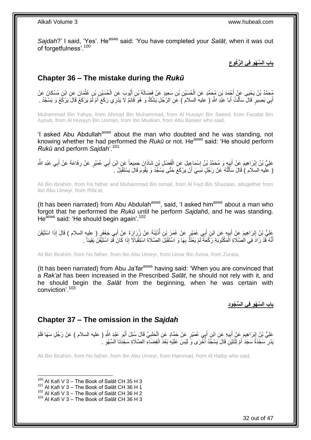Sajdah?' I said, 'Yes'. He<sup>asws</sup> said: 'You have completed your Salat, when it was out of forgetfulness'.<sup>100</sup>

> **ِ باب ال َّس ْه ِو فِي ال ُّر ُكوع**

## <span id="page-31-0"></span>**Chapter 36 – The mistake during the** *Rukū*

ِّهُحَمَّدُ بْنُ يَحْيَى عَنْ أَجْمَدَ بْنِ مُحَمَّدٍ عَنِ الْحُسَيْنِ بْنِ سَعِيدٍ عَنْ فَضَالَةَ بْنِ أَيُّوبَ عَنِ الْحُسَيْنِ بْنِ عُثْمَانَ عَنْ ابْنِ مُسْكَانَ عَنْ ْ ْ ْ َ َ أَبِي بَصِبْرٍ ۚ قَالَ سَأَلْتُ أَبَا عَبْدِ اللَّهِ ( عليه السلام ۖ ) عَنِ الرَّجُلِ يَشُكُّ وَ هُوَ قَائِمٌ لَا يَدْرِكِي رَكَعَ أَمْ لَمْ يَرْكَعْ قَالَ يَرْكَعُ وَ يَسْجُدُ . َ ْ َ

Muhammad Bin Yahya, from Ahmad Bin Muhammad, from Al Husayn Bin Saeed, from Fazalat Bin Ayoub, from Al Husayn Bin Usman, from Ibn Muskan, from Abu Baseer who said,

'I asked Abu Abdullah<sup>asws</sup> about the man who doubted and he was standing, not knowing whether he had performed the *Rukū* or not. He<sup>asws</sup> said: 'He should perform *Rukū* and perform *Sajdah*'.<sup>101</sup>

عَلِيُّ بْنُ إِبْرَاهِيمَ عَنْ أَبِيهِ وَ مُحَمَّدُ بْنُ إِسْمَاعِيلَ عَنِ الْفَضْلِ بْنِ شَاذَانَ جَمِيعاً عَنِ ابْنِ أَبِي عُمَيْرٍ عَنْ رِفَاعَةَ عَنْ أَبِي عَبْدِ اللَّهِ ْ ِ ِ َ ِ َ ِ َ ( عليه السلام ) قَالَ سَأَلْتُهُ عَنْ رَجُلٍ نَسِيَ أَنْ يَرْكَعَ حَتَّى يَسْجُدَ وَ يَقُومَ قَالَ يَسْتَقْبِلُ ِ َ ْ َ

Ali Bin Ibrahim, from his father and Muhammad Bin Ismail, from Al Fazl Bin Shazaan, altogether from Ibn Abu Umeyr, from Rifa'at,

(It has been narrated) from Abu Abdulah<sup>asws</sup>, said, 'I asked him<sup>asws</sup> about a man who forgot that he performed the *Rukū* until he perform *Sajdah*d, and he was standing. He<sup>asws</sup> said: 'He should begin again'.<sup>102</sup>

عَلِيُّ بْنُ إِبْرَاهِيمَ عَنِْ أَبِيهِ عَنِ ابْنِ أَبِي عُمَيْرٍ عَنْ عُمَرَ بْنِ أُذَيْنَةَ عَنْ زُرَارَةَ عَنْ أَبِي جَعْفَرٍ ( عليه السلام ) قَالَ إِذَا اسْتَيْقَنَ َ ُ ِ َ ِ أَنَّهُ قَدْ زَادَ فِي الْصَّلَاةِ اَلْمَكْتُوبَةِ رَكْعَةً لَمْ يَعْثَدَّ بِهَا وَ اسْتَقْبَلَ الصَّلَاةَ اسْتِقْبَالًا إِذَا كَانَ قَدِ اسْتَيْقَنَ يَقِيناً . ْ َ ِ لَ

Ali Bin Ibrahim, from his father, from Ibn Abu Umeyr, from Umar Bin Azina, from Zurara,

(It has been narrated) from Abu Ja'far $a<sup>asws</sup>$  having said: 'When you are convinced that a *Rak'at* has been increased in the Prescribed *Salāt*, he should not rely with it, and he should begin the *Salāt* from the beginning, when he was certain with conviction'.<sup>103</sup>

**باب ال َّس ْه ِو فِي ال ُّس ُجوِد**

### <span id="page-31-1"></span>**Chapter 37 – The omission in the** *Sajdah*

عَلِيُّ بْنُ إِبْرَاهِيمَ عَنْ أَبِيهِ عَنِ ابْنِ أَبِي عُمَيْرٍ عَنْ حَمَّادٍ عَنِ الْحَلَبِيِّ قَالَ سُئِلَ أَبُو عَبْدِ اللَّهِ ( عليه السلام ) عَنْ رَجُلٍ سَهَا فَلَمْ َ ِ ْ َ **!** َ ِ يَدْرِ ۛ سَجْدَةً سَجَدَ أَمْ تِتْنَيْنِ قَالَ يَسْجُدُ أَخْرَى وَ لَيْسَ عَلَيْهِ بَعْدَ اتْقِضَاءِ الصَّلَاةِ سَجْدَنَا السَّهْوِ ۚ َ **∶** ِ ا<br>ا

Ali Bin Ibrahim, from his father, from Ibn Abu Umeyr, from Hammad, from Al Halby who said,

 $100$  Al Kafi V 3 – The Book of Salāt CH 35 H 3

 $101$  Al Kafi V 3 – The Book of Salāt CH 36 H 1

 $102$  Al Kafi V 3 – The Book of Salāt CH 36 H 2

 $103$  Al Kafi V 3 – The Book of Salāt CH 36 H 3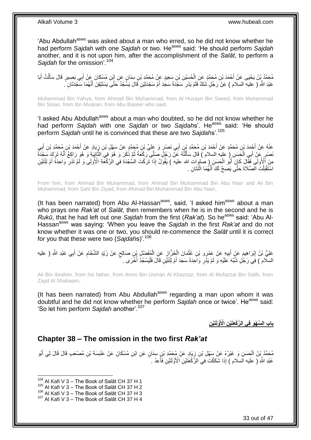'Abu Abdullah<sup>asws</sup> was asked about a man who erred, so he did not know whether he had perform *Sajdah* with one *Sajdah* or two. He<sup>asws</sup> said: 'He should perform *Sajdah* another, and it is not upon him, after the accomplishment of the *Salāt*, to perform a *Sajdah* for the omission'.<sup>104</sup>

مُحَمَّدُ بِنُ يَحْيَى عَنْ أَحْمَدَ بْنِ مُحَمَّدٍ عَنِ الْحُسَيْنِ بْنِ سَعِيدٍ عَنْ مُحَمَّدٍ بْنِ سِنَانٍ عَنِ ابْنِ مُسْكَانَ عَنْ أَبِي بَصِيرٍ قَالَ سَأَلْتُ أَبَا<br>وَيَمْتُمْ بَيْنَ يَجْبَى عَنْ أَحْمَدَ بْنِ مُحَمَ ْ َ َ ْ َ َ عَبْدِ اللَّهِ ( عليه السلام ) عَنْ رَجُلٍ شَكَّ فَلَمْ يَدْرِ سَجْدَةً سَجَدَ أَمْ سَجْدَنَيْنِ قَالَ يَسَّجُدُ حَتَّى يَسْتَيْقِنَ أَنَّهُمَا سَجْدَنَانِ ً. ِ َ َ

Muhammad Bin Yahya, from Ahmad Bin Muhammad, from Al Husayn Bin Saeed, from Muhammad Bin Sinan, from Ibn Muskan, from Abu Baseer who said,

'I asked Abu Abdullah<sup>asws</sup> about a man who doubted, so he did not know whether he had perform Sajdah with one Sajdah or two Sajdahs'. He<sup>asws</sup> said: 'He should perform *Sajdah* until he is convinced that these are two *Sajdah*s'.<sup>105</sup>

عَٰذُهُ عَنْ أَجْمَدَ بْنِ مُحَمَّدٍ عَنْ أَحْمَدَ بْنِ مُحَمَّدِ بْنِ أَبِي نَصْرٍ وَ عَلِيٍّ بْنِ مُحَمَّدٍ رَبِّ بِهِ بِمَجْتِرِ بْنِ أَبِي<br>ِ َ ِ َ َ ِ نَصْرٍ عَنِّ أَبِي الْخَسَنِ ( عليه السلام ) قَالَ سَأَلْتُهُ عَنَّ رَجُلٍّ صَلِّي رَكْعَةً ثُمَّ ذَكَرَ وَ هُوَ وَالْأَانِنَةِ وَ هُوَ رَاكِمٌ أَنَّهُ تَرَكَ سَجْدَةً َّ ا پایا<br>سال ֺ֦֦֦֧֦֦֪ׅ֧֦֧֦֧֦֧֦֧֦֪ׅ֦֧֦֪֪֦֧֦֧֝֟֟֓֕֓֕֓֕֓֕֓֕֓֓֡֓֓֡֟֓֡֟֓֡֟֓֡֟֓֡֟֓֡֟֩֓֓֞֓֞֓֞֟֓֡֟֓֡֟֓֟֩֓֟֓֟֓֟֟<br>֧֧֧֪֧֪֝֩֘֝֬֞֟׆<br>֧֪֘ َ ْ َ مِنَ أَلْأُولَى فَقَالَ كَانَ أَبُو الْحَسَنِ ( صٰلوات الله عليه ) يَقُولُ إِذَا تَرَكْتَ السُّجْدَةَ فِي الْرَكْعَةِ الْأُولَى وَ لَّمْ تَدْرِ وَاحِدَةً أَمْ تِنْتَيْنِ ْ َ ِ اسْتَقْبَلْتَ المصَّلَاةَ حَتَّى يَصِحَّ لَكَ أَنَّهُمَا اثْنَتَانِ . **ٔ** َ ْ

From him, from Ahmad Bin Muhammad, from Ahmad Bin Muhammad Bin Abu Nasr and Ali Bin Muhammad, from Sahl Bin Ziyad, from Ahmad Bin Muhammad Bin Abu Nasr,

(It has been narrated) from Abu Al-Hassan<sup>asws</sup>, said, 'I asked him<sup>asws</sup> about a man who prays one *Rak'at* of *Salāt*, then remembers when he is in the second and he is *Rukū*, that he had left out one *Sajdah* from the first (*Rak'at*). So he<sup>asws</sup> said: 'Abu Al-Hassanasws was saying: 'When you leave the *Sajdah* in the first *Rak'at* and do not know whether it was one or two, you should re-commence the *Salāt* until it is correct for you that these were two (*Sajdah*s)'.<sup>106</sup>

عَلِيُّ بْنُ إِبْرَاهِيمَ عَنْ أَبِيهِ عَنْ عَمْرٍو بْنِ عُثْمَانَ الْخَزَّازِ عَنِ الْمُفَضَّلِ بْنِ صَالِحٍ عَنْ زَيْدٍ الشَّحَّامِ عَنْ أَبِي عَبْدِ اللَّهِ ( عليه<br>. ٍ ْ <u>ุ้</u> ْ **ٔ ! ֽ**ו َ ِ السلام ) فِي رَجُلٍ شُبِّهَ عَلَيْهِ وَ لَمْ يَذُرِ وَاحِدَةً سَجَدَ أَمْ تِتْتَيْنِ قَالَ فَلْيَسْجُدْ أُخْرَى . ا<br>ا :<br>ا َ ِ

Ali Bin Ibrahim, from his father, from Amro Bin Usman Al Khazzaz, from Al Mufazzal Bin Salih, from Zayd Al Shahaam,

(It has been narrated) from Abu Abdullah $a<sup>asws</sup>$  regarding a man upon whom it was doubtful and he did not know whether he perform *Sajdah* once or twice'. He<sup>asws</sup> said: 'So let him perform *Sajdah* another'.<sup>107</sup>

**ِن َّولََتْي ِن اْْلَ باب ال َّس ْه ِو فِي ال َّر ْكَعَتْي**

### <span id="page-32-0"></span>**Chapter 38 – The omission in the two first** *Rak'at*

مُحَمَّدُ بِنُ الْحَسَنِ وَ غَيْرُهُ عَنْ سَهْلِ بْنِ زِيَادٍ عَنْ مُحَمَّدِ بْنِ سِنَانٍ عَنِ ابْنِ مُسْكَانَ عَنْ عَنْبَسَةَ بْنِ مُصْعَبِ قَالَ قَالَ لِي أَبُو ِ َ عَبْدِ اللَّهِ ( عليه السلام ) إِذَا شَكَكْتَ فِي الرَّكْعَنَيْنِ الْأَوَّلَنَيْنِ فَأَعِدْ . ا<br>استعمال

 $104$  Al Kafi V 3 – The Book of Salāt CH 37 H 1

 $105$  Al Kafi V 3 – The Book of Salāt CH 37 H 2

 $^{106}$  Al Kafi V 3 – The Book of Salāt CH 37 H 3

<sup>107</sup> Al Kafi V 3 – The Book of Salāt CH 37 H 4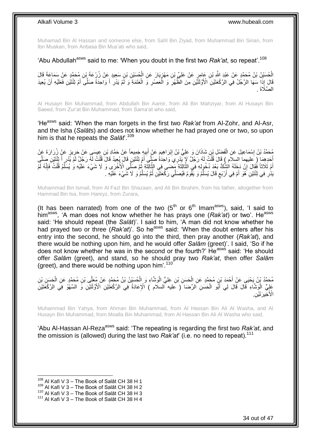Muhamad Bin Al Hassan and someone else, from Sahl Bin Ziyad, from Muhammad Bin Sinan, from Ibn Muskan, from Anbasa Bin Mus'ab who said,

### 'Abu Abdullah<sup>asws</sup> said to me: 'When you doubt in the first two *Rak'at*, so repeat'.<sup>108</sup>

لْحُسَيْنُ بْنُ مُحَمَّدٍ عَنْ عَبْدِ اللَّهِ بْنِ عَامِرٍ عَنْ عَلِيٍّ بْنِ مَهْزِيَارَ عَنِ الْحُسَيْنِ بْنِ سَعِيدٍ عَنْ زُرْعَةَ بْنِ مُحَمَّدٍ عَنْ سَمَاعَةَ قَالَ<br>ِ ْ ِ َفَالَ إِذَا سَهَا الرَّجُلُ فِي الرَّكْعَتَيْنِ الْأَوَّلَتَيْنِ مِنَ الظُّهْرِ وَ الْعَصْرِ وَ الْعَتَمَةِ وَ لَمْ يَدْرِ أَ وَاحِدَةً صَلَّىَ أَمْ تِثْنَيْنِ فَعَلَيْهِ أَنْ يُعِيدَ َ َ َ ِ ْ ِ ْ **∶** الصَّلَاةَ .

Al Husayn Bin Muhammad, from Abdullah Bin Aamir, from Ali Bin Mahziyar, from Al Husayn Bin Saeed, from Zur'at Bin Muhammad, from Sama'at who said,

'He<sup>asws</sup> said: 'When the man forgets in the first two *Rak'at* from Al-Zohr, and Al-Asr, and the Isha (*Salāt*s) and does not know whether he had prayed one or two, so upon him is that he repeats the *Salāt*'.<sup>109</sup>

مُحَمَّدُ بْنُ إِسْمَاعِيلَ عَنِ الْفَضْلِ بْنِ شَاذَانَ وَ عَلِيُّ بْنُ إِبْرَاهِيمَ عَنْ أَبِيهِ جَمِيعاً عَنْ حَمَّادِ بْنِ عِيسَى عَنْ حَرِيزٍ عَنْ زُرِرَارَةَ عَنْ ِ َ ِ ْ ِ أَخَذِهِمَا ۖ (ِعَلَيْهِمَا السِلاَّمِ ﴾ قَالَ قُلْتُ لَهُ رَجُلٌ لَإِنَّبِذِرِيَ وَاحِدَةُ صَلَّى أَمْ تِنْتَيْنِ قَالَ يُبِعِيدُ قَالَ قُلْتُ لَهُ رَجُلٌ لَمْ يَنْدِرِ أَ تَثْنَيْنِ صَلَّى َ ْ َّ َ ِ ْ اَمْ ثَلَاثاً فُقَالَ إِنْ دَخِلَهُ الْشِكُّ بَعْدَ دُخُولِهِ فِي الثَّالِثَةِ مِّضنَى فِي الثَّالِثَةِ ثُمَّ صَلَّى الْأُخْرَى وَ لَا شَيْءَ عَلَيْهِ وَ يُسَلِّمُ قُلْتُ فَإِنَّهُ لَمْ ان<br>ا  $\ddot{\phantom{0}}$ َّ  $\ddot{\cdot}$ َّ יֲ<br>י ِ ْ ِّ يَدُّرِ فِي ثِنْتَيْنِ َهُوَ أَمْ فِي أَرْبَعٍ قَالَ يُسَلِّمُ وَ يَقُومُ فَيُصَلِّي رَكْعَنَيْنِ ثُمَّ يُسَلِّمُ وَ لَا شَيْءَ عَلَيْهِ . ِّ ان<br>المقامات المقامات المقامات المقامات المقامات المقامات المقامات المقامات المقامات المقامات المقامات المقامات<br>المقامات المقامات المقامات المقامات المقامات المقامات المقامات المقامات المقامات المقامات المقامات المقامات ِّ ٍ َ ِ

Muhammad Bin Ismail, from Al Fazl Bin Shazaan, and Ali Bin Ibrahim, from his father, altogether from Hammad Bin Isa, from Hareyz, from Zurara,

(It has been narrated) from one of the two  $(5<sup>th</sup>$  or  $6<sup>th</sup>$  Imam<sup>asws</sup>), said, 'I said to him<sup>asws</sup>, 'A man does not know whether he has prays one (*Rak'at*) or two'. He<sup>asws</sup> said: 'He should repeat (the *Salāt*)'. I said to him, 'A man did not know whether he had prayed two or three (Rak'at)<sup>'</sup>. So he<sup>asws</sup> said: 'When the doubt enters after his entry into the second, he should go into the third, then pray another (*Rak'at*), and there would be nothing upon him, and he would offer *Salām* (greet)'. I said, 'So if he does not know whether he was in the second or the fourth?' He<sup>asws</sup> said: 'He should offer *Salām* (greet), and stand, so he should pray two *Rak'at*, then offer *Salām* (greet), and there would be nothing upon him'.<sup>110</sup>

مُحَمَّدُ بْنُ يَحْيَى عَنْ أَحْمَدَ بْنِ مُحَمَّدٍ عَنِ الْحَسَنِ بْنِ عَلِيٍّ الْوَشَّاءِ وَ الْحُسَيْنُ بْنُ مُحَمَّدٍ عَنْ مُعَلِّى بْنِ مُحَمَّدٍ عَنِ الْحَسَنِ بْنِ ْ ْ ْ َ ْ ِنِّي الْوَشَّاءِ قَالَ قَالَ لِي أَبُو الْحَسَنِ الرِّضَا ۚ ( عليه السلام ) الْإِعَادَةُ فِي الرَّكْعَتُيْنِ الْأَوَّلَئَيْلِ وَ السَّهُوُ فِي الرَّكْعَتَيْنِ ْ َ ْ الْأَخِيرَتَيْنِ<sub>.</sub>

Muhammad Bin Yahya, from Ahman Bin Muhammad, from Al Hassan Bin Ali Al Washa, and Al Husayn Bin Muhammad, from Moalla Bin Muhammad, from Al Hassan Bin Ali Al Washa who said,

'Abu Al-Hassan Al-Reza<sup>asws</sup> said: 'The repeating is regarding the first two *Rak'at*, and the omission is (allowed) during the last two *Rak'at'* (i.e. no need to repeat).<sup>111</sup>

 $108$  Al Kafi V 3 – The Book of Salāt CH 38 H 1

 $109$  Al Kafi V 3 – The Book of Salāt CH 38 H 2

 $110$  Al Kafi V  $3 -$  The Book of Salāt CH 38 H 3

 $111$  Al Kafi V 3 – The Book of Salāt CH 38 H 4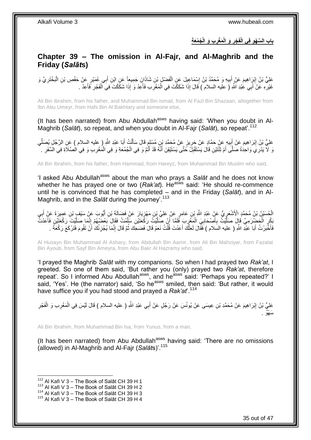**ُج ُمَع ِة ِب َو الْ َم ْغر َو الْ ْجر باب ال َّس ْه ِو فِي الْفَ ِ ِ**

### <span id="page-34-0"></span>**Chapter 39 – The omission in Al-Fajr, and Al-Maghrib and the Friday (***Salāt***s)**

عَلِيُّ بْنُ إِبْرَاهِيمَ عَنْ أَبِيهِ وَ مُحَمَّدُ بْنُ إِسْمَاعِيلَ عَنِ الْفَضْلِ بْنِ شَاذَانَ جَمِيعاً عَنِ ابْنِ أَبِي عُمَيْرٍ عَنْ حَفْصِ بْنِ الْبَخْتَرِيِّ وَ ِ ِ َ ِ ِ ْ َ ْ غَيْرِهِ عَنْ أَبِي عَٰيْدِ اللَّهِ ( عليه السلام ) قَالَ إِذَا شَكَكْتَ فِي الْمَغْرِبِ فَأَعِدْ وَ إِذَا شَكَكْتَ فِيَ الْفَجْرِ فَأَعِدْ . ْ َ **∶** ْ َ ِ َ ِ

Ali Bin Ibrahim, from his father, and Muhammad Bin Ismail, from Al Fazl Bin Shazaan, altogether from Ibn Abu Umeyr, from Hafs Bin Al Bakhtary and someone else,

(It has been narrated) from Abu Abdullah<sup>asws</sup> having said: 'When you doubt in Al-Maghrib (*Salāt*), so repeat, and when you doubt in Al-Fajr (*Salāt*), so repeat'.<sup>112</sup>

عَلِيُّ بْنُ إِبْرَاهِيمَ عَنْ أَبِيهِ عَنْ حَمَّادٍ عَنْ جَرِيزٍ عَنْ مُحَمَّدِ بْنِ مُسْلِمٍ قَالَ سَأَلْتُ أَبَا عَبْدِ اللَّهِ ( عليه السلام ) عَنِ الرَّجُلِ يُصَلِّي َ ْ َ ٍ ِ **!** َ ِ ِّ رَ لَا يَدْرِي وَاحِدَٰةً صَلَّى أَمْ تِثْنَيْنِ قَالَ يَسْنَقْبِلُ حَتَّى يَسْنَيْقِنَ أَنَّهُ قَدْ أَثْمَّ وَ فِي الْجُمُعَةِ وَ فِي الْمُغْرِبِ وَ فِي الْصَلَاَةِ فِي السَّفَرِ . ِ ْ ْ َ َ ِ َ ِ

Ali Bin Ibrahim, from his father, from Hammad, from Hareyz, from Muhammad Bin Muslim who said,

'I asked Abu Abdullah<sup>asws</sup> about the man who prays a Salat and he does not know whether he has prayed one or two (*Rak'at*). He<sup>asws</sup> said: 'He should re-commence until he is convinced that he has completed – and in the Friday (*Salāt*), and in Al-Maghrib, and in the *Salāt* during the journey'.<sup>113</sup>

الْحُسَيْنُ بْنُ مُحَمَّدٍ الْأَشْعَرِيُّ عَنْ عَبْدِ اللَّهِ بْنِ عَامِرٍ عَنْ عَلِيِّ بِنِ مَهْزِيَارَ عَنْ فَضَالَةَ بْنِ أَيُوبَ عَنْ سَيْفٍ بْنِ عَمِيرَةَ عَنْ أَبِي ِ ์<br>∙ั ِ َ َ ِّ يَكُن الْحَضْرَمِيِّ قَإِلَ صَلِّيْتُ بِأَصْحَابِيَ الْمَغْرِبَ قَلَمًا أَنْ صَلَّيْتُ رَكْعَتَيْنِ سَلِّمْتُ فَقَالَ بَعْضُهُمْ إِنَّمَا صَلَّيْتَ رَكْعَتَيْنِ فَأَعَذَتُ<br>يَكُن الْحَضْرَمِيِّ قَإِلَ صَلَّيْتُ بِأَصْحَا َّ َّ َ **∶** ْ **∶** َ **∶** َّ ْ َ َّ ِ فَأَخْبَرْتُ أَبَا عَبْدِ اللَّهِ ( عليه السَلام ) فَفَّالَ لَعَلَّكَ أَعَدْتَ قُلْتُ نَعَمْ قَالَ فَضَحِكَ ثُمَّ قَالَ إِنَّمَا يُجْزِئُكَ أَنْ تَقُومَ فَتَرْكَعَ رَكْعَةً . َ َ َ ِ ِ ُ ْ َ َّ

Al Husayn Bin Muhammad Al Ashary, from Abdullah Bin Aamir, from Ali Bin Mahziyar, from Fazalat Bin Ayoub, from Sayf Bin Ameyra, from Abu Bakr Al Hazramy who said,

'I prayed the Maghrib *Salāt* with my companions. So when I had prayed two *Rak'at*, I greeted. So one of them said, 'But rather you (only) prayed two *Rak'at*, therefore repeat'. So I informed Abu Abdullah<sup>asws</sup>, and he<sup>asws</sup> said: 'Perhaps you repeated?' I said, 'Yes'. He (the narrator) said, 'So he<sup>asws</sup> smiled, then said: 'But rather, it would have suffice you if you had stood and prayed a *Rak'at*'.<sup>114</sup>

عَلِيُّ بْنُ إِبْرَاهِيمَ عَنْ مُحَمَّدِ بْنِ عِيسَى عَنْ يُونُسَ عَنْ رَجُلٍ عَنْ أَبِي عَبْدِ اللَّهِ ( عليه السلام ) قَالَ لَيْسَ فِي الْمَغْرِبِ وَ الْفَجْرِ <u>֖֓</u> ِ ْ ِ ْ َ َس ْهٌو .

Ali Bin Ibrahim, from Muhammad Bin Isa, from Yunus, from a man,

(It has been narrated) from Abu Abdullah<sup>asws</sup> having said: 'There are no omissions (allowed) in Al-Maghrib and Al-Fajr (*Salāt*s)'.<sup>115</sup>

 $112$  Al Kafi V 3 – The Book of Salāt CH 39 H 1

 $113$  Al Kafi V 3 – The Book of Salāt CH 39 H 2

<sup>&</sup>lt;sup>114</sup> Al Kafi V 3 – The Book of Salāt CH 39 H 3

<sup>&</sup>lt;sup>115</sup> Al Kafi V 3 – The Book of Salāt CH 39 H 4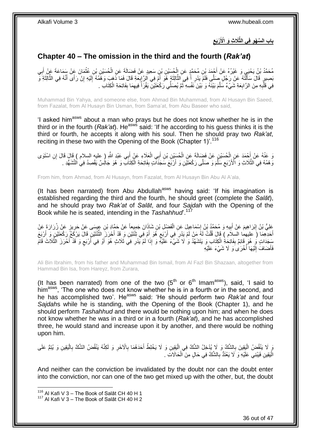### **ِ ْرَبع باب ال َّس ْه ِو فِي الثَّ َال ِث َو اْْلَ**

## <span id="page-35-0"></span>**Chapter 40 – The omission in the third and the fourth (***Rak'at***)**

مُحَمَّدُ بْنُ يَحْيَي وَ غَيْرُهُ عَنْ أَجْمَدَ بْنِ مُحَمَّدٍ عَنِ الْحُسَيْنِ بْنِ سَعِيدٍ عَنْ فَضَالَةَ عَنِ الْحُسَيْنِ بْنِ عُثْمَانَ عَنْ سَمَاعَةَ عَنْ أَبِي ْ ِ َ ْ ْ بَصِيرٍ ۚ قَالَ سَأَأَنَّهُ عَنْ رَجُلٍ صَلَّى فَلَمْٓ يَدْرِ أَ فِي النَّالِثَةِ ۚ هُوَ ۚ أَمْ فِي الزَّابِعَةِ قَالَ فَمَا ذَهَبَ وَهُمُهُ إِلَيْهِ إِنْ رَأَى أَنَّهُ فِي الثَّالِثَةِ وَ ِ ֺ<u>֓</u>֖֖֪֢֢֪֪ׅ֪֪֪֪֚֚֚֚֚֓֓֡֟֓֡֟֓֓֟֓֡֡֡֡֓׀֚  $\ddot{\phantom{0}}$ َّ َ **∶** ֦֧֦֧֧֦֧֦֧֦֧֦֧֦֧֦֧֧֦֧֦֪֧֪֦֪֦֧֧֧֧֧֧֧֟֟֟֓֕֟֓֕֝֓֟֓֡֟֓֡֟֓֡֟֓֡֟֓֡֟֟֓֡֟֓֡֟֟֩֓֞֟֓֞֟֓֡֟֓֞֟֓֟֓֝֬֝֓֟֝֓֟֝֬֝֬֝֬֝֬֝֬֝֬֝֬<br>֧֪֪֧֪֧֪֪֪֪֦֧֪֧֪֪֪֪֪֦֧֝֝֝֬֝֝֬֝ َ َ َّ َ ِ لَ ِ فِي قَلْدِهِ مِنَ الرَّابِعَةِ شَيْءٌ سَلَّمَ بَيْنَهُ وَ بَيْنَ نَفْسِهِ ثُمَّ يُصَلِّي رَكْعَتَيْنِّ يَقْرَأُ فِيهِمَا بِفَاتِحَةِ الْكِتَابِ . ِ **∶** ْ ِ ِ ُ ا ماہ<br>سال َّ

Muhammad Bin Yahya, and someone else, from Ahmad Bin Muhammad, from Al Husayn Bin Saeed, from Fazalat, from Al Husayn Bin Usman, from Sama'at, from Abu Baseer who said,

'I asked him<sup>asws</sup> about a man who prays but he does not know whether he is in the third or in the fourth (*Rak'at*). He<sup>asws</sup> said: 'If he according to his guess thinks it is the third or fourth, he accepts it along with his soul. Then he should pray two *Rak'at*, reciting in these two with the Opening of the Book (Chapter 1)<sup>'.116</sup>

وَ عَنْهُ عَنْ إِحْمَدَ عَنِ الْحُسَيْنِ عَنْ فَضِبَالَةَ عَنِ الْحُسَيْنِ بْنِ أَبِي الْعَلَاءِ عَنْ أَبِي عَبْدِ اللَّهِ ( عِليه السلام ) قَالَ إنِ اسْتَوَى َ ْ َ ْ ْ وَ هُمُهُ فِي الثَّلَاثِ وَ الْأَرْبَعِ سَلَّمَ وَ صَلَّى رَكْعَتَيْنِ وَ أَرْبََعَ سَّجَدَاتٍ بِفَاتِحَةِ الْكِتَابِ وَ هُوَ جَالِسٌ يَقْصِدُ فِي النَّشَهُّدِ . ْ  $\frac{1}{2}$ َ َّ ِ َّ

From him, from Ahmad, from Al Husayn, from Fazalat, from Al Husayn Bin Abu Al A'ala,

(It has been narrated) from Abu Abdullah<sup>asws</sup> having said: 'If his imagination is established regarding the third and the fourth, he should greet (complete the *Salāt*), and he should pray two *Rak'at* of *Salāt*, and four *Sajdah* with the Opening of the Book while he is seated, intending in the *Tashahhud*'.<sup>117</sup>

َعْلِيُّ بْنُ إِبْرَاهِيمَ عَنْ أَبِيهِ وَ مُحَمَّدُ بْنُ إِسْمَاعِيلَ عَنِ الْفَضْلِ بْنِ شَاذَانَ جَمِيعاً عَنْ حَمَّادِ بْنِ عِيسَى عَنْ حَرِيزٍ عَنْ زُرَارَةَ عَنْ ْ ِ **!** َ ِ أَخَذِهِمَاۤ ( عَليهما السَّلاَم ) قَالَ قُلْتُ لَهُۢ مَنْ لَمْ يَدْرِ ۖ فِي أَرْبَعٍ هُوَ أَمْ فِي تِنْتَيْنِ وَ قَدْ أَحْرَنَ الثَّنْتَيْنِۖ قَالَ يَرْكَحُمُّ رَحُعَتَيْنِ وَ أَرْبَعَ َ **∶** َ **∶** ْ َ ِّ َ سَِجَدَاتٍ وَ هُوَ قَائِمٌ بِفَاتِحَةِ الْكِتَابِ وَ يَتَشَهَّدُ وَ لَا شَيْءَ عَلَيْهِ وَ إِذَا لَمْ يَدْرِ فِي ثَلَاثٍ هُوَ أَوْ فِي أَرْبَعٍ وَ قَدْ أَحْرَزَ الثَّلَاثَ قَامَ ْ **∣** َّ َ **≀** َ َ ِ فَأَضَافَ إِلَيْهَا أُخْرَىٰ َوَ لَا شَيْءَ عَلَيْهِ .<br>ا لَ  $\frac{1}{2}$ َ

Ali Bin Ibrahim, from his father and Muhammad Bin Ismail, from Al Fazl Bin Shazaan, altogether from Hammad Bin Isa, from Hareyz, from Zurara,

(It has been narrated) from one of the two  $(5<sup>th</sup>$  or  $6<sup>th</sup>$  lmam<sup>asws</sup>), said, 'I said to him<sup>asws</sup>, 'The one who does not know whether he is in a fourth or in the second, and he has accomplished two'. He<sup>asws</sup> said: 'He should perform two *Rak'at* and four *Sajdah*s while he is standing, with the Opening of the Book (Chapter 1), and he should perform *Tashahhud* and there would be nothing upon him; and when he does not know whether he was in a third or in a fourth (*Rak'at*), and he has accomplished three, he would stand and increase upon it by another, and there would be nothing upon him.

وَ لَا يَنْقُضُ الْبَقِينَ بِالشَّكِّ وَ لَا يُدْخِلُ الشَّكَ فِي الْيَقِينِ وَ لَا يَخْلِطُ أَحَدَهُمَا بِالْاخَرِ وَ لَكِنَّهُ يَنْقُضُ الشَّكَ بِالْيَقِينِ وَ يُتِمُّ عَلَى ِ **∶** َ :<br>ا **∶** :<br>ا ْ ِ الْيَقِينِ فَيَبْنِي عَلَيْهِ وَ لَا يَعْنَدُّ بِالشَّكِّ فِي حَالٍ مِنَ الْحَالَاتِ . :<br>إ ْ ِ

And neither can the conviction be invalidated by the doubt nor can the doubt enter into the conviction, nor can one of the two get mixed up with the other, but, the doubt

<sup>&</sup>lt;sup>116</sup> Al Kafi V 3 – The Book of Salāt CH 40 H 1

<sup>&</sup>lt;sup>117</sup> Al Kafi V 3 – The Book of Salāt CH 40 H 2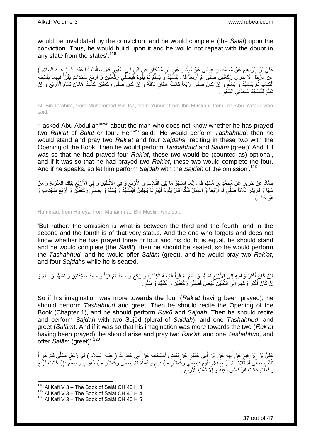would be invalidated by the conviction, and he would complete (the *Salāt*) upon the conviction. Thus, he would build upon it and he would not repeat with the doubt in any state from the states'.<sup>118</sup>

ْ عَلِيُّ بْنُ إِبْرَاهِيمَ عَنْ مُحَمَّدِ بْنِ عِيِسَىٍ عَنْ يُونُسَ عَنِ إِبْنِ مُسْكَانَ عَنِ ابْنِ أَبِي يَعْفُورِ قَالَ سَأَلْتُ أَبَا عَبْدِ اللَّهِ ( عليه السلام )<br>-َ َ ِ َ عَنِ الرَّجُلِ لَا يَذْرِي رَكْعَتَيْنِ صَلَّى أَمْ أَرْبَعاً قَالَ يَتَشَهَّدُ وَ يُسَلِّمُ ثُمَّ يَقُومُ فَيُصَلِّي رَكْعَتَيْنِ وَ أَرْبَعَ سَجَدَاتٍ يَقْرَأَ فِيهِمَا بِفَاتِحَةِ<br>نُفْسِ الْمُبْرِكَةِ يَقْدِينِ فَي تَف ُ ِّ اُ َ ِ ِ ا<br>ا َ الْجَنَّابِ ۖ ثُمَّ يَتَشَهَّدُ وَ يُسَلِّمُ وَ إَنْ كَانَ صَلَّى أَرْبَعاً كَانَتْ هَاَتَانِ نَافِلَةً وَ إِنْٰ ِ ِّ ُ ِ ِ ِ َ تَكَلَّمَ فَلْيَسْجُدْ سَجْدَتَـيِ السَّهْوِ ۚ ـِ ِ ِ :<br>ا َّ

Ali Bin Ibrahim, from Muhammad Bin Isa, from Yunus, from Ibn Muskan, from Ibn Abu Yafour who said,

'I asked Abu Abdullah<sup>asws</sup> about the man who does not know whether he has prayed two *Rak'at* of *Salāt* or four. He<sup>asws</sup> said: 'He would perform *Tashahhud*, then he would stand and pray two *Rak'at* and four *Sajdah*s, reciting in these two with the Opening of the Book. Then he would perform *Tashahhud* and *Salām* (greet)' And if it was so that he had prayed four *Rak'at*, these two would be (counted as) optional, and if it was so that he had prayed two *Rak'at*, these two would complete the four. And if he speaks, so let him perform *Sajdah* with the *Sajdah* of the omission'.<sup>119</sup>

حَمَّادٌ عَنْ حَرِيزٍ عَنْ مُحَمَّدٍ بْنِ مُسْلِمٍ قَالَ إِنَّمَا السَّهْوُ مَا بَيْنَ الثَّلَاثِ وَ الْأَرْبَعِ وَ فِي الاثْنَتَيْنِ وَ فِي الْأَرْبَعِ بِتِلْكَ الْمَنْزِلَةِ وَ مَنْ ِ لَ ِ ْ ْ ِ ِ **ٔ** ِ َّ ِ ٍ سَهَا وَ لَمْ يَدْرِ ثَلَاثاً صَلَّى أَمْ أَرْبَعاً وَّ اعْتَدَلَ شَكُّهُ قَالَ يَقُومُ فَيُتِمُّ ثُمَّ يَجْلِسُ فَيَتَشَّهَّدُ وَ يُسَلِّمُ وَ يُصَلِّي رَكْعَتَيْنِ وَ أَرْبَعَ سَجَدَاتٍ وَ ُ ا<br>ا ا<br>ا ِ َ ِّ هُوَ چَالِسِ ٌ

Hammad, from Hareyz, from Muhammad Bin Muslim who said,

'But rather, the omission is what is between the third and the fourth, and in the second and the fourth is of that very status. And the one who forgets and does not know whether he has prayed three or four and his doubt is equal, he should stand and he would complete (the *Salāt*), then he should be seated, so he would perform the *Tashahhud*, and he would offer *Salām* (greet), and he would pray two *Rak'at*, and four *Sajdah*s while he is seated.

ا<br>ا فَإِنْ كَانَ أَكْثَرُ وَهْمِهِ إِلَى الْأَرْبَعِ تَشَهَّدَ وَ سَلَّمَ ثُمَّ قَرَأَ فَاتِحَةِ الْكِتَابِ وَ رَكَعَ وَ سَجَدَ ثُمَّ قَرَأَ وَ سَجَدَتَيْنِ وَ تَشَهَّدَ وَ سَلَّمَ وَ ْ َ ٔ.<br>ـ َّ ِ  $\frac{1}{2}$ َ َ ֚׀֛<br>ׇ֧֢֚ َّ َ إِنَّ كَانَ أَكْثَرُ وَ هْمِهِ إِلَى الثَّنْنَيْنِ نَّـهَضَ فَصَلَّى رَكْعَتَيْنِ وَ تَشَهَّدَ وَ سَلَّمَ . َّ ِّ  $\frac{1}{2}$ َ َ ا

So if his imagination was more towards the four (*Rak'at* having been prayed), he should perform *Tashahhud* and greet. Then he should recite the Opening of the Book (Chapter 1), and he should perform *Rukū* and *Sajdah*. Then he should recite and perform *Sajdah* with two Sujūd (plural of *Sajdah*), and one *Tashahhud*, and greet (*Salām*). And if it was so that his imagination was more towards the two (*Rak'at* having been prayed), he should arise and pray two *Rak'at*, and one *Tashahhud*, and offer *Salām* (greet)<sup>' 120</sup>

عَلِيُّ بْنُ إِبْرَاهِيمَ عَنْ أَبِيهِ عَنِ ابْنِ أَبِي عُمَيْرٍ عَنْ بَعْضِ أَصْحَابِهِ عَنْ أَبِي عَبْدٍ اللَّهِ ( عليه السلام ) فِي رَجُلٍ صَلَّى فَلَمْ يَدْرِ أَ<br>وَيَمْسُلُ بِنَّ إِبْرَاهِيمَ عَنْ أَبِيهِ عَنِ ابْنِ أَ َ **∶** َ **!** َ ।।<br>∶ َّ َ ِّئْتَيْنِ صَلِّي أَمْ ثَلاثاً أَمْ أَرْبَعاً قَالَ بَقُومُ فَيُصَلِّي رَكْعَتَيْنِ مِنْ قِيَامٍ وَ يُسَلِّمُ ثُمَّ يُصَلِّي رَكْعَتَيْنِ مِنْ جُلُوسٍ وَ يُسَلِّمُ فَإِنْ كَانَتْ أَرْبَعَ ُ ِّ ٍ اُ َ َ َ ِ ِّ رَكَعَاتٍ كَانَّتِ الرَّكْعَتَانِ نَافِلَةً وَ إِلَّا تَمَّتِ الْأَرْبَّعُ . ِ

 $118$  Al Kafi V 3 – The Book of Salāt CH 40 H 3

<sup>119</sup> Al Kafi V 3 – The Book of Salāt CH 40 H 4

 $120$  Al Kafi V 3 – The Book of Salāt CH 40 H 5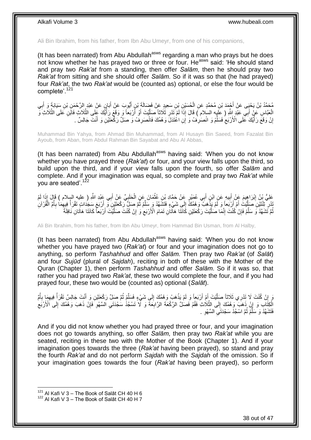Ali Bin Ibrahim, from his father, from Ibn Abu Umeyr, from one of his companions,

(It has been narrated) from Abu Abdullah $a<sup>asws</sup>$  regarding a man who prays but he does not know whether he has prayed two or three or four. Heasws said: 'He should stand and pray two *Rak'at* from a standing, then offer *Salām*, then he should pray two *Rak'at* from sitting and she should offer *Salām*. So if it was so that (he had prayed) four *Rak'at*, the two *Rak'at* would be (counted as) optional, or else the four would be complete<sup>'.121</sup>

مُحَمَّدُ بْنُ يَحْيَى عَنْ أَجْمَدَ بْنِ مُحَمَّدٍ عَنِ الْحُسَيْنِ بْنِ سَعِيدٍ عَنْ فَضَالَةَ بْنِ أَيُّوبَ عَنْ أَبَانٍ عَنْ عَبْدِ الرَّحْمَنِ بْنِ سَيَابَةٍ وَ أَبِي َ َ ْ ِ َ الْعَبَّاسِ عَنْ أَبِي عَبْدِ اللَّهِ ( عِلَيْهِ السلام ) قَالَ إِذَا لَمْ َتَدْرِ ثَلَاثًا صَلَّيْتَ أَوْ أَرْبَعاً وَ وَقَعَ رَأْيُكَ عَلَى الثَّلَاثِ فَالَمْ الثَّلَاثِ وَ َ َّ َّ َ َ َّ ِ إِنْ وَقَعَ رَأَيُكَ عَلَى الْأَرْبَعِ فَسَلِّمْ وَ انْصَرِفْ وَ إِنِ اعْتَدَلَّ وَهْمُكَ فَانْصَرِفْ وَ صَلِّ رَكْحَتَيْنِ وَ أَنْثَ جَالِسٌ . **∶ ∶** ِّ  $\zeta$ ֧֧֟֓֓<u>֓</u>֖֧֓֓֝ ا َ

Muhammad Bin Yahya, from Ahmad Bin Muhammad, from Al Husayn Bin Saeed, from Fazalat Bin Ayoub, from Aban, from Abdul Rahman Bin Sayabat and Abu Al Abbas,

(It has been narrated) from Abu Abdullah $a$ <sup>asws</sup> having said: 'When you do not know whether you have prayed three (*Rak'at*) or four, and your view falls upon the third, so build upon the third, and if your view falls upon the fourth, so offer *Salām* and complete. And if your imagination was equal, so complete and pray two *Rak'at* while you are seated'.<sup>122</sup>

عَلِيُّ بْنُ إِبْرَاهِيمَ عَنْ أَبِيهِ عَنِ ابْنِ أَبِي عُمَيْرٍ عَنْ حَمَّادِ بْنِ عُثْمَانَ عَنِ الْحَلَبِيِّ عَنْ أَبِي عَبْدِ اللَّهِ ( عليهِ السلام ) قَإِلَ بِذَا لَمْ َ ِ ْ **ٔ** َ **!** َ ِ يْدْرِ تَثْنَيْنِ صَلَّيْتَ أَمْ أَرْبَعاً وَ لَمْ يَذْهَبْ وَهُمُكَّ إِلَى شَيْءٍ فَتَشَهَّدْ وَ سَلَّمْ ثُمَّ صَلِّ رَكْعَتَيْنِ وَ أَرْبَعَ سَجَدَاتٍ تَقْرَأُ فِيهِمَا بِأَمَّ الْقُرْآنِ  $\frac{1}{2}$ ا<br>:<br>-اُ <u>َ</u> َّ ِ ْ ُ ِ ِ المية المصرية المصرية المصرية المصرية المصرية المصرية المصرية المصرية المصرية المصرية المصرية المصرية المصرية<br>المصرية َ ُ ِّ نُّمَّ تَشَهَّدُ وَ سَلِّمْ فَإِنْ كُنْتَ إِنَّمَا صٰلَيْتَ رَكْعَتَيْنِ كَانَتَا هَاتَانِ تَمَامَ الْأَرْبَعِ وَ ٰإِنْ كُنْتَ صَلَّيْتَ أَرْبَعاً كَانَتَا هَاتَانِ نَافِلَةً ِ  $\zeta$ َّ יִי (ו ِ ِّ َ َّ

Ali Bin Ibrahim, from his father, from Ibn Abu Umeyr, from Hammad Bin Usman, from Al Halby,

(It has been narrated) from Abu Abdullah<sup>asws</sup> having said: 'When you do not know whether you have prayed two (*Rak'at*) or four and your imagination does not go to anything, so perform *Tashahhud* and offer *Salām*. Then pray two *Rak'at* (of *Salāt*) and four *Sujūd* (plural of *Sajdah*), reciting in both of these with the Mother of the Quran (Chapter 1), then perform *Tashahhud* and offer *Salām*. So if it was so, that rather you had prayed two *Rak'at*, these two would complete the four, and if you had prayed four, these two would be (counted as) optional (*Salāt*).

َوَ إِنْ كُنْتَ لَا تَدْرِي ثَلَاثاً صَلَّيْتَ أَمْ أَرْبَعاً وَ لَمْ يَذْهَبْ وَهُمُكَ إِلَي شَيْءٍ فَسَلَّمْ ثُمَّ صَلِّ رَكْعَتَيْنِ وَ أَنْتَ جَالِسٌ تَقْرَأُ فِيهِمَا بِأُمَّ<br>حَمَّةُ مَسْتَمَّلُ الْمَرْوِي وَاللَّهُ َ ا<br>ا َّ ֧<u>֚֚֚֚֚֚֓</u>  $\frac{1}{2}$ **ٔ** ُ **∶** ِ المار<br>أحداث المار َ ُ ِّ الْكِتَّآبِ وَ إِنْ ذَهَبَ وَهْمُكَ إِلَى الثَّلَاثِ فَقُمْ فَصَلٌ الرَّكْعَةَ الرَّابِعَةَ وَ لَّا َتَسْجُدُ سَجْدَتَي آلسَّهْوِ فَإِنْ ذَهَبَ وَهَمُكَ إِلَى الْأَرْبَع ِ ِ َّ ِ ِ ∣ļ ِ ِ ِ فَتَشَهَّدْ وَ سَلَّمْ ثُمَّ اسْجُدْ سَجْدَتَيِ السَّهْوِ . ِ ِ .<br>• • • • ِّ

And if you did not know whether you had prayed three or four, and your imagination does not go towards anything, so offer *Salām*, then pray two *Rak'at* while you are seated, reciting in these two with the Mother of the Book (Chapter 1). And if your imagination goes towards the three (*Rak'at* having been prayed), so stand and pray the fourth *Rak'at* and do not perform *Sajdah* with the *Sajdah* of the omission. So if your imagination goes towards the four (*Rak'at* having been prayed), so perform

 $121$  Al Kafi V 3 – The Book of Salāt CH 40 H 6

 $122$  Al Kafi V 3 – The Book of Salāt CH 40 H 7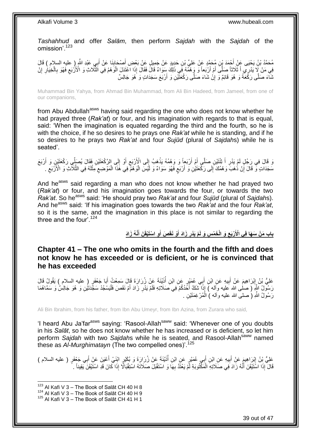*Tashahhud* and offer *Salām*, then perform *Sajdah* with the *Sajdah* of the omission'.<sup>123</sup>

; مُحَمَّدُ بْنُ يَحْيَى عَنِّ أَحْمَدَ بْنِ مُحَمَّدٍ عَنْ عَلِيٍّ بْنِ حَدِيدٍ عَنْ جَمِيلٍ عَنْ بَعْضِ أَصْحَابِنَا عَنْ أَبِي عَبْدِ اللَّهِ إِ عليهِ السلام ) قَالَ َ ِ ْفِي مَنْ لَا يَذْرِي اَ ثَلَاثاً صَلَّى أَمْ أَرْبَعاً وَ وَهُمُّهُ فَيِ ذَلِكَ سَوَاءٌ قَالَ فَقَالَ إِذَا اعْتَذَلَ الْوَهُمُ فِي الثَّلَاثِ وَ الْأَرْبَعِ فَهُوَ بِالْخِيَارِ إِنْ<br>فِي مَنْ لَا يَدْرِي اَتَّذَلاثَ عَنَ َ َ ِ ِ ْ ِ ِ َّ ْ ثَمَّاءَ صَلَّى رَكَّعَةً وَ هُوَ قَائِمٌ وَ إِنْ شَاءَ صَلَّى رَكْعَتَيْنِ وَ أَرْبَعَ سَجَدَاتٍ وَ هُوَ جَالِسٌ יֲ<br>י

Muhammad Bin Yahya, from Ahmad Bin Muhammad, from Ali Bin Hadeed, from Jameel, from one of our companions,

from Abu Abdullah<sup>asws</sup> having said regarding the one who does not know whether he had prayed three (*Rak'at*) or four, and his imagination with regards to that is equal, said: 'When the imagination is equated regarding the third and the fourth, so he is with the choice, if he so desires to he prays one *Rak'at* while he is standing, and if he so desires to he prays two *Rak'at* and four *Sujūd* (plural of *Sajdah*s) while he is seated'.

َد قَالَ فِي رَجُلٍ لَمْ يَدْرِ أَ تِتْتَيْنِ صَلَّى أَمْ أَرْبَعاً وَ وَهْمُهُ يَذْهَبُ إِلَى الْأَرْبَعِ أَوْ إِلَى الرَّكْعَتَيْنِ فَقَالَ يُصَلِّي رَكْعَتَيْنِ وَ أَرْبَعَ ِ َ ِ  $\frac{1}{2}$ **ٔ** َ َ ِ َ سَجَدَاتٍ وَّ قَالَ إِنْ ذُهَبَ وَهْمُكَ ۖ إِلَى رَكْعَتَيْنِ وَ أَرْبَعٍ فَهُوَ سَوَاءٌ وَ لَئِسَ الْوَهْمُ فِي هَٰذَا الْمَوْضِعِ مِثْلَهُ فِي الثَّلَاثِ وَ الْأَرْبَعِ . لَ ْ ِ ْ ْ ٍ َ ِ ِ ِ َّ

And he<sup>asws</sup> said regarding a man who does not know whether he had prayed two (*Rak'at*) or four, and his imagination goes towards the four, or towards the two *Rak'at.* So he<sup>asws</sup> said: 'He should pray two *Rak'at* and four *Sujūd* (plural of *Sajdahs*). And he<sup>asws</sup> said: 'If his imagination goes towards the two *Rak'at* and the four *Rak'at*, so it is the same, and the imagination in this place is not similar to regarding the three and the four'. $124$ 

> باب مَنْ سَهَا فِى الْأَرْبَعِ وَ الْخَمْسِ وَ لَمْ يَذْرِ زَادَ أَوْ نَقَصَ أَوِ اسْتَيْقَنَ أَنَّهُ زَادَ **َ َ َ ِ ِ**

<span id="page-38-0"></span>**Chapter 41 – The one who omits in the fourth and the fifth and does not know he has exceeded or is deficient, or he is convinced that he has exceeded**

عَلِيُّ بْنُ إِبْرَاهِيمَ عَنْ أَبِيهِ عَنِ ابْنِ أَبِي عُمَيْرٍ عَنِ ابْنِ أُذَيْنَةَ عَنْ زُرَارَةَ قَالَ سَمِعْتُ أَبَا جَعْفَرٍ ( عليه السلام ) يَقُولُ قَالَ ُ َ **!** َ رَسُولُ اللَّهِ ( صلى الله عليه وآله ) إِذَا تَّشَكَّ أَحَدُكُمْ فِي َصَلَاتِهِ فَلَمْ يَدْرِ زَادَ أَمْ نَقَصَ فَلْيَسْجُدْ سَجَّدَتَيْنِ وَ هُوَ جَالِسٌ وَ سَمَّاهُمَا ْ َ ِ َ رَسُولُ اللَّهِ (ُ صلــى الله عليه وألـه ) الْمُرْغِمَتَيْنِ . ْ

Ali Bin Ibrahim, from his father, from Ibn Abu Umeyr, from Ibn Azina, from Zurara who said,

'I heard Abu Ja'far<sup>asws</sup> saying: 'Rasool-Allah<sup>saww</sup> said: 'Whenever one of you doubts' in his *Salāt*, so he does not know whether he has increased or is deficient, so let him perform *Sajdah* with two *Sajdah*s while he is seated, and Rasool-Allahsaww named these as *Al-Murghimatayn* (The two compelled ones)<sup>'.125</sup>

عَلِيُّ بِنُ إِبْرَاهِيمَ عَنْ أَبِيهِ عَنِ ابْنِ أَبِي عُمَيْرٍ عَنِ ابْنِ أَذَيْنَةَ عَنْ زُرَارَةَ وَ بُكَيْرٍ ابْنَيْ أَعْيَنَ عَنْ أَبِي جَعْفَرٍ ( عليه السلام )<br>. ِ َ ِ َ َ ُ َ قَالَ ۚ إِذَا اسْتَيْقَنَ أَنَّهُ زَادَ فِي صَلَاتِهِ الْمَكْتُوبَةِ لَمْ يَعْثَدَّ بِهَا وَ اسْتَقْبَلَ صَلَاتَهُ اسْتِقْبَالًا إِذَا كَانَ قَدِ اسْتَيْقَنَ يَقِيناً ۚ **∶** ْ ֧֖֚֚֚֚֚֚֚֚֚֚֚֚֚֚֚֚֚֝֘֝֟֓֕֝֬֓֡֡֓֞֡֟֓֡֟֓֞֡֟֓֡֟֓֡֟֓֡֟֓֡֬֓֞֞֞֞֞֞֞֞֞֞֟

 $123$  Al Kafi V 3 – The Book of Salāt CH 40 H 8

 $^{124}$  Al Kafi V 3 – The Book of Salāt CH 40 H 9

<sup>125</sup> Al Kafi V 3 – The Book of Salāt CH 41 H 1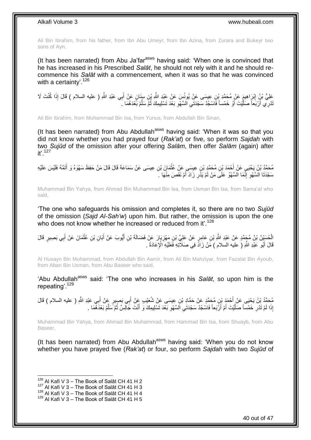Ali Bin Ibrahim, from his father, from Ibn Abu Umeyr, from Ibn Azina, from Zurara and Bukeyr two sons of Ayn,

(It has been narrated) from Abu Ja'far<sup>asws</sup> having said: 'When one is convinced that he has increased in his Prescribed *Salāt*, he should not rely with it and he should recommence his *Salāt* with a commencement, when it was so that he was convinced with a certainty'.<sup>126</sup>

َعْلِيُّ بْنُ إِبْرَاهِيمَ عَنْ مُحَمَّدِ بْنِ عِيسَى عَنْ يُونُسَ عَنْ عَبْدِ اللَّهِ بْنِ سِنَانٍ عَنْ أَبِي عَبْدِ اللَّهِ ( عليه السلام ) قَالَ إِذَا كُنْتَ لَا ِ َ نْدْرِي أَرْبَعاً صَلَّيْتَ أَوْ خَمْساً فَاسْجُدْ سَجْدَتَيِ السَّهْوِ بَعْدَ تَسْلِيمِكَ ثُمَّ سَلَّمْ بَُعْدَهُمَا كَل ِّ ان<br>ا **∶** ِ َ ةً،<br>إ َ

Ali Bin Ibrahim, from Muhammad Bin Isa, from Yunus, from Abdullah Bin Sinan,

(It has been narrated) from Abu Abdullah $a<sup>asws</sup>$  having said: 'When it was so that you did not know whether you had prayed four (*Rak'at*) or five, so perform *Sajdah* with two *Sujūd* of the omission after your offering *Salām*, then offer *Salām* (again) after it'. 127

مُحَمَّدُ بْنُ يَحْيَى عَنْ أَحْمَدَ بْنِ مُحَمَّدٍ بْنِ عِيسَى عَنْ عِتْمَانَ بْنِ عِيسَى عَنْ سَمَاعَةَ قَالَ قَالَ مَنْ حَفِظَ سَهْوَهُ وَ أَتَمَّهُ فَلَيْسَ عَلَيْهِ<br>. ْ َ سَجْدَتَا السَّهْوِ إِنَّمَا السَّهْوُ عَلَى مَنْ لَمْ يَذُرِ زَادَ أَمْ نَقَصَ مِنْهَا ۚ. َ ِ יִי (ו ِ

Muhammad Bin Yahya, from Ahmad Bin Muhammad Bin Isa, from Usman Bin Isa, from Sama'at who said,

'The one who safeguards his omission and completes it, so there are no two *Sujūd* of the omission (*Sajd Al-Sah'w*) upon him. But rather, the omission is upon the one who does not know whether he increased or reduced from it'.<sup>128</sup>

الْحُسَيْنُ بْنُ مُجَمَّدٍ عَنْ عَبْدِ اللَّهِ بْنِ عَامِرٍ عَنْ عَلِيٍّ بْنِ مَهْزِ يَإِرَ عَنْ فَضَالَةَ بْنِ أَيُّوبَ عَنْ أَبَانِ بْنِ عُثْمَانَ عَنْ أَبِي بَصِيرٍ قَالَ **∶** َ **ٔ** َ َ قَالَ أَبُو عَبْدِ اللَّهِ ( عليه السلام ) مَنْ زَادً فِي صَلَاتِهِ فَعَلَيْهِ الْإِعَادَةُ . َ

Al Husayn Bin Muhammad, from Abdullah Bin Aamir, from Ali Bin Mahziyar, from Fazalat Bin Ayoub, from Aban Bin Usman, from Abu Baseer who said,

'Abu Abdullah<sup>asws</sup> said: 'The one who increases in his Salat, so upon him is the repeating'.<sup>129</sup>

مُحَمَّدُ بْنُ يَحْيَى عَنْ أَحْمَدَ بْنِ مُحَمَّدٍ عَنْ حَمَّادِ بْنِ عِيسَى عَنْ شُعَيْبِ عَنْ أَبِي بَصِبِرٍ عَنْ أَبِي عَبْدِ اللَّهِ ( عليه السلام ) قَالَ َ َ إِذَا لَمْ تَدْرِ خَمْساً صَلَّيْتَ أَمْ أَرَْبَعاً فَاسْجُدْ سَجْدَتَي السَّهْوِ بَعْدَ تَسْلِيمِكَ وَ أَنْتَ جَالِسٌ ثُمَّ سَلِّمْ بَعْدَهُمَا . ا د َ **∶** ِ َ ا<br>ا َّ ِ ِّ

Muhammad Bin Yahya, from Ahmad Bin Muhammad, from Hammad Bin Isa, from Shuayb, from Abu Baseer,

(It has been narrated) from Abu Abdullah $a<sup>asws</sup>$  having said: 'When you do not know whether you have prayed five (*Rak'at*) or four, so perform *Sajdah* with two *Sujūd* of

 $126$  Al Kafi V 3 – The Book of Salāt CH 41 H 2

 $127$  Al Kafi V 3 – The Book of Salāt CH 41 H 3

 $^{128}$  Al Kafi V 3 – The Book of Salāt CH 41 H 4

 $129$  Al Kafi V 3 – The Book of Salāt CH 41 H 5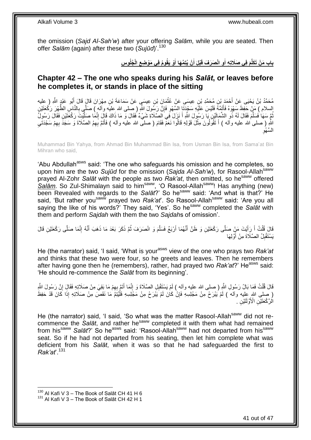the omission (*Sajd Al-Sah'w*) after your offering *Salām*, while you are seated. Then offer *Salām* (again) after these two (*Sujūd*)'.<sup>130</sup>

> باب مَنْ تَكَلَّمَ فِى صَلَاتِهِ أَوِ انْصَرَفَ قَبْلَ أَنْ يُتِمَّهَا أَوْ يَقُومُ فِى مَوْضِعِ الْجُلُوسِ **ِ َ َ**

### <span id="page-40-0"></span>**Chapter 42 – The one who speaks during his** *Salāt***, or leaves before he completes it, or stands in place of the sitting**

مُحَمَّدُ بْنُ يَحْيَى عِنْ أَحْمَدَ بْنِ مُحَمَّدِ بْنِ عِيسَى عَنْ عُثْمَانَ بْنِ عِيسَى عَنْ سَمَاعَةَ بْنِ مِهْرَانَ قَالَ قَالَ أَبُو عَبْدٍ اللَّهِ ( عِليه ْ َ السلام ) مَنْ حَفِظَ سَهْوَهُ فَأَتَمَّهُ فَلَيْسَ عَلَيْهِ سَجْدَتَا السَّهْوِ فَإِنَّ رَسُولَ الثَّهِ (صلى الله عليه وأله ) صَلَّي بِالنَّاسِ الظُّهْرَ رَكْعَتَيْنِ ∣ļ ِ َ **∶** ُّمَّ سَهَا فَسَلَّمَ فَقَالَ لَهُ ذُو الشَّمَالَيْنِ يَا رَسُولَ اللَّهِ أَ نَزَلَ فِي الصَّلَاةِ شَيْءٌ فَقَالَ وَ مَا ذَاكَ قَالَ إِنَّمَا صَلَّيْتَ رَكْعَتَيْنِ فَقَالَ رَسُولُ َ َّ رُّ<br>إ ِ اللَّهِ ( صلى الله عليه وآله ) أَ تَقُولُونَ مِثْلَ قَوْلِهِ قَالُوا نَعَمْ فَقَامَ ( صلى الله عليه وآله ) فَأَتَمَّ بَهِمُ الصَّلَاةَ وَ سَجَدَ بِهِمْ سَجْدَتَنِي َ **ٔ** َ ِ ِ ِ السَّـهْوِ

Muhammad Bin Yahya, from Ahmad Bin Muhammad Bin Isa, from Usman Bin Isa, from Sama'at Bin Mihran who said,

'Abu Abdullah<sup>asws</sup> said: 'The one who safeguards his omission and he completes, so upon him are the two *Sujūd* for the omission (Sajda Al-Sah'w), for Rasool-Allah<sup>saww</sup> prayed Al-Zohr *Salāt* with the people as two *Rak'at*, then omitted, so hesaww offered Salam. So Zul-Shimalayn said to him<sup>saww</sup>, 'O Rasool-Allah<sup>saww</sup>! Has anything (new) been Revealed with regards to the *Salāt*?' So he<sup>saww</sup> said: 'And what is that?' He said, 'But rather you<sup>saww</sup> prayed two *Rak'at*'. So Rasool-Allah<sup>saww</sup> said: 'Are you all saying the like of his words?' They said, 'Yes'. So hesaww completed the *Salāt* with them and perform *Sajdah* with them the two *Sajdah*s of omission'.

قَالَ قُلْتُ أَ رَِأَيْتَ مَنٍْ صَلَّى رَكْعَتَيْنِ وَ ظَنَّ أَنَّهُمَا أَرْبَعٌ فَسَلَّمَ وَ انْصَرَفَ ثُمَّ ذَكَرَ بَعْدَ مَا ذَهَبَ أَنَّهُ إِنَّمَا صَلَّى رَكْعَتَيْنِ قَالَ<br>فَيَنْ نُنُوبُ اللَّهُ عَلَيْهِ الْمَوْسَلِ ان<br>المقامات المقامات المقامات المقامات المقامات المقامات المقامات المقامات المقامات المقامات المقامات المقامات<br>المقامات المقامات المقامات المقامات المقامات المقامات المقامات المقامات المقامات المقامات المقامات المقامات َّ اُ َ َ َ ْ ِ َ يَسْتَقْبِلُ الصَّلَاةَ مِنْ أَوَّلِهَا َ ِ

He (the narrator) said, 'I said, 'What is your<sup>asws</sup> view of the one who prays two *Rak'at* and thinks that these two were four, so he greets and leaves. Then he remembers after having gone then he (remembers), rather, had prayed two *Rak'at*?' He<sup>asws</sup> said: 'He should re-commence the *Salāt* from its beginning'.

قَالَ قُلْتُ فَمَا بَالُ رَسُولِ اللَّهِ ( صلى الله عليه وآله ) لَمْ يَسْتَقْلِلِ الصَّلَاةَ وَ إِنَّمَا أَتَمَّ بِهِمْ مَا بَقِيَ مِنْ صَلَاتِهِ فَقَالٍ إِنَّ رَسُولَ اللَّهِ ِ َ ِ ْ ِ ( صلى الله عليه وأله ) لَمْ يُبْرَحْ مِنْ مَجْلِسِهِ فَإِنْ كَانَ لَمْ يَبْرَحْ مِنْ مَجْلِسِهِ فَلْيُنِٓءَٓ مَا نَقَصَ مِنْ صَلَاتِهِ إِذَا كَانَ قَدْ حَفِظَ<br>( مِعْنِي الْهُمَّةِ يَهْدَمَ الْلَهُ ) ِ ْ الُرَّكْعَتَيْنِ الْأَوَّلَتَيْنِ ۚ

He (the narrator) said, 'I said, 'So what was the matter Rasool-Allah<sup>saww</sup> did not recommence the *Salāt*, and rather he<sup>saww</sup> completed it with them what had remained from his<sup>saww</sup> Salat?' So he<sup>asws</sup> said: 'Rasool-Allah<sup>saww</sup> had not departed from his<sup>saww</sup> seat. So if he had not departed from his seating, then let him complete what was deficient from his *Salāt*, when it was so that he had safeguarded the first to *Rak'at*'.<sup>131</sup>

 $130$  Al Kafi V 3 – The Book of Salāt CH 41 H 6

<sup>&</sup>lt;sup>131</sup> Al Kafi V 3 – The Book of Salāt CH 42 H 1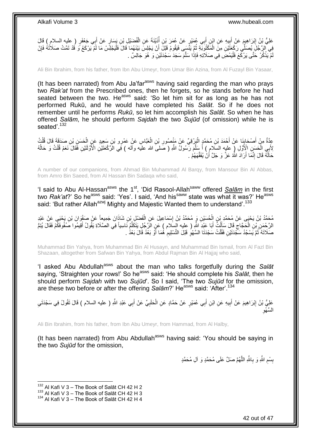عَلِيُّ بِنُ إِبْرَاهِيمَ عَنْ أَبِيهِ عَنِ ابْنِ أَبِي عُمَيْرٍ عَنْ عُمَرَ بْنِ أَذَيْنَةَ عَنِ الْفُضَيْلِ بْنِ يَسَارٍ عَنْ أَبِي جَعْفَرٍ ( عليه السلام ) قَالَ ْ ُ ِ َ َ ْفِي ْالرَّجُلِّ بُصَلِّي رَكْعَتَّيْنِ مِنَّ الْمَكْثُوبَةِ ثُمَّ يَنَّسَى فَيَقُومُ قَيْلَ أَنْ يَجْلِسَّ بَيْنَهُمَا قَالَ فَلْيَجْلِسْ مَا لَمْ يَرْكَعْ وَ قَدْ تَمَّتْ صَلَاثُهُ فَإِنْ ْ ∣ļ ْ َ .<br>• • • • مْ يَذْكُرْ حَتَّى يَرْكَعَ فَلْيَمْضِ فِي صَلَاتِهِ فَإِذَا سَلَّمَ سَجَدَ سَجْدَنَيْنِ وَ هُوَ جَالِسٌ . َّ :<br>ا **ٔ** لَ

Ali Bin Ibrahim, from his father, from Ibn Abu Umeyr, from Umar Bin Azina, from Al Fuzayl Bin Yasaar,

(It has been narrated) from Abu Ja'far<sup>asws</sup> having said regarding the man who prays two *Rak'at* from the Prescribed ones, then he forgets, so he stands before he had seated between the two. He<sup>asws</sup> said: 'So let him sit for as long as he has not performed Rukū, and he would have completed his *Salāt*. So if he does not remember until he performs *Rukū*, so let him accomplish his *Salāt*. So when he has offered *Salām*, he should perform *Sajdah* the two *Sujūd* (of omission) while he is seated'.<sup>132</sup>

عِدَّةٌ مِنْ أَصْحَابِنَا عَنْ أَحْمَدَ بْنِ مُحَمَّدٍ الْبَرْقِيِّ عَنْ مَنْصُورِ بْنِ الْعَبَّاسِ عَنْ عَمْرِو بْنِ سَعِيدٍ عَنِ الْحَسَنِ بْنِ صَدَقَةَ قَالَ قُلْتُ<br>عَلَّمَ الْمَسَنِّ الْمَسَوْلَةِ مَنْ أَحْمَدَ بِّنِ ْ **ٍ** ْ َ ا<br>پ ْ ْ لِأَبِي الْحَسَنِ الْإِنَّولِ ( عليه السلام ) أَ سَلَّمَ رَّسُولُ اللَّهِ ( صَلىَ الله عليه وآله ) فَبَى الرَّكْعَتَيْنِ الْأَوَّلَئَيْنِ فَقَالَ نَعَمْ قُلْتُ وَ حَالُهُ ْ َّ َ ُ ْ حَاَلُهُ قَالَ إِنَّمَا أَرَادَ اللَّهُ عَزَّ وَ جَلَّ أَنْ يُفَقِّهَهُمْ . اً َ ِ .<br>ـ

A number of our companions, from Ahmad Bin Muhammad Al Barqy, from Mansour Bin Al Abbas, from Amro Bin Saeed, from Al Hassan Bin Sadaqa who said,

'I said to Abu Al-Hassan<sup>asws</sup> the 1<sup>st</sup>, 'Did Rasool-Allah<sup>saww</sup> offered **Salām** in the first two *Rak'at*?' So he<sup>asws</sup> said: 'Yes'. I said, 'And his<sup>saww</sup> state was what it was?' He<sup>asws</sup> said: 'But rather Allah<sup>azwj</sup> Mighty and Majestic Wanted them to understand'.<sup>133</sup>

مُحَمَّدُ بْنُ يَحْيَى عَنْ مُحَمَّدٍ بْنِ الْحُسَيْنِ وَ مُحَمَّدُ بْنُ إِسْمَاعِيلَ عَنِ الْفَصْلِ بْنِ شَاذَانَ جَمِيعاً عَنْ صَفْوَانَ بْنِ يَحْيَى عَنْ عَبْدِ<br>دَعَمَّدُ بْنُ يَحْيَى عَنْ مُحَمَّدٍ بْنِ الْحُسَيْنِ وَ ْ ∣l<br>∶ ْ الرَّحْمَنِ بْنِ الْحَجَّاجِ قَالَ سَأَلْتُ أَبَا عَبْدِ اللَّهِ ( عليه السلام ) عَنِ الرَّجُلِ يَتَكَلَّمُ نَاسِياً فِي الصَّلَاةِ يَقُولُ أَقِيمُوا صَفُوفَكِّمْ فَقَالَ يُنِمَّ َّ َ ْ َ ِ ْ َ صَلَاتَهُ ۚ ثُمَّ يَسْجُدُ سَجَّدَتَيْنِ فَقُلْتُ سَجْدَتَا السَّهْوِ قَبْلَ النَّسْلِيمِ ۚ هُمَا أَوْ بَعْدُ قَالَ بَعْدُ ۚ ـ ُ َ ِ **∶** ْ

Muhammad Bin Yahya, from Muhammad Bin Al Husayn, and Muhammad Bin Ismail, from Al Fazl Bin Shazaan, altogether from Safwan Bin Yahya, from Abdul Rajman Bin Al Hajjaj who said,

'I asked Abu Abdullah<sup>asws</sup> about the man who talks forgetfully during the Salat saying, 'Straighten your rows!' So heasws said: 'He should complete his *Salāt*, then he should perform *Sajdah* with two *Sujūd*'. So I said, 'The two *Sujūd* for the omission, are these two before or after the offering *Salām*?' He<sup>asws</sup> said: 'After'.<sup>134</sup>

عَلِيُّ بْنُ إِبْرَاهِيمَ عَنْ أَبِيهِ عَنِ ابْنِ أَبِي عُمَيْرٍ عَنْ حَمَّادٍ عَنِ الْحَلَبِيِّ عَنْ أَبِي عَبْدِ اللَّهِ ( عليه السلام ) قَالَ نَقُولُ فِي سَجْدَتَيِ<br>يَسْمِئُ بَنُّ إِبْرَاهِيمَ عَنْ أَبِيهِ عَنِ ابْنِ أ َ **∶** ْ َ **!** َ ِ ِ السَّـهْوِ

Ali Bin Ibrahim, from his father, from Ibn Abu Umeyr, from Hammad, from Al Halby,

(It has been narrated) from Abu Abdullah<sup>asws</sup> having said: 'You should be saying in the two *Sujūd* for the omission,

> بِسْمِ اللَّهِ وَ بِاللَّهِ اللَّهُمَّ صَلِّ عَلَى مُحَمَّدٍ وَ آلِ مُحَمَّدٍ َّ **∶** ِ

 $132$  Al Kafi V 3 – The Book of Salāt CH 42 H 2

 $133$  Al Kafi V 3 – The Book of Salāt CH 42 H 3

<sup>134</sup> Al Kafi V 3 - The Book of Salāt CH 42 H 4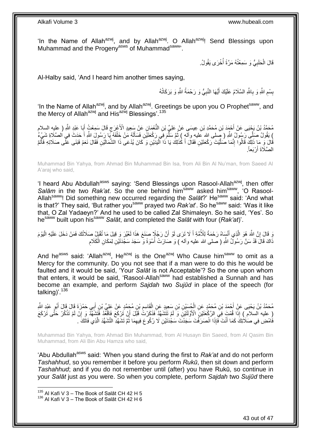'In the Name of Allah<sup>azwj</sup>, and by Allah<sup>azwj</sup>. O Allah<sup>azwj</sup>! Send Blessings upon Muhammad and the Progeny<sup>asws</sup> of Muhammad<sup>saww</sup>.

> قَالَ الْحَلَبِيُّ وَ سَمِعْتُهُ مَرَّةً أَخْرَى يَقُولُ. المعدِّد السياسية في المستشركة المستشركة المستشركة المستشركة المستشركة المستشركة المستشركة المستشركة المستشركة<br>المستشركة المستشركة المستشركة المستشركة المستشركة المستشركة المستشركة المستشركة المستشركة المستشركة المستشركة ِ ْ

Al-Halby said, 'And I heard him another times saying,

بِسْمِ اللَّهِ وَ بِاللَّهِ السَّلَامُ عَلَيْكَ أَيُّهَا النَّبِيُّ وَ رَحْمَةُ اللَّهِ وَ بَرَكَاتُهُ **∶** َ **∶** ِ 

'In the Name of Allah<sup>azwj</sup>, and by Allah<sup>azwj</sup>. Greetings be upon you O Prophet<sup>saww</sup>, and the Mercy of Allah<sup>azwj</sup> and His<sup>azwj</sup> Blessings'.<sup>135</sup>

مُحَمَّدُ بْنُ يَجْيَى عَنْ أَحْمَدَ بْنِ مُحَمَّدِ بْنِ عِيسَي عَنْ عَلِيٍّ بْنِ النُّعْمَانِ عَنْ سَعِيدٍ الْأَعْرَجِ قَالَ سَمِعْتُ أَبَا عَبْدِ اللَّهِ ( عليه السلام ِ َ ) يَقُولُ صَلِّي رَسُولُ اللَّهِ ( صِلى الله عليهِ وآلَهٖ ) ثُمَّ سَلَّمَ فِي رَكْعَتَيْنِ فَسَأَلَهُ مَنْ خَلْفَهُ يَا رَسُولَ اللَّهِ أَ حَدَثَ فِي الصَّلَاةِ شَيْءٌ َ ْ لَ Í َّ ُفَالَ وَ مَا ذَلِكَ قَالُوا إِنَّمَا صُلَّيْتَ رَكْعَتَيْنِ فَقَالَ أَ كَذَلِكَ يَا ذَا الْيَدَيْنِ وَ كَانَ يُدْعَى ذَا الشِّمَالَيْنِ فَقَالَ نَعَمْ فَبَنَى عَلَى صَلَاتِهِ فَأَتَمَّ :<br>ا َ َّ ِ َ الصَّلَاةَ أَرْبَعاً<sub>.</sub> َ

Muhammad Bin Yahya, from Ahmad Bin Muhammad Bin Isa, from Ali Bin Al Nu'man, from Saeed Al A'araj who said,

'I heard Abu Abdullah<sup>asws</sup> saying: 'Send Blessings upon Rasool-Allah<sup>azwj</sup>, then offer *Salām* in the two *Rak'at*. So the one behind him<sup>saww</sup> asked him<sup>saww</sup>, 'O Rasool-Allah<sup>saww</sup>! Did something new occurred regarding the *Salat*?' He<sup>saww</sup> said: 'And what is that?' They said, 'But rather you<sup>saww</sup> prayed two *Rak'at'*. So he<sup>saww</sup> said: 'Was it like that, O Zal Yadaeyn?' And he used to be called Zal Shimaleyn. So he said, 'Yes'. So hesaww built upon hissaww *Salāt*, and completed the *Salāt* with four (*Rak'at*)'.

وَ قَالَ إِنَّ اللَّهَ هُوَ الَّذِي أَنْسَاهُ رَحْمَةً لِلْأُمَّةِ أَ لَا تَزَى لَوْ أَنَّ رَجُلًا صَنَعَ هَذَا لَعُيِّرَ وَ قِيلَ مَا تُقْبَلُ صَلَاتُكَ فَمَنْ دَخَلَ عَلَيْهِ الْيَوْمَ اُ َ َ َّ **׀** ْ ِ ذَاكَ قَالَ قَذْ سَنَّ رَسُولُ اللَّهِ ( صلى الله عليه وآله ) وَ صَارَتْ أُسْوَةً وَ سَجَدَ سَجْدَتَيْنِ لِمَكَانِ الْكَلَامِ ْ :<br>ا

And he<sup>asws</sup> said: 'Allah<sup>azwj</sup>, He<sup>azwj</sup> is the One<sup>azwj</sup> Who Cause him<sup>saww</sup> to omit as a Mercy for the community. Do you not see that if a man were to do this he would be faulted and it would be said, 'Your *Salāt* is not Acceptable'? So the one upon whom that enters, it would be said, 'Rasool-Allah<sup>saww</sup> had established a Sunnah and has become an example, and perform *Sajdah* two *Sujūd* in place of the speech (for talking)'.<sup>136</sup>

مُحَمَّدُ بْنُ يَحْيَى عَنِّ أَحْمَدَ بْنِ مُحَمَّدٍ عَنِ الْجُسَيْنِ بْنِ سَعِيدٍ عَنِ الْقَاسِمِ بْنِ مُحَمَّدٍ عَنْ عَلِيٍّ بْنِ أَبِي حَمْزَةَ قَالَ قَالَ أَبُو ٍ عَبْدِ الثَّهِ ِ :<br>ا ْ َ َ َ ْ عِليه السالامِ ) إِذَا قُمْتَ فِي الرَّكْعَتَيْنِ الْأَوَّلَتَيْنِ وَ لَمْ تَتَشَهَّدْ فَذَكَرْتُ قَبْلَ أَنْ تَرْكَعَ اُ **ٔ** ِ فَامْضِ فِي صَلَاتِكَ كَمَا أَنْتَ فَإِذَا انْصَرَفَٰتَ سَجَدْتَ سَجْدَتَيْنِ لَا رُكُوعَ فِيهِمَا ثُمَّ تَشَهَّدِ النَّشَهُّدَ الَّذِي فَاتَكَ ۖ ـ َّ ُ ِ َ

Muhammad Bin Yahya, from Ahmad Bin Muhammad, from Al Husayn Bin Saeed, from Al Qasim Bin Muhammad, from Ali Bin Abu Hamza who said,

'Abu Abdullah<sup>asws</sup> said: 'When you stand during the first to *Rak'at* and do not perform *Tashahhud*, so you remember it before you perform *Rukū*, then sit down and perform *Tashahhud*; and if you do not remember until (after) you have Rukū, so continue in your *Salāt* just as you were. So when you complete, perform *Sajdah* two *Sujūd* there

 $135$  Al Kafi V 3 – The Book of Salāt CH 42 H 5

 $136$  Al Kafi V 3 – The Book of Salāt CH 42 H 6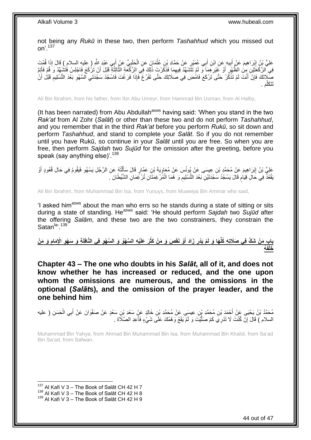not being any *Rukū* in these two, then perform *Tashahhud* which you missed out on'.<sup>137</sup>

عَلِيُّ بِنُ إِبْرَاهِيمَ عَنْ أَبِيهِ عَنِ ابْنِ أَبِي عُمَيْرٍ عَنْ حَمَّادِ بِنِ عُثْمَانَ عَنِ الْحَلَبِيِّ عَنْ أَبِي عَبْدِ اللَّهِ ( عليه السلام ) قَالَ إِذَا قُمْتَ ْ َ **!** َ ِ َ ¦ ْ َ فِي الرَّكْعَتَيْنِ مِنْ الظَّهْرِ ۚ أَوْ غَيْرِ هِمَا فَنَ فَيهِهِمَا فَذَكَّرْتَ ذَلِّكَ فِي الرَّكْعَةِ الثَّالِثَةِ قَبْلَ أَنْ تَرْكَعَ فَاجْلِسْ فَتَشْهَدْ وَ قُمْ فَأَتِمَ َّ ِ ِ َ ِ اُ َ صَلِّاتَكَ فَإِنْ أَنْتَ لَمْ تَذْكُرْ حَتَّى َتَرْكَعَ فَامْضِ فِي صَلَاتِكَ حَتَّى تَفْرُغَ فَإِذَا فَرَغْتَ فَاسْجُدْ سَجْدَتَي السَّهْوِ بَعْدَ التَّسْلِيمِ قَبْلَ أَنْ<br>سَبَعَةَ السَّمْوِ ْ َ ِ َ ِ ِ ِ َم . َتَت َكل َّ

Ali Bin Ibrahim, from his father, from Ibn Abu Umeyr, from Hammad Bin Usman, from Al Halby,

(It has been narrated) from Abu Abdullah<sup>asws</sup> having said: 'When you stand in the two *Rak'at* from Al Zohr (*Salāt*) or other than these two and do not perform *Tashahhud*, and you remember that in the third *Rak'at* before you perform *Rukū*, so sit down and perform *Tashahhud*, and stand to complete your *Salāt*. So if you do not remember until you have Rukū, so continue in your *Salāt* until you are free. So when you are free, then perform *Sajdah* two *Sujūd* for the omission after the greeting, before you speak (say anything else)<sup>'.138</sup>

عَلِيُّ بْنُ إِبْرَاهِيمَ عَنْ مُحَمَّدٍ بْنِ عِيسَى عَنْ يُونُسَ عَنْ مُعَاوِيَةَ بْنِ عَمَّارٍ قَالَ سَأَلْتُهُ عَنِ الرَّجُلِ يَسْهُو فَيَقُومُ فِي حَالِ قُعُودٍ أَوْ ْ ĺ ِ ِ َ يَقْعُذُ فِي حَالِ قِيَامٍ قَالَ يَسْجُدُ سَجْدَتَيْنِ بَعْدَ التَّسْلِيمِ وَ هُمَا الْمُرْغِمَثَانِ تُرْغِمَانِ الشَّيْطَانَ ` ْ ِ ٍ

Ali Bin Ibrahim, from Muhammad Bin Isa, from Yunuys, from Muawiya Bin Ammar who said,

'I asked him<sup>asws</sup> about the man who errs so he stands during a state of sitting or sits during a state of standing. He<sup>asws</sup> said: 'He should perform Sajdah two Sujud after the offering *Salām*, and these two are the two constrainers, they constrain the Satan<sup>la, 139</sup>

بِابِ مَنْ شَكَّ فِى صَلَاتِهِ كُلِّهَا وَ لَمْ يَدْرِ زَادَ أَوْ نَقَصَ وَ مَنْ كَثُرَ عَلَيْهِ السَّهْوُ وَ السَّهْوِ فِى النَّافِلَةِ وَ سَهْوِ الْإِمَامِ وَ مَنْ **ِ َ ِ ُه َخلْفَ**

<span id="page-43-0"></span>**Chapter 43 – The one who doubts in his** *Salāt***, all of it, and does not know whether he has increased or reduced, and the one upon whom the omissions are numerous, and the omissions in the optional (***Salāt***s), and the omission of the prayer leader, and the one behind him**

مُحَمَّدُ بْنُ يَحْيَى عَنْ أَحْمَدَ بْنِ مُحَمَّدِ بْنِ عِيسَى عَنْ مُحَمَّدِ بْنِ خَالِدٍ عَنْ سَعْدِ بْنِ سَعْدٍ عَنْ صَفْوَانَ عَنْ أَبِي الْحَسَنِ ( عليه ْ َ السلام ) قَالَ إِنْ كُنْتَ لَا تَدْرِيَ كَمْ صَلَّيْتَ وَ لَمْ يَقَعْ وَهْمُكَ عَلَى شَيْءٍ فَأَعِدِ الصَّلَاةَ . َّ ِ َ

Muhammad Bin Yahya, from Ahmad Bin Muhammad Bin Isa, from Muhammad Bin Khalid, from Sa'ad Bin Sa'ad, from Safwan,

 $137$  Al Kafi V 3 – The Book of Salāt CH 42 H 7

 $138$  Al Kafi V 3 – The Book of Salāt CH 42 H 8

 $139$  Al Kafi V 3 – The Book of Salāt CH 42 H 9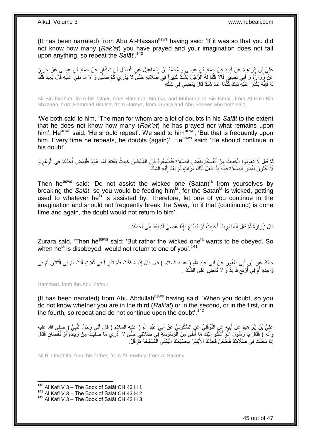(It has been narrated) from Abu Al-Hassan<sup>asws</sup> having said: 'If it was so that you did not know how many (*Rak'at*) you have prayed and your imagination does not fall upon anything, so repeat the *Salāt*'.<sup>140</sup>

عَلِيُّ بْنُ اِبْرَاهِيِمَ عَنْ أَبِيهِ عَنْ جَمَّادِ بْنِ عِيسَى وَ مُحَمَّدُ بْنُ إِسْمَاعِيلَ عَنِ الْفَضْلِ بْنِ شَاذَانٍ عَنْ حَمَّادِ بْنِ عِيسَى عَنْ حَرِيزٍ<br>. ْ ِ ِ َ <u>֖֓</u> ِ عَنْ زُرَارَةَ وَ أَبِي بَصِبِرٍ قَالَا قُلْنَا لَهُ الرَّجُلُ يَشُكُّ كَثِيرٍاً فِي صَلَاتِهِ حَتَّى لَا يَدْرِيَ كَمْ صَلَّى وَ لَا مَا بَقِيَ عَلَيْهِ قَالَ يُعِيدُ قُلْنَا<br>نَبِّنَ زُرَارَةً وَ أَبِي بَصِبِرٍ قَالَا قُ ْ َ ْ ِ هُ فَإِنَّهُ يَكْثُرُ ۚ عَلَيْهِ ذَلِكَ كُلَّمَا عَادَ شَكَّ قَالَ يَمْضِي فِي شَكِّهِ َّ ُ ِ لَ

Ali Bin Ibrahim, from his father, from Hammad Bin Isa, and Muhammad Bin Ismail, from Al Fazl Bin Shazaan, from Hammad Bin Isa, from Hareyz, from Zurara and Abu Baseer who both said,

'We both said to him, 'The man for whom are a lot of doubts in his *Salāt* to the extent that he does not know how many (*Rak'at*) he has prayed nor what remains upon him'. He<sup>asws</sup> said: 'He should repeat'. We said to him<sup>asws</sup>, 'But that is frequently upon him. Every time he repeats, he doubts (again)'. He<sup>asws</sup> said: 'He should continue in his doubt'.

نُّمَّ قَالَ لَا تُعَوِّدُوا الْخَبِيثَ مِنْ أَنْفُسِكُمْ بِنَقْضِ الصَّلَاةِ فَتُطْمِعُوهُ فَإِنَّ الشَّيْطَانَ خَبِيثٌ يَعْنَادُ لِمَا عُوِّدَ فَلْيَمْضِ أَحَدُكُمْ فِي الْوَهْمِ وَ **∣** َ **!** ْ ِ ْ َ ْ ِ ∣lٍ لَا يُكْثِرَنَّ نَقْضَ الصَّلَاةِ فَإِنَّهُ إِذَا فَعَلَ ذَلِكَ مَرَّاتٍ لَمْ يَعُدْ إِلَيْهِ الشَّكُّ لَ ِ ِ

Then he<sup>asws</sup> said: 'Do not assist the wicked one (Satan)<sup>la</sup> from yourselves by breaking the *Salāt*, so you would be feeding him<sup>la</sup>, for the Satan<sup>la</sup> is wicked, getting used to whatever he<sup>la'</sup> is assisted by. Therefore, let one of you continue in the imagination and should not frequently break the *Salāt*, for if that (continuing) is done time and again, the doubt would not return to him'.

> قَالَ زُرَارَةُ ثُمَّ قَالَ إِنَّمَا يُرِيدُ الْخَبِيثُ أَنْ يُطَاعَ فَإِذَا عُصِيَ لَمْ يَعُدْ إِلَى أَحَدِكُمْ . َ ِ **!** ْ ِ ِ ٔ.<br>ـ

Zurara said, 'Then he<sup>asws</sup> said: 'But rather the wicked one<sup>la</sup> wants to be obeyed. So when he<sup>la</sup> is disobeyed, would not return to one of you'.<sup>141</sup>

حَمَّادٌ عَنِ ابْنِ أَبِي يَخْفُورٍ عَنْ أَبِي عَبْدٍ اللَّهِ (ٍ عليه السلام ) قَالَ قَالَ إِذَا شَكَكْتَ فَلَمْ تَدْرِ أَ فِي ثَلَاثٍ أَنْتَ أَمْ فِي اثْنَثَيْنِ أَمْ فِي َ ِ َ َ ْ َ َ َ وَاحِدَةٍ أَمْ فِي أَرْبَعَ فَأَعِدْ وَ لَا تَمْضَ عَلَى الشَّكِّ . ا<br>ا ٍ اً َ

Hammad, from Ibn Abu Yafour,

(It has been narrated) from Abu Abdullah<sup>asws</sup> having said: 'When you doubt, so you do not know whether you are in the third (*Rak'at*) or in the second, or in the first, or in the fourth, so repeat and do not continue upon the doubt'.<sup>142</sup>

عَلِيُّ بْنُ إِبْرَاهِيمَ عَنْ أَبِيهٍ عَنِ النَّوْفِلِيِّ عَنِ السَّكُونِيِّ عَنْ أَبِي عَبْدِ اللَّهِ ( عليه السلام ) قَالَ أَتَـي رَجُلٌ النَّبِيَّ ( صلى الله عليه َ **!** َ ِ ِ َ وآله ) فَقَالَ يَا رَٰسُولَ اللَّهِ أَشْكُو إِلَيْكَ مِا أَلْقَى مِنَ الْمَوْسَوَسَةِ فَهِي صَلَاتِي حَتَّى لَا أَدْرِي مَا صَلَّيْتُ مِنْ زِيَادَةٍ أَوْ نُقْصَانٍ فَقَالَ َّ َ ْ ْ َ لَ ِ َ َ ِ **ٔ** إِذَا دَخُلْتَ فِي صَلَاتِكَ فَاطْعُنْ فَخِذَكَ الْأَيْسَرَ بِإِصْبَعِكَ الْيُمْنَى الْمُسَبِّحَةِ ثُمَّ قُلْ :<br>ا ِ ِ ْ ُ

Ali Bin Ibrahim, from his father, from Al nowfaly, from Al Sakuny,

 $140$  Al Kafi V 3 – The Book of Salāt CH 43 H 1

<sup>&</sup>lt;sup>141</sup> Al Kafi V 3 – The Book of Salāt CH 43 H 2

<sup>&</sup>lt;sup>142</sup> Al Kafi V 3 – The Book of Salāt CH 43 H 3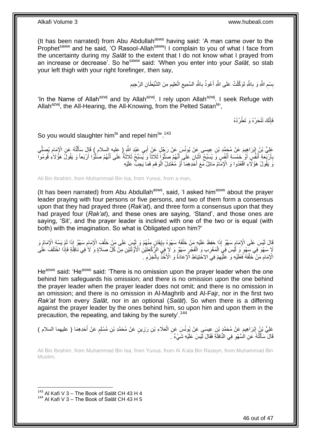(It has been narrated) from Abu Abdullah<sup>asws</sup> having said: 'A man came over to the Prophet<sup>saww</sup> and he said, 'O Rasool-Allah<sup>saww</sup>! I complain to you of what I face from the uncertainty during my *Salāt* to the extent that I do not know what I prayed from an increase or decrease'. So he<sup>saww</sup> said: 'When you enter into your *Salāt*, so stab your left thigh with your right forefinger, then say,

> ِ بِسْعِ اللَّهِ وَ بِاللَّهِ تَوَكَّلْتُ عَلَى اللَّهِ أَعُوذُ بِاللَّهِ السَّمِيعِ الْعَلِيعِ مِنَ الشَّيْطَانِ الرَّحِيمِ ِ ْ ِ **∶** َ ْ **∶** ِ

'In the Name of Allah<sup>azwj</sup> and by Allah<sup>azwj</sup>. I rely upon Allah<sup>azwj</sup>. I seek Refuge with Allah<sup>azwj</sup>, the All-Hearing, the All-Knowing, from the Pelted Satan<sup>la</sup>',

> فَإِنَّكَ تَنْحَرُهُ وَ تَطْرُدُهُ ِ

So you would slaughter him<sup>la</sup> and repel him<sup>la, 143</sup>

عَلِيُّ بْنُ إِبْرَاهِيمَ عَنْ مُحَمَّدِ بْنِ عِيسَى عَنْ بُونُسَ عَنْ رَجُلٍ عَنْ أَبِي عَبْدِ اللَّهِ ( عليه السلام ) قَالَ سَأَلْتُهُ عَنِ الْإِمَامِ يُصَلِّي<br>وَيَ مَعْ فَي الْمَرْضَ عَنْ مُحَمَّدٍ بْنِ فَي نُّذِي يَعْ ِ ْ ِّ ِ بِأَرْبَعَةِ أَنْفُسٍ أَوْ خَمْسَةِ أَنْفُسٍ وَ يُسَبِّحُ اثْنَإِنِ عَلَى أَنَّهُمْ صَلَّوْا ثَلَاثًا وَ يُسَبِّحُ ثَلَاثَةٌ عَلَى أَنَّهُمْ صَلَّوْا أَرْبَعاً وَ يَقُولُ هَؤَلَاءِ قُومُوا َ اُ<br>ا َ **ٔ** َ َ َ **∶** َ َّ َ وَ يَقُولُ هَؤُلَّاءِ اقْعُدُوا وَ الْإِمَّامُ مَائِلٌ مَعَ أَحَدِهِمَا أَوْ مُعْتَدِلُ الْوَهْمِ فَمَا يَجِبُّ عَلَيْهِ ِ ْ

Ali Bin Ibrahim, from Muhammad Bin Isa, from Yunus, from a man,

(It has been narrated) from Abu Abdullah<sup>asws</sup>, said, 'I asked him<sup>asws</sup> about the prayer leader praying with four persons or five persons, and two of them form a consensus upon that they had prayed three (*Rak'at*), and three form a consensus upon that they had prayed four (*Rak'at*), and these ones are saying, 'Stand', and those ones are saying, 'Sit', and the prayer leader is inclined with one of the two or is equal (with both) with the imagination. So what is Obligated upon him?'

قَالَ لَيْسَ عَلَى الْإِمَامِ سَهْوٌ إِذَا حَفِظَ عَلَيْهِ مَنْ خَلْفَهُ سَهْوَهُ بِإِيقَانٍ مِنْهُمْ وَ لَيْس<br>وَيَمَدُّ بِهِ الْإِمْرَامِ الْمَالِمِينَ وَالْجَمْعَةِ إِلَيْهِ مِنْ خَلْفَهُ سَهْوَهُ بِإِيقَانٍ مِنْهُمْ وَ ׀֧<br>ֺ֧֛֪֓֘ **∶** ْ ֺ֧֧֪֚֚֚֚֚֚֚֚֚֚֚֚֚֚֝֓֡֓֓֜֡֓֓֡֓֡֓֡֓֡֡֝ ِ ْ لَا سَهْوَ فِي سَهْوٍ وَ لَيْسَ فِي الْمَغْرِبِ وَ الْفَجْرِ سَهْوٌ وَ لَا فِيَ الرَّكْعَتَيْنِ الْأَوَّلَتَيْنِ مِنْ كُلِّ صَلَاةٍ وَ لَا فِي نَافِلَةٍ فَإِذَا اخْتَلَفَ عَلَى ِ ْ **∶** ْ الْإِمَامِ مَنْ خَلْفَهُ فَعَلَيْهِ وَ عَلَيْهِمْ فِيَ الِاحْتِيَاطِ الْإِعَادَةُ وَ الْأَخْذُ بِالْجَرْمِ ـ ِ ْ ِ ِ ْ ِ

He<sup>asws</sup> said: 'He<sup>asws</sup> said: 'There is no omission upon the prayer leader when the one behind him safeguards his omission; and there is no omission upon the one behind the prayer leader when the prayer leader does not omit; and there is no omission in an omission; and there is no omission in Al-Maghrib and Al-Fajr, nor in the first two *Rak'at* from every *Salāt*, nor in an optional (*Salāt*). So when there is a differing against the prayer leader by the ones behind him, so upon him and upon them in the precaution, the repeating, and taking by the surety'.<sup>144</sup>

عَلِيُّ بْنُ إِبْرَاهِيمَ عَنْ مُحَمَّدٍ بْنِ عِيسَى عَنْ بُونُسَ عَنِ الْعَلَاءِ بْنِ رَزِينٍ عَنْ مُحَمَّدِ بْنِ مُسْلِمٍ عَنْ أَحَدِهِمَا ( عليهما السلام )<br>عَلَيُّ بَيْنُ إِبْرَاهِيمَ عَنْ مُحَمَّةٍ يَجْسَمَنِي عَنْ بُ ِ ْ ِ َ ֧֖֧֖֖֖֖֖֧֖֖֖֖֧֧֧֧֧֧֧֧֧֧֧֧֧֧֧֧֧֚֚֚֚֚֚֚֚֚֚֚֝֝֟֓֝֓֝֓֝֬֟֓֝֬֟֓֝֬֝֓֝֓֝֬֝֓֝֬֝֬֝֓֝֬֝֬֓֝֬֝֬֝֬ قَالَ سَأَلْتُهُ عَنِ الْسَّهْوِ فِي النَّافِلَةِ فَقَالَ لَيْسَ عَلَيْهِ شَيْءٌ ۚ ـَ ِ ֺ֦֧֦֦֦֦֦֦֦֦֪ׅ֧֦֪ׅ֧֦֪ׅ֧֦֪֪ׅ֦֪֪֦֪֦֧֦֧֦֧֦֧֧֝֟֟֓֕֓֕֓֕֓֕֓֡֓֓֡֟֓֡֓֓֡֟֓֓֞֓֡֟֓֓֞֓֡֓֓֡֟֓֡֓֓֞֓֡֟֓֡֟֓֟֓֟֓֟֟֟֝֬<br>֧֪֪֧֪֪֧֪֪֪֪֪֪֦֧֝֝֝ َ

Ali Bin Ibrahim, from Muhammad Bin Isa, from Yunus, from Al A'ala Bin Razeyn, from Muhammad Bin Muslim,

 $143$  Al Kafi V 3 – The Book of Salāt CH 43 H 4 <sup>144</sup> Al Kafi V 3 - The Book of Salāt CH 43 H 5

1

46 out of 47